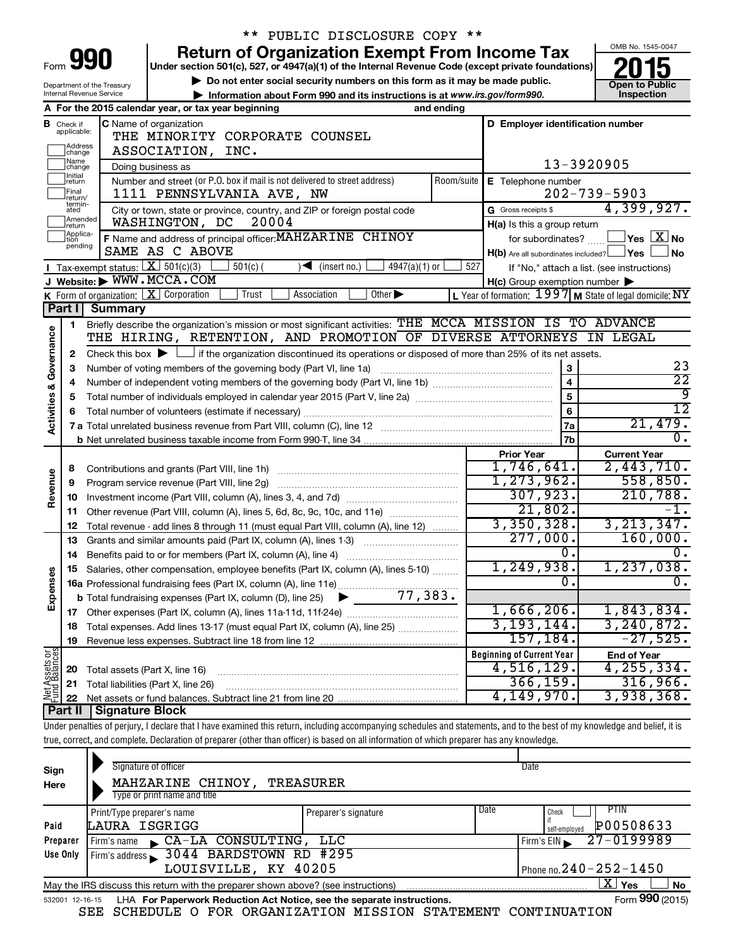| ** PUBLIC DISCLOSURE COPY ** |                               |                                                                                                                                                                                                                                       |                |                                                                                                                  |                                         |  |  |  |  |
|------------------------------|-------------------------------|---------------------------------------------------------------------------------------------------------------------------------------------------------------------------------------------------------------------------------------|----------------|------------------------------------------------------------------------------------------------------------------|-----------------------------------------|--|--|--|--|
|                              |                               | <b>Return of Organization Exempt From Income Tax</b>                                                                                                                                                                                  |                |                                                                                                                  | OMB No. 1545-0047                       |  |  |  |  |
|                              | Form 991                      | Under section 501(c), 527, or 4947(a)(1) of the Internal Revenue Code (except private foundations)                                                                                                                                    |                |                                                                                                                  |                                         |  |  |  |  |
|                              |                               | Do not enter social security numbers on this form as it may be made public.<br>Department of the Treasury                                                                                                                             |                |                                                                                                                  | <b>Open to Public</b>                   |  |  |  |  |
|                              |                               | Internal Revenue Service<br>Information about Form 990 and its instructions is at www.irs.gov/form990.                                                                                                                                |                |                                                                                                                  | Inspection                              |  |  |  |  |
|                              |                               | A For the 2015 calendar year, or tax year beginning<br>and ending                                                                                                                                                                     |                |                                                                                                                  |                                         |  |  |  |  |
|                              | <b>B</b> Check if applicable: | C Name of organization                                                                                                                                                                                                                |                | D Employer identification number                                                                                 |                                         |  |  |  |  |
|                              |                               | THE MINORITY CORPORATE COUNSEL                                                                                                                                                                                                        |                |                                                                                                                  |                                         |  |  |  |  |
|                              | Address<br>change<br>Name     | ASSOCIATION, INC.                                                                                                                                                                                                                     |                |                                                                                                                  |                                         |  |  |  |  |
|                              | change<br>Initial             | Doing business as                                                                                                                                                                                                                     |                | 13-3920905                                                                                                       |                                         |  |  |  |  |
|                              | ∣return                       | Number and street (or P.O. box if mail is not delivered to street address)<br>Room/suite                                                                                                                                              |                | E Telephone number                                                                                               |                                         |  |  |  |  |
|                              | Final<br>return/<br>termin-   | 1111 PENNSYLVANIA AVE, NW                                                                                                                                                                                                             |                | $202 - 739 - 5903$                                                                                               |                                         |  |  |  |  |
|                              | ated<br>Amended               | City or town, state or province, country, and ZIP or foreign postal code                                                                                                                                                              |                | G Gross receipts \$                                                                                              | 4,399,927.                              |  |  |  |  |
|                              | Ireturn                       | WASHINGTON, DC<br>20004                                                                                                                                                                                                               |                | H(a) Is this a group return                                                                                      |                                         |  |  |  |  |
|                              | Applica-<br>tion<br>pending   | F Name and address of principal officer: MAHZARINE CHINOY                                                                                                                                                                             |                | for subordinates?                                                                                                | $\Box$ Yes $[\overline{\mathrm{X}}]$ No |  |  |  |  |
|                              |                               | SAME AS C ABOVE                                                                                                                                                                                                                       |                | $H(b)$ Are all subordinates included? $\Box$ Yes                                                                 | 」 No                                    |  |  |  |  |
|                              |                               | Tax-exempt status: $X \over 301(c)(3)$<br>$501(c)$ (<br>4947(a)(1) or<br>$\sqrt{\frac{1}{1}}$ (insert no.)<br>J Website: WWW.MCCA.COM                                                                                                 | 527            | If "No," attach a list. (see instructions)                                                                       |                                         |  |  |  |  |
|                              |                               | <b>K</b> Form of organization: $\boxed{\textbf{X}}$ Corporation<br>Trust<br>Association<br>Other $\blacktriangleright$                                                                                                                |                | $H(c)$ Group exemption number $\blacktriangleright$<br>L Year of formation: $1997$ M State of legal domicile: NY |                                         |  |  |  |  |
|                              | Part I                        | Summary                                                                                                                                                                                                                               |                |                                                                                                                  |                                         |  |  |  |  |
|                              | 1                             | Briefly describe the organization's mission or most significant activities: THE MCCA MISSION IS TO ADVANCE                                                                                                                            |                |                                                                                                                  |                                         |  |  |  |  |
|                              |                               | THE HIRING, RETENTION, AND PROMOTION OF DIVERSE ATTORNEYS IN LEGAL                                                                                                                                                                    |                |                                                                                                                  |                                         |  |  |  |  |
| Governance                   |                               | Check this box $\blacktriangleright$ $\Box$ if the organization discontinued its operations or disposed of more than 25% of its net assets.<br>2<br>$\mathbf{3}$<br>Number of voting members of the governing body (Part VI, line 1a) |                |                                                                                                                  |                                         |  |  |  |  |
|                              | З                             |                                                                                                                                                                                                                                       |                |                                                                                                                  |                                         |  |  |  |  |
|                              | 4                             |                                                                                                                                                                                                                                       | $\overline{4}$ | 23<br>$\overline{22}$                                                                                            |                                         |  |  |  |  |
|                              | 5                             |                                                                                                                                                                                                                                       | $\overline{5}$ | 9                                                                                                                |                                         |  |  |  |  |
| <b>Activities &amp;</b>      |                               |                                                                                                                                                                                                                                       |                | 6                                                                                                                | $\overline{12}$                         |  |  |  |  |
|                              |                               |                                                                                                                                                                                                                                       |                | 7a                                                                                                               | 21,479.                                 |  |  |  |  |
|                              |                               |                                                                                                                                                                                                                                       |                | 7b                                                                                                               | $0$ .                                   |  |  |  |  |
|                              |                               |                                                                                                                                                                                                                                       |                | <b>Prior Year</b>                                                                                                | <b>Current Year</b>                     |  |  |  |  |
|                              | 8                             |                                                                                                                                                                                                                                       |                | 1,746,641.                                                                                                       | 2,443,710.                              |  |  |  |  |
| Revenue                      | 9                             | Program service revenue (Part VIII, line 2g)                                                                                                                                                                                          |                | 1, 273, 962.                                                                                                     | 558,850.                                |  |  |  |  |
|                              | 10                            |                                                                                                                                                                                                                                       |                | 307,923.                                                                                                         | 210, 788.                               |  |  |  |  |
|                              | 11                            | Other revenue (Part VIII, column (A), lines 5, 6d, 8c, 9c, 10c, and 11e)                                                                                                                                                              |                | 21,802.                                                                                                          |                                         |  |  |  |  |
|                              | 12                            | Total revenue - add lines 8 through 11 (must equal Part VIII, column (A), line 12)                                                                                                                                                    |                | 3,350,328.                                                                                                       | 3, 213, 347.                            |  |  |  |  |
|                              | 13                            | Grants and similar amounts paid (Part IX, column (A), lines 1-3)                                                                                                                                                                      |                | 277,000.                                                                                                         | 160,000.                                |  |  |  |  |
|                              | 14                            |                                                                                                                                                                                                                                       |                | О.                                                                                                               | 0.                                      |  |  |  |  |
|                              |                               | 15 Salaries, other compensation, employee benefits (Part IX, column (A), lines 5-10)                                                                                                                                                  |                | 1,249,938.                                                                                                       | 1,237,038.                              |  |  |  |  |
| Expenses                     |                               |                                                                                                                                                                                                                                       |                | О.                                                                                                               | $\overline{0}$ .                        |  |  |  |  |
|                              |                               |                                                                                                                                                                                                                                       |                |                                                                                                                  |                                         |  |  |  |  |
|                              |                               |                                                                                                                                                                                                                                       |                | $1,666,206$ .                                                                                                    | 1,843,834.                              |  |  |  |  |
|                              | 18                            | Total expenses. Add lines 13-17 (must equal Part IX, column (A), line 25)                                                                                                                                                             |                | 3, 193, 144.<br>157,184.                                                                                         | 3, 240, 872.                            |  |  |  |  |
|                              | 19                            |                                                                                                                                                                                                                                       |                |                                                                                                                  | $-27,525.$                              |  |  |  |  |
|                              |                               |                                                                                                                                                                                                                                       |                | <b>Beginning of Current Year</b>                                                                                 | <b>End of Year</b><br>4, 255, 334.      |  |  |  |  |
| Net Assets or                | 20                            | Total assets (Part X, line 16)                                                                                                                                                                                                        |                | 4,516,129.<br>366, 159.                                                                                          | 316,966.                                |  |  |  |  |
|                              | 21                            | Total liabilities (Part X, line 26)                                                                                                                                                                                                   |                | 4,149,970.                                                                                                       | 3,938,368.                              |  |  |  |  |
|                              | 22<br>Part II                 | <b>Signature Block</b>                                                                                                                                                                                                                |                |                                                                                                                  |                                         |  |  |  |  |
|                              |                               | Under penalties of perjury, I declare that I have examined this return, including accompanying schedules and statements, and to the best of my knowledge and belief, it is                                                            |                |                                                                                                                  |                                         |  |  |  |  |
|                              |                               |                                                                                                                                                                                                                                       |                |                                                                                                                  |                                         |  |  |  |  |

true, correct, and complete. Declaration of preparer (other than officer) is based on all information of which preparer has any knowledge.

| Sign<br>Here                                                                                              | Signature of officer<br>MAHZARINE CHINOY,<br>Type or print name and title                                    | TREASURER            | Date                                                       |  |  |  |  |  |  |
|-----------------------------------------------------------------------------------------------------------|--------------------------------------------------------------------------------------------------------------|----------------------|------------------------------------------------------------|--|--|--|--|--|--|
| Paid                                                                                                      | Print/Type preparer's name<br>LAURA ISGRIGG                                                                  | Preparer's signature | Date<br><b>PTIN</b><br>Check<br>P00508633<br>self-emploved |  |  |  |  |  |  |
| Preparer                                                                                                  | CA-LA CONSULTING, LLC<br>Firm's name                                                                         |                      | 27-0199989<br>Firm's $EIN$                                 |  |  |  |  |  |  |
| Use Only                                                                                                  | Firm's address 3044 BARDSTOWN RD #295<br>LOUISVILLE, KY 40205                                                |                      |                                                            |  |  |  |  |  |  |
|                                                                                                           | Phone no. $240 - 252 - 1450$                                                                                 |                      |                                                            |  |  |  |  |  |  |
| $X$ Yes<br><b>No</b><br>May the IRS discuss this return with the preparer shown above? (see instructions) |                                                                                                              |                      |                                                            |  |  |  |  |  |  |
|                                                                                                           | Form 990 (2015)<br>LHA For Paperwork Reduction Act Notice, see the separate instructions.<br>532001 12-16-15 |                      |                                                            |  |  |  |  |  |  |

SEE SCHEDULE O FOR ORGANIZATION MISSION STATEMENT CONTINUATION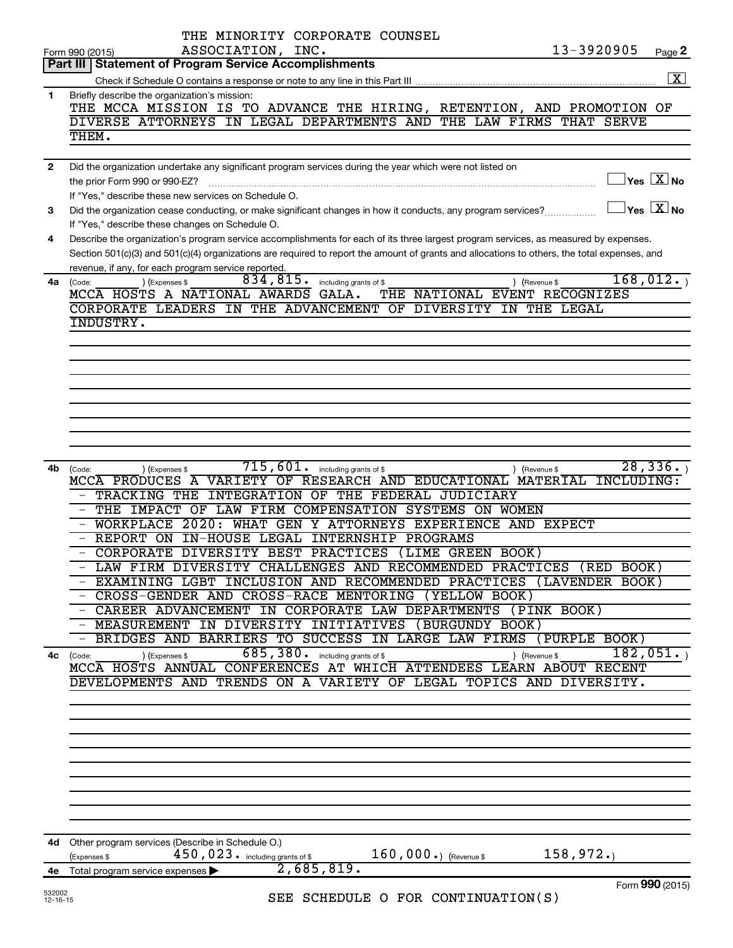|                   | THE MINORITY CORPORATE COUNSEL                                                                                                                                                                                                                                                                                                                                                                                                                                                                                                                                                                                                                                                                                                                                                                                                                                                   |                                     |
|-------------------|----------------------------------------------------------------------------------------------------------------------------------------------------------------------------------------------------------------------------------------------------------------------------------------------------------------------------------------------------------------------------------------------------------------------------------------------------------------------------------------------------------------------------------------------------------------------------------------------------------------------------------------------------------------------------------------------------------------------------------------------------------------------------------------------------------------------------------------------------------------------------------|-------------------------------------|
|                   | 13-3920905<br>ASSOCIATION, INC.<br>Form 990 (2015)                                                                                                                                                                                                                                                                                                                                                                                                                                                                                                                                                                                                                                                                                                                                                                                                                               | Page 2                              |
|                   | Part III   Statement of Program Service Accomplishments                                                                                                                                                                                                                                                                                                                                                                                                                                                                                                                                                                                                                                                                                                                                                                                                                          |                                     |
|                   |                                                                                                                                                                                                                                                                                                                                                                                                                                                                                                                                                                                                                                                                                                                                                                                                                                                                                  | $\boxed{\mathbf{X}}$                |
| 1                 | Briefly describe the organization's mission:<br>THE MCCA MISSION IS TO ADVANCE THE HIRING, RETENTION, AND PROMOTION OF<br>DIVERSE ATTORNEYS IN LEGAL DEPARTMENTS AND THE LAW FIRMS THAT SERVE<br>THEM.                                                                                                                                                                                                                                                                                                                                                                                                                                                                                                                                                                                                                                                                           |                                     |
|                   |                                                                                                                                                                                                                                                                                                                                                                                                                                                                                                                                                                                                                                                                                                                                                                                                                                                                                  |                                     |
| $\mathbf{2}$<br>З | Did the organization undertake any significant program services during the year which were not listed on<br>the prior Form 990 or 990-EZ?<br>If "Yes," describe these new services on Schedule O.<br>$\boxed{\phantom{1}}$ Yes $\boxed{\text{X}}$ No<br>Did the organization cease conducting, or make significant changes in how it conducts, any program services?                                                                                                                                                                                                                                                                                                                                                                                                                                                                                                             | $\exists$ Yes $\boxed{\text{X}}$ No |
| 4                 | If "Yes," describe these changes on Schedule O.<br>Describe the organization's program service accomplishments for each of its three largest program services, as measured by expenses.                                                                                                                                                                                                                                                                                                                                                                                                                                                                                                                                                                                                                                                                                          |                                     |
|                   | Section 501(c)(3) and 501(c)(4) organizations are required to report the amount of grants and allocations to others, the total expenses, and<br>revenue, if any, for each program service reported.<br>834, 815. including grants of \$<br>4a (Code:<br>) (Expenses \$<br>) (Revenue \$                                                                                                                                                                                                                                                                                                                                                                                                                                                                                                                                                                                          | 168,012.                            |
|                   | MCCA HOSTS A NATIONAL AWARDS GALA.<br>THE NATIONAL EVENT RECOGNIZES<br>CORPORATE LEADERS IN THE ADVANCEMENT OF DIVERSITY IN THE LEGAL<br>INDUSTRY.                                                                                                                                                                                                                                                                                                                                                                                                                                                                                                                                                                                                                                                                                                                               |                                     |
|                   |                                                                                                                                                                                                                                                                                                                                                                                                                                                                                                                                                                                                                                                                                                                                                                                                                                                                                  |                                     |
| 4b                | $\overline{715}$ , $\overline{601}$ . including grants of \$<br>) (Revenue \$<br>(Code:<br>) (Expenses \$<br>INCLUDING:<br>MCCA PRODUCES A VARIETY OF RESEARCH AND EDUCATIONAL MATERIAL<br>TRACKING THE INTEGRATION OF THE FEDERAL JUDICIARY<br>- THE IMPACT OF LAW FIRM COMPENSATION SYSTEMS ON WOMEN<br>WORKPLACE 2020: WHAT GEN Y ATTORNEYS EXPERIENCE AND EXPECT<br>REPORT ON IN-HOUSE LEGAL INTERNSHIP PROGRAMS<br>CORPORATE DIVERSITY BEST PRACTICES (LIME GREEN BOOK)<br>LAW FIRM DIVERSITY CHALLENGES AND RECOMMENDED PRACTICES (RED BOOK)<br>EXAMINING LGBT INCLUSION AND RECOMMENDED PRACTICES (LAVENDER BOOK)<br>- CROSS-GENDER AND CROSS-RACE MENTORING (YELLOW BOOK)<br>- CAREER ADVANCEMENT IN CORPORATE LAW DEPARTMENTS (PINK BOOK)<br>- MEASUREMENT IN DIVERSITY INITIATIVES (BURGUNDY BOOK)<br>BRIDGES AND BARRIERS TO SUCCESS IN LARGE LAW FIRMS (PURPLE BOOK) | 28, 336.                            |
| 4с                | 685, 380 . including grants of \$<br>) (Revenue \$<br>) (Expenses \$<br>(Code:<br>MCCA HOSTS ANNUAL CONFERENCES AT WHICH ATTENDEES LEARN ABOUT RECENT<br>DEVELOPMENTS AND TRENDS ON A VARIETY OF LEGAL TOPICS AND DIVERSITY.                                                                                                                                                                                                                                                                                                                                                                                                                                                                                                                                                                                                                                                     | 182,051.                            |
| 4d -              | Other program services (Describe in Schedule O.)<br>$160,000.$ (Revenue \$<br>158,972.<br>450, 023. including grants of \$                                                                                                                                                                                                                                                                                                                                                                                                                                                                                                                                                                                                                                                                                                                                                       |                                     |
| 4е                | (Expenses \$<br>2,685,819.<br>Total program service expenses                                                                                                                                                                                                                                                                                                                                                                                                                                                                                                                                                                                                                                                                                                                                                                                                                     |                                     |
| 532002            |                                                                                                                                                                                                                                                                                                                                                                                                                                                                                                                                                                                                                                                                                                                                                                                                                                                                                  | Form 990 (2015)                     |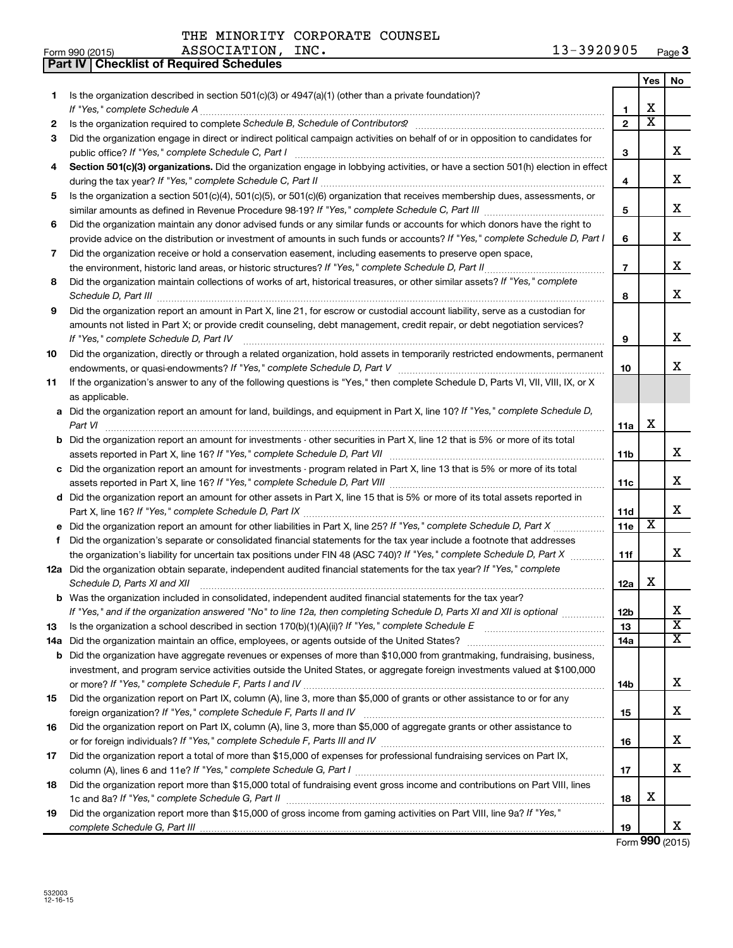| Form 990 (2015) | ASSOCIATION,<br>INC. | 3920905<br>∸∸ | <b>Page J</b> |
|-----------------|----------------------|---------------|---------------|
|-----------------|----------------------|---------------|---------------|

|    | Part IV   Checklist of Required Schedules                                                                                            |                 |                         |                                   |
|----|--------------------------------------------------------------------------------------------------------------------------------------|-----------------|-------------------------|-----------------------------------|
|    |                                                                                                                                      |                 | Yes                     | No                                |
| 1  | Is the organization described in section $501(c)(3)$ or $4947(a)(1)$ (other than a private foundation)?                              |                 |                         |                                   |
|    |                                                                                                                                      | 1               | х                       |                                   |
| 2  |                                                                                                                                      | $\overline{2}$  | $\overline{\text{x}}$   |                                   |
| 3  | Did the organization engage in direct or indirect political campaign activities on behalf of or in opposition to candidates for      |                 |                         |                                   |
|    |                                                                                                                                      | 3               |                         | x                                 |
| 4  | Section 501(c)(3) organizations. Did the organization engage in lobbying activities, or have a section 501(h) election in effect     |                 |                         |                                   |
|    |                                                                                                                                      | 4               |                         | x                                 |
| 5  | Is the organization a section 501(c)(4), 501(c)(5), or 501(c)(6) organization that receives membership dues, assessments, or         |                 |                         |                                   |
|    |                                                                                                                                      | 5               |                         | x                                 |
| 6  | Did the organization maintain any donor advised funds or any similar funds or accounts for which donors have the right to            |                 |                         |                                   |
|    | provide advice on the distribution or investment of amounts in such funds or accounts? If "Yes," complete Schedule D, Part I         | 6               |                         | x                                 |
| 7  | Did the organization receive or hold a conservation easement, including easements to preserve open space,                            |                 |                         |                                   |
|    | the environment, historic land areas, or historic structures? If "Yes," complete Schedule D, Part II                                 | $\overline{7}$  |                         | x                                 |
| 8  | Did the organization maintain collections of works of art, historical treasures, or other similar assets? If "Yes," complete         |                 |                         |                                   |
|    |                                                                                                                                      | 8               |                         | x                                 |
| 9  | Did the organization report an amount in Part X, line 21, for escrow or custodial account liability, serve as a custodian for        |                 |                         |                                   |
|    | amounts not listed in Part X; or provide credit counseling, debt management, credit repair, or debt negotiation services?            |                 |                         |                                   |
|    | If "Yes," complete Schedule D, Part IV                                                                                               | 9               |                         | x                                 |
| 10 | Did the organization, directly or through a related organization, hold assets in temporarily restricted endowments, permanent        |                 |                         |                                   |
|    |                                                                                                                                      | 10              |                         | x                                 |
| 11 | If the organization's answer to any of the following questions is "Yes," then complete Schedule D, Parts VI, VII, VIII, IX, or X     |                 |                         |                                   |
|    | as applicable.                                                                                                                       |                 |                         |                                   |
|    | a Did the organization report an amount for land, buildings, and equipment in Part X, line 10? If "Yes," complete Schedule D,        |                 |                         |                                   |
|    | Part VI                                                                                                                              | 11a             | х                       |                                   |
|    | <b>b</b> Did the organization report an amount for investments - other securities in Part X, line 12 that is 5% or more of its total |                 |                         |                                   |
|    |                                                                                                                                      | 11 <sub>b</sub> |                         | x                                 |
|    | c Did the organization report an amount for investments - program related in Part X, line 13 that is 5% or more of its total         |                 |                         |                                   |
|    |                                                                                                                                      | 11c             |                         | x                                 |
|    | d Did the organization report an amount for other assets in Part X, line 15 that is 5% or more of its total assets reported in       |                 |                         |                                   |
|    |                                                                                                                                      | 11d             |                         | x                                 |
|    | e Did the organization report an amount for other liabilities in Part X, line 25? If "Yes," complete Schedule D, Part X              | 11e             | $\overline{\textbf{x}}$ |                                   |
| f. | Did the organization's separate or consolidated financial statements for the tax year include a footnote that addresses              |                 |                         |                                   |
|    | the organization's liability for uncertain tax positions under FIN 48 (ASC 740)? If "Yes," complete Schedule D, Part X               | 11f             |                         | x                                 |
|    | 12a Did the organization obtain separate, independent audited financial statements for the tax year? If "Yes," complete              |                 |                         |                                   |
|    | Schedule D, Parts XI and XII                                                                                                         | 12a             | х                       |                                   |
|    | b Was the organization included in consolidated, independent audited financial statements for the tax year?                          |                 |                         |                                   |
|    | If "Yes," and if the organization answered "No" to line 12a, then completing Schedule D, Parts XI and XII is optional                | 12b             |                         | х                                 |
| 13 |                                                                                                                                      | 13              |                         | $\overline{\texttt{x}}$           |
|    |                                                                                                                                      | 14a             |                         | $\overline{\mathtt{x}}$           |
|    | <b>b</b> Did the organization have aggregate revenues or expenses of more than \$10,000 from grantmaking, fundraising, business,     |                 |                         |                                   |
|    | investment, and program service activities outside the United States, or aggregate foreign investments valued at \$100,000           |                 |                         |                                   |
|    |                                                                                                                                      | 14 <sub>b</sub> |                         | x                                 |
| 15 | Did the organization report on Part IX, column (A), line 3, more than \$5,000 of grants or other assistance to or for any            |                 |                         |                                   |
|    |                                                                                                                                      | 15              |                         | x                                 |
| 16 | Did the organization report on Part IX, column (A), line 3, more than \$5,000 of aggregate grants or other assistance to             |                 |                         |                                   |
|    |                                                                                                                                      | 16              |                         | x                                 |
| 17 | Did the organization report a total of more than \$15,000 of expenses for professional fundraising services on Part IX,              |                 |                         |                                   |
|    |                                                                                                                                      | 17              |                         | x                                 |
| 18 | Did the organization report more than \$15,000 total of fundraising event gross income and contributions on Part VIII, lines         |                 |                         |                                   |
|    |                                                                                                                                      | 18              | х                       |                                   |
| 19 | Did the organization report more than \$15,000 of gross income from gaming activities on Part VIII, line 9a? If "Yes,"               |                 |                         |                                   |
|    |                                                                                                                                      | 19              |                         | x<br>$T_{\text{max}}$ QOO (001 E) |

Form **990** (2015)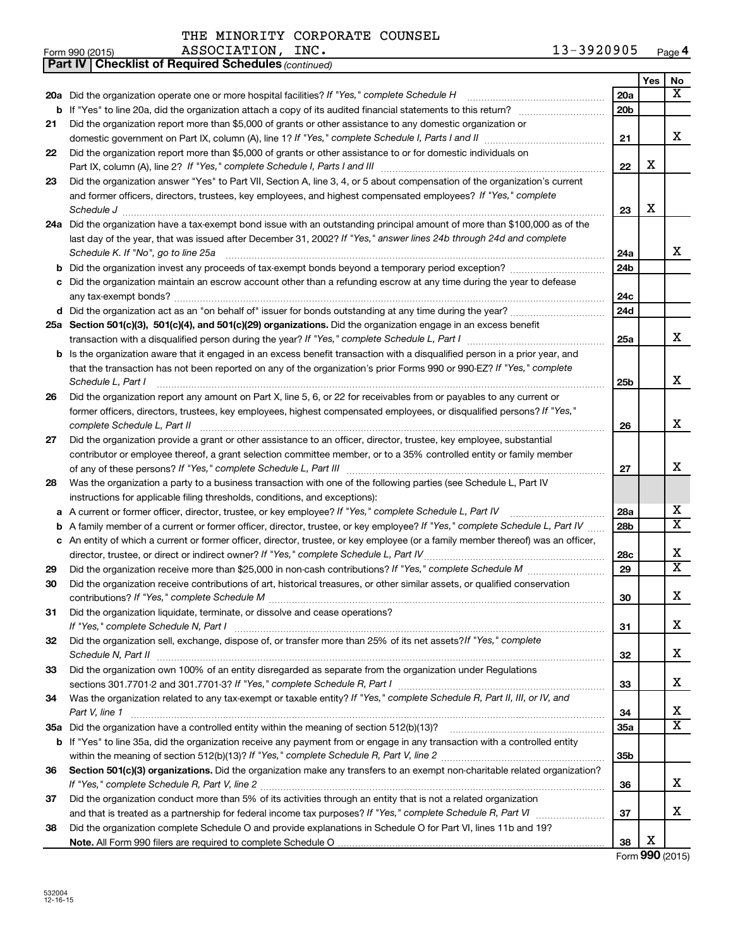|    | 13-3920905<br>ASSOCIATION, INC.<br>Form 990 (2015)                                                                                                                          |                 |            | Page 4                     |
|----|-----------------------------------------------------------------------------------------------------------------------------------------------------------------------------|-----------------|------------|----------------------------|
|    | <b>Part IV   Checklist of Required Schedules (continued)</b>                                                                                                                |                 |            |                            |
|    |                                                                                                                                                                             |                 | <b>Yes</b> | No                         |
|    |                                                                                                                                                                             | 20a             |            | x                          |
|    |                                                                                                                                                                             | 20 <sub>b</sub> |            |                            |
| 21 | Did the organization report more than \$5,000 of grants or other assistance to any domestic organization or                                                                 |                 |            |                            |
|    |                                                                                                                                                                             | 21              |            | x                          |
| 22 | Did the organization report more than \$5,000 of grants or other assistance to or for domestic individuals on                                                               |                 |            |                            |
|    |                                                                                                                                                                             | 22              | X          |                            |
| 23 | Did the organization answer "Yes" to Part VII, Section A, line 3, 4, or 5 about compensation of the organization's current                                                  |                 |            |                            |
|    | and former officers, directors, trustees, key employees, and highest compensated employees? If "Yes," complete                                                              |                 |            |                            |
|    | Schedule J <b>Exercise Construction Construction Construction Construction Construction</b>                                                                                 | 23              | X          |                            |
|    | 24a Did the organization have a tax-exempt bond issue with an outstanding principal amount of more than \$100,000 as of the                                                 |                 |            |                            |
|    | last day of the year, that was issued after December 31, 2002? If "Yes," answer lines 24b through 24d and complete                                                          |                 |            |                            |
|    | Schedule K. If "No", go to line 25a                                                                                                                                         | 24a             |            | x                          |
|    |                                                                                                                                                                             | 24 <sub>b</sub> |            |                            |
|    | c Did the organization maintain an escrow account other than a refunding escrow at any time during the year to defease                                                      |                 |            |                            |
|    |                                                                                                                                                                             | 24c             |            |                            |
|    |                                                                                                                                                                             | 24 <sub>d</sub> |            |                            |
|    | 25a Section 501(c)(3), 501(c)(4), and 501(c)(29) organizations. Did the organization engage in an excess benefit                                                            |                 |            |                            |
|    |                                                                                                                                                                             | 25a             |            | x                          |
|    | <b>b</b> Is the organization aware that it engaged in an excess benefit transaction with a disqualified person in a prior year, and                                         |                 |            |                            |
|    | that the transaction has not been reported on any of the organization's prior Forms 990 or 990-EZ? If "Yes," complete                                                       |                 |            |                            |
|    | Schedule L, Part I                                                                                                                                                          | 25b             |            | х                          |
| 26 | Did the organization report any amount on Part X, line 5, 6, or 22 for receivables from or payables to any current or                                                       |                 |            |                            |
|    | former officers, directors, trustees, key employees, highest compensated employees, or disqualified persons? If "Yes,"                                                      |                 |            |                            |
|    | complete Schedule L, Part II                                                                                                                                                | 26              |            | x                          |
| 27 | Did the organization provide a grant or other assistance to an officer, director, trustee, key employee, substantial                                                        |                 |            |                            |
|    | contributor or employee thereof, a grant selection committee member, or to a 35% controlled entity or family member                                                         |                 |            |                            |
|    |                                                                                                                                                                             | 27              |            | x                          |
| 28 | Was the organization a party to a business transaction with one of the following parties (see Schedule L, Part IV                                                           |                 |            |                            |
|    | instructions for applicable filing thresholds, conditions, and exceptions):                                                                                                 |                 |            |                            |
|    | a A current or former officer, director, trustee, or key employee? If "Yes," complete Schedule L, Part IV                                                                   | 28a             |            | х                          |
|    | <b>b</b> A family member of a current or former officer, director, trustee, or key employee? If "Yes," complete Schedule L, Part IV                                         | 28 <sub>b</sub> |            | $\overline{\texttt{X}}$    |
|    | c An entity of which a current or former officer, director, trustee, or key employee (or a family member thereof) was an officer,                                           |                 |            |                            |
|    |                                                                                                                                                                             | 28c             |            | х                          |
| 29 |                                                                                                                                                                             | 29              |            | $\overline{\mathtt{x}}$    |
| 30 | Did the organization receive contributions of art, historical treasures, or other similar assets, or qualified conservation                                                 |                 |            |                            |
|    |                                                                                                                                                                             | 30              |            | x                          |
| 31 | Did the organization liquidate, terminate, or dissolve and cease operations?                                                                                                |                 |            |                            |
|    |                                                                                                                                                                             | 31              |            | х                          |
| 32 | Did the organization sell, exchange, dispose of, or transfer more than 25% of its net assets?/f "Yes," complete                                                             |                 |            |                            |
|    |                                                                                                                                                                             | 32              |            | х                          |
| 33 | Did the organization own 100% of an entity disregarded as separate from the organization under Regulations                                                                  |                 |            |                            |
|    | sections 301.7701-2 and 301.7701-3? If "Yes," complete Schedule R, Part I [1] [1] [1] [1] [1] [1] sections 301.7701-2 and 301.7701-3? If "Yes," complete Schedule R, Part I | 33              |            | х                          |
| 34 | Was the organization related to any tax-exempt or taxable entity? If "Yes," complete Schedule R, Part II, III, or IV, and                                                   |                 |            |                            |
|    | Part V, line 1                                                                                                                                                              | 34              |            | x<br>$\overline{\text{x}}$ |
|    |                                                                                                                                                                             | 35a             |            |                            |
|    | <b>b</b> If "Yes" to line 35a, did the organization receive any payment from or engage in any transaction with a controlled entity                                          | 35 <sub>b</sub> |            |                            |
| 36 | Section 501(c)(3) organizations. Did the organization make any transfers to an exempt non-charitable related organization?                                                  |                 |            |                            |
|    |                                                                                                                                                                             | 36              |            | х                          |
| 37 | Did the organization conduct more than 5% of its activities through an entity that is not a related organization                                                            |                 |            |                            |
|    |                                                                                                                                                                             | 37              |            | x                          |
| 38 | Did the organization complete Schedule O and provide explanations in Schedule O for Part VI, lines 11b and 19?                                                              |                 |            |                            |
|    |                                                                                                                                                                             | 38              | х          |                            |

Form **990** (2015)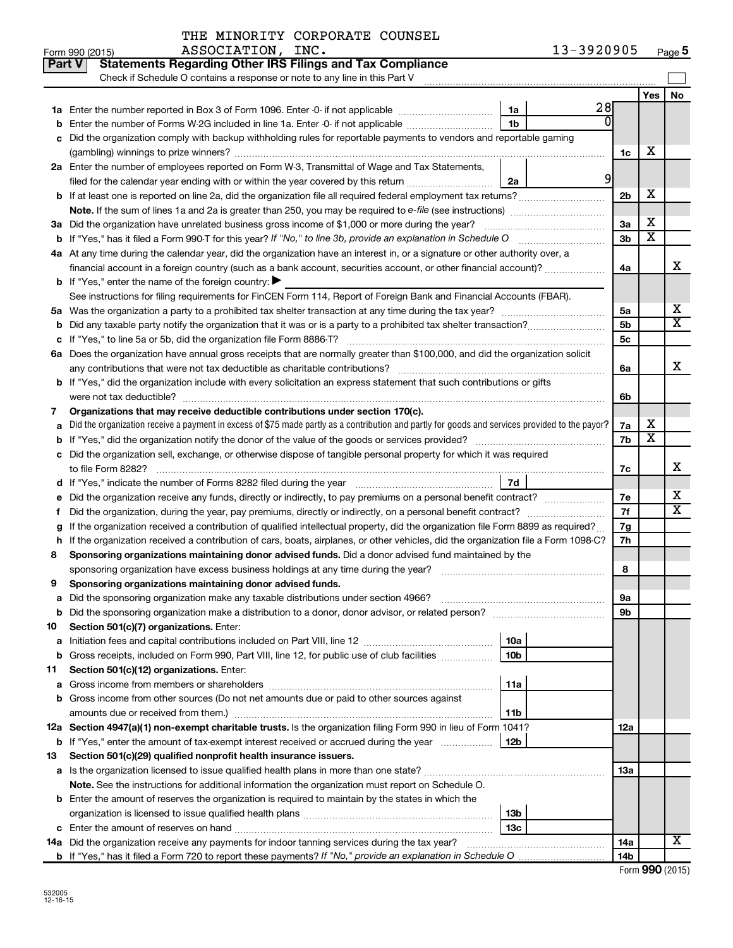|    | 13-3920905<br>ASSOCIATION, INC.<br>Form 990 (2015)                                                                                                                                    |                |                       | Page 5                |
|----|---------------------------------------------------------------------------------------------------------------------------------------------------------------------------------------|----------------|-----------------------|-----------------------|
|    | <b>Statements Regarding Other IRS Filings and Tax Compliance</b><br>Part V                                                                                                            |                |                       |                       |
|    | Check if Schedule O contains a response or note to any line in this Part V                                                                                                            |                |                       |                       |
|    |                                                                                                                                                                                       |                | Yes                   | <b>No</b>             |
|    | 28<br>1a<br>1a Enter the number reported in Box 3 of Form 1096. Enter -0- if not applicable                                                                                           |                |                       |                       |
|    | <b>b</b> Enter the number of Forms W-2G included in line 1a. Enter -0- if not applicable<br>1b                                                                                        |                |                       |                       |
|    | c Did the organization comply with backup withholding rules for reportable payments to vendors and reportable gaming                                                                  |                |                       |                       |
|    |                                                                                                                                                                                       | 1c             | х                     |                       |
|    | 2a Enter the number of employees reported on Form W-3, Transmittal of Wage and Tax Statements,                                                                                        |                |                       |                       |
|    | 9<br>2a<br>filed for the calendar year ending with or within the year covered by this return                                                                                          |                |                       |                       |
|    | b If at least one is reported on line 2a, did the organization file all required federal employment tax returns?                                                                      | 2 <sub>b</sub> | х                     |                       |
|    | Note. If the sum of lines 1a and 2a is greater than 250, you may be required to e-file (see instructions)                                                                             |                |                       |                       |
|    | 3a Did the organization have unrelated business gross income of \$1,000 or more during the year?                                                                                      | 3a             | х                     |                       |
|    |                                                                                                                                                                                       | 3 <sub>b</sub> | $\overline{\text{x}}$ |                       |
|    | 4a At any time during the calendar year, did the organization have an interest in, or a signature or other authority over, a                                                          |                |                       |                       |
|    | financial account in a foreign country (such as a bank account, securities account, or other financial account)?                                                                      | 4a             |                       | х                     |
|    | <b>b</b> If "Yes," enter the name of the foreign country: $\blacktriangleright$                                                                                                       |                |                       |                       |
|    | See instructions for filing requirements for FinCEN Form 114, Report of Foreign Bank and Financial Accounts (FBAR).                                                                   |                |                       |                       |
|    |                                                                                                                                                                                       | 5a             |                       | х                     |
|    |                                                                                                                                                                                       | 5b             |                       | $\overline{\text{x}}$ |
|    |                                                                                                                                                                                       | 5 <sub>c</sub> |                       |                       |
|    | 6a Does the organization have annual gross receipts that are normally greater than \$100,000, and did the organization solicit                                                        |                |                       |                       |
|    | any contributions that were not tax deductible as charitable contributions?                                                                                                           | 6а             |                       | х                     |
|    | <b>b</b> If "Yes," did the organization include with every solicitation an express statement that such contributions or gifts                                                         |                |                       |                       |
|    | were not tax deductible?                                                                                                                                                              | 6b             |                       |                       |
| 7  | Organizations that may receive deductible contributions under section 170(c).                                                                                                         |                |                       |                       |
|    | a Did the organization receive a payment in excess of \$75 made partly as a contribution and partly for goods and services provided to the payor?                                     | 7a             | х                     |                       |
|    | <b>b</b> If "Yes," did the organization notify the donor of the value of the goods or services provided?                                                                              | 7b             | $\overline{\text{x}}$ |                       |
|    | c Did the organization sell, exchange, or otherwise dispose of tangible personal property for which it was required                                                                   |                |                       |                       |
|    | to file Form 8282?                                                                                                                                                                    | 7с             |                       | х                     |
|    | 7d<br>d If "Yes," indicate the number of Forms 8282 filed during the year manufactured in the set of the number of Forms 8282 filed during the year manufactured in the substitution. |                |                       |                       |
|    | e Did the organization receive any funds, directly or indirectly, to pay premiums on a personal benefit contract?                                                                     | 7e             |                       | х                     |
| f. | Did the organization, during the year, pay premiums, directly or indirectly, on a personal benefit contract?                                                                          | 7f             |                       | $\overline{\text{x}}$ |
| g  | If the organization received a contribution of qualified intellectual property, did the organization file Form 8899 as required?                                                      | 7g             |                       |                       |
|    | h If the organization received a contribution of cars, boats, airplanes, or other vehicles, did the organization file a Form 1098-C?                                                  | 7h             |                       |                       |
| 8  | Sponsoring organizations maintaining donor advised funds. Did a donor advised fund maintained by the                                                                                  |                |                       |                       |
|    | sponsoring organization have excess business holdings at any time during the year?                                                                                                    | 8              |                       |                       |
| 9  | Sponsoring organizations maintaining donor advised funds.                                                                                                                             |                |                       |                       |
| а  |                                                                                                                                                                                       | 9а             |                       |                       |
| b  |                                                                                                                                                                                       | 9b             |                       |                       |
| 10 | Section 501(c)(7) organizations. Enter:                                                                                                                                               |                |                       |                       |
| а  | <b>10a</b>                                                                                                                                                                            |                |                       |                       |
| b  | Gross receipts, included on Form 990, Part VIII, line 12, for public use of club facilities<br>10b                                                                                    |                |                       |                       |
| 11 | Section 501(c)(12) organizations. Enter:                                                                                                                                              |                |                       |                       |
| а  | 11a                                                                                                                                                                                   |                |                       |                       |
|    | <b>b</b> Gross income from other sources (Do not net amounts due or paid to other sources against                                                                                     |                |                       |                       |
|    | amounts due or received from them.)<br>11b                                                                                                                                            |                |                       |                       |
|    | 12a Section 4947(a)(1) non-exempt charitable trusts. Is the organization filing Form 990 in lieu of Form 1041?                                                                        | 12a            |                       |                       |
| b  | If "Yes," enter the amount of tax-exempt interest received or accrued during the year<br>12b                                                                                          |                |                       |                       |
| 13 | Section 501(c)(29) qualified nonprofit health insurance issuers.                                                                                                                      |                |                       |                       |
|    | a Is the organization licensed to issue qualified health plans in more than one state?                                                                                                | 1За            |                       |                       |
|    | <b>Note.</b> See the instructions for additional information the organization must report on Schedule O.                                                                              |                |                       |                       |
|    | <b>b</b> Enter the amount of reserves the organization is required to maintain by the states in which the                                                                             |                |                       |                       |
|    | 13b                                                                                                                                                                                   |                |                       |                       |
|    | 13с                                                                                                                                                                                   |                |                       |                       |
|    | 14a Did the organization receive any payments for indoor tanning services during the tax year?                                                                                        | <b>14a</b>     |                       | х                     |
|    |                                                                                                                                                                                       | 14b            |                       |                       |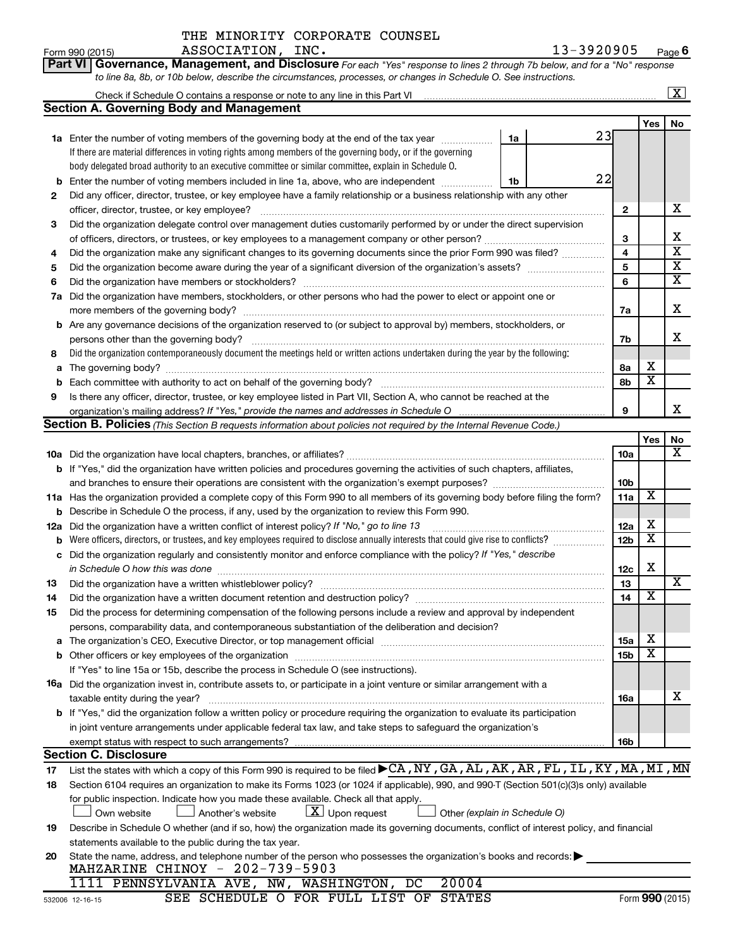| Part VI   Governance, Management, and Disclosure For each "Yes" response to lines 2 through 7b below, and for a "No" response |
|-------------------------------------------------------------------------------------------------------------------------------|
| to line 8a, 8b, or 10b below, describe the circumstances, processes, or changes in Schedule O. See instructions.              |

|     |                                                                                                                                                                                                                  |                 |                              | X                             |  |  |  |
|-----|------------------------------------------------------------------------------------------------------------------------------------------------------------------------------------------------------------------|-----------------|------------------------------|-------------------------------|--|--|--|
|     | Section A. Governing Body and Management                                                                                                                                                                         |                 |                              |                               |  |  |  |
|     |                                                                                                                                                                                                                  |                 | Yes                          | No                            |  |  |  |
|     | 23<br>1a Enter the number of voting members of the governing body at the end of the tax year<br>1a                                                                                                               |                 |                              |                               |  |  |  |
|     | If there are material differences in voting rights among members of the governing body, or if the governing                                                                                                      |                 |                              |                               |  |  |  |
|     | body delegated broad authority to an executive committee or similar committee, explain in Schedule O.                                                                                                            |                 |                              |                               |  |  |  |
| b   | 22<br>Enter the number of voting members included in line 1a, above, who are independent<br>1b                                                                                                                   |                 |                              |                               |  |  |  |
| 2   | Did any officer, director, trustee, or key employee have a family relationship or a business relationship with any other                                                                                         |                 |                              |                               |  |  |  |
|     | officer, director, trustee, or key employee?                                                                                                                                                                     | 2               |                              | x                             |  |  |  |
| 3   | Did the organization delegate control over management duties customarily performed by or under the direct supervision                                                                                            |                 |                              |                               |  |  |  |
|     |                                                                                                                                                                                                                  | 3               |                              | х                             |  |  |  |
| 4   | Did the organization make any significant changes to its governing documents since the prior Form 990 was filed?                                                                                                 | 4               |                              | $\overline{\textbf{x}}$       |  |  |  |
| 5   |                                                                                                                                                                                                                  | 5               |                              | $\overline{\textbf{x}}$       |  |  |  |
| 6   | Did the organization have members or stockholders?                                                                                                                                                               | 6               |                              | $\overline{\mathtt{x}}$       |  |  |  |
| 7a  | Did the organization have members, stockholders, or other persons who had the power to elect or appoint one or                                                                                                   |                 |                              |                               |  |  |  |
|     | more members of the governing body?                                                                                                                                                                              | 7a              |                              | х                             |  |  |  |
|     | <b>b</b> Are any governance decisions of the organization reserved to (or subject to approval by) members, stockholders, or                                                                                      |                 |                              |                               |  |  |  |
|     | persons other than the governing body?                                                                                                                                                                           | 7b              |                              | х                             |  |  |  |
| 8   | Did the organization contemporaneously document the meetings held or written actions undertaken during the year by the following:                                                                                |                 |                              |                               |  |  |  |
| a   | The governing body?                                                                                                                                                                                              | 8а              | х                            |                               |  |  |  |
|     |                                                                                                                                                                                                                  | 8b              | $\overline{\textbf{x}}$      |                               |  |  |  |
| b   | Is there any officer, director, trustee, or key employee listed in Part VII, Section A, who cannot be reached at the                                                                                             |                 |                              |                               |  |  |  |
| 9   |                                                                                                                                                                                                                  |                 |                              | x                             |  |  |  |
|     | <b>Section B. Policies</b> (This Section B requests information about policies not required by the Internal Revenue Code.)                                                                                       | 9               |                              |                               |  |  |  |
|     |                                                                                                                                                                                                                  |                 |                              |                               |  |  |  |
|     |                                                                                                                                                                                                                  |                 | Yes                          | No<br>$\overline{\mathbf{X}}$ |  |  |  |
|     |                                                                                                                                                                                                                  | <b>10a</b>      |                              |                               |  |  |  |
|     | <b>b</b> If "Yes," did the organization have written policies and procedures governing the activities of such chapters, affiliates,                                                                              |                 |                              |                               |  |  |  |
|     |                                                                                                                                                                                                                  | 10 <sub>b</sub> | X                            |                               |  |  |  |
|     | 11a Has the organization provided a complete copy of this Form 990 to all members of its governing body before filing the form?                                                                                  | 11a             |                              |                               |  |  |  |
|     | <b>b</b> Describe in Schedule O the process, if any, used by the organization to review this Form 990.                                                                                                           |                 |                              |                               |  |  |  |
| 12a | Did the organization have a written conflict of interest policy? If "No," go to line 13                                                                                                                          | 12a             | х<br>$\overline{\textbf{x}}$ |                               |  |  |  |
| b   | Were officers, directors, or trustees, and key employees required to disclose annually interests that could give rise to conflicts?                                                                              | 12 <sub>b</sub> |                              |                               |  |  |  |
| с   | Did the organization regularly and consistently monitor and enforce compliance with the policy? If "Yes," describe                                                                                               |                 |                              |                               |  |  |  |
|     | in Schedule O how this was done                                                                                                                                                                                  | 12c             | х                            | $\overline{\mathbf{X}}$       |  |  |  |
| 13  | Did the organization have a written whistleblower policy?                                                                                                                                                        | 13              |                              |                               |  |  |  |
| 14  |                                                                                                                                                                                                                  | 14              | $\overline{\textbf{x}}$      |                               |  |  |  |
| 15  | Did the process for determining compensation of the following persons include a review and approval by independent                                                                                               |                 |                              |                               |  |  |  |
|     | persons, comparability data, and contemporaneous substantiation of the deliberation and decision?                                                                                                                |                 |                              |                               |  |  |  |
|     | The organization's CEO, Executive Director, or top management official manufactured content of the organization's CEO, Executive Director, or top management official manufactured content of the organization's | 15a             | х                            |                               |  |  |  |
|     | <b>b</b> Other officers or key employees of the organization                                                                                                                                                     | 15b             | $\overline{\textbf{x}}$      |                               |  |  |  |
|     | If "Yes" to line 15a or 15b, describe the process in Schedule O (see instructions).                                                                                                                              |                 |                              |                               |  |  |  |
|     | 16a Did the organization invest in, contribute assets to, or participate in a joint venture or similar arrangement with a                                                                                        |                 |                              |                               |  |  |  |
|     | taxable entity during the year?                                                                                                                                                                                  | 16a             |                              | х                             |  |  |  |
|     | <b>b</b> If "Yes," did the organization follow a written policy or procedure requiring the organization to evaluate its participation                                                                            |                 |                              |                               |  |  |  |
|     | in joint venture arrangements under applicable federal tax law, and take steps to safeguard the organization's                                                                                                   |                 |                              |                               |  |  |  |
|     | exempt status with respect to such arrangements?                                                                                                                                                                 | 16b             |                              |                               |  |  |  |
|     | <b>Section C. Disclosure</b>                                                                                                                                                                                     |                 |                              |                               |  |  |  |
| 17  | List the states with which a copy of this Form 990 is required to be filed CA, NY, GA, AL, AK, AR, FL, IL, KY, MA, MI, MN                                                                                        |                 |                              |                               |  |  |  |
| 18  | Section 6104 requires an organization to make its Forms 1023 (or 1024 if applicable), 990, and 990-T (Section 501(c)(3)s only) available                                                                         |                 |                              |                               |  |  |  |
|     | for public inspection. Indicate how you made these available. Check all that apply.                                                                                                                              |                 |                              |                               |  |  |  |
|     | $\lfloor x \rfloor$ Upon request<br>Another's website<br>Other (explain in Schedule O)<br>Own website                                                                                                            |                 |                              |                               |  |  |  |
| 19  | Describe in Schedule O whether (and if so, how) the organization made its governing documents, conflict of interest policy, and financial                                                                        |                 |                              |                               |  |  |  |
|     | statements available to the public during the tax year.                                                                                                                                                          |                 |                              |                               |  |  |  |
| 20  | State the name, address, and telephone number of the person who possesses the organization's books and records:<br>MAHZARINE CHINOY - 202-739-5903                                                               |                 |                              |                               |  |  |  |

|                | 1111 PENNSYLVANIA AVE, NW, WASHINGTON, DC 20004 |  |  |  |                                        |
|----------------|-------------------------------------------------|--|--|--|----------------------------------------|
| $12 - 16 - 15$ |                                                 |  |  |  | SEE SCHEDULE O FOR FULL LIST OF STATES |

532006 12-16-15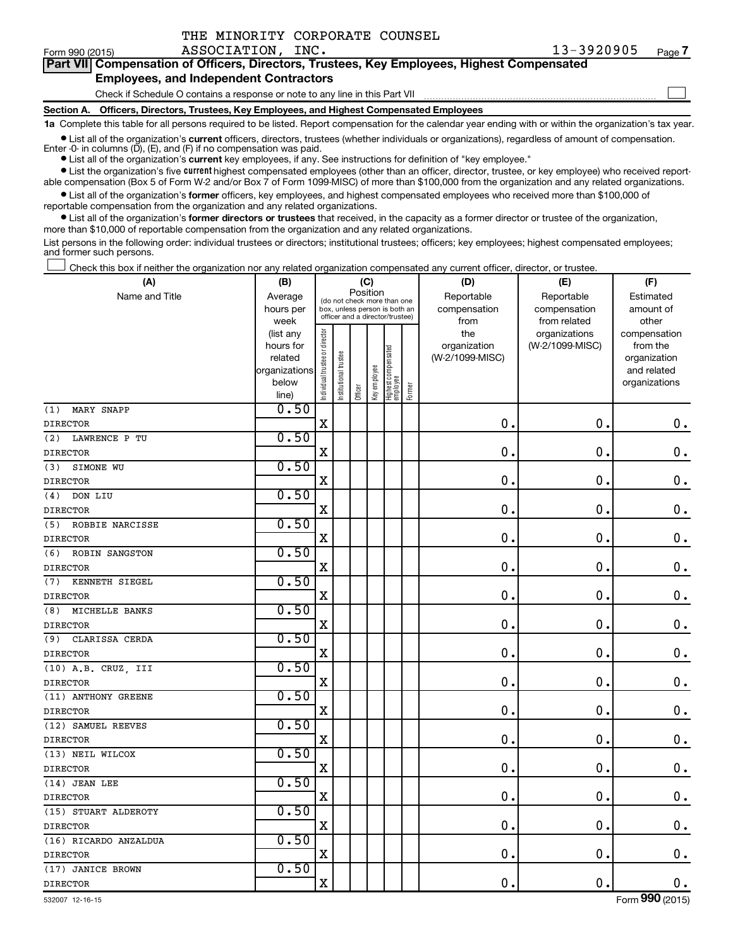| Form 990 (2015)                                                                            | ASSOCIATION, INC.                                                                          | 13-3920905 | Page 7 |  |  |  |  |  |
|--------------------------------------------------------------------------------------------|--------------------------------------------------------------------------------------------|------------|--------|--|--|--|--|--|
| Part VII Compensation of Officers, Directors, Trustees, Key Employees, Highest Compensated |                                                                                            |            |        |  |  |  |  |  |
| <b>Employees, and Independent Contractors</b>                                              |                                                                                            |            |        |  |  |  |  |  |
|                                                                                            | Check if Schedule O contains a response or note to any line in this Part VII               |            |        |  |  |  |  |  |
|                                                                                            | Section A. Officers, Directors, Trustees, Key Employees, and Highest Compensated Employees |            |        |  |  |  |  |  |

**1a**  Complete this table for all persons required to be listed. Report compensation for the calendar year ending with or within the organization's tax year.

**•** List all of the organization's current officers, directors, trustees (whether individuals or organizations), regardless of amount of compensation. Enter -0- in columns (D), (E), and (F) if no compensation was paid.

**•** List all of the organization's **current** key employees, if any. See instructions for definition of "key employee."

THE MINORITY CORPORATE COUNSEL

**•** List the organization's five current highest compensated employees (other than an officer, director, trustee, or key employee) who received reportable compensation (Box 5 of Form W-2 and/or Box 7 of Form 1099-MISC) of more than \$100,000 from the organization and any related organizations.

**•** List all of the organization's former officers, key employees, and highest compensated employees who received more than \$100,000 of reportable compensation from the organization and any related organizations.

**•** List all of the organization's former directors or trustees that received, in the capacity as a former director or trustee of the organization, more than \$10,000 of reportable compensation from the organization and any related organizations.

List persons in the following order: individual trustees or directors; institutional trustees; officers; key employees; highest compensated employees; and former such persons.

Check this box if neither the organization nor any related organization compensated any current officer, director, or trustee. †

| (A)                    | (B)            |                                |                                         | (C)     |                                 |                                 |        | (D)             | (E)             | (F)           |
|------------------------|----------------|--------------------------------|-----------------------------------------|---------|---------------------------------|---------------------------------|--------|-----------------|-----------------|---------------|
| Name and Title         | Average        |                                | Position<br>(do not check more than one |         |                                 |                                 |        | Reportable      | Reportable      | Estimated     |
|                        | hours per      |                                | box, unless person is both an           |         |                                 |                                 |        | compensation    | compensation    | amount of     |
|                        | week           |                                |                                         |         | officer and a director/trustee) |                                 |        | from            | from related    | other         |
|                        | (list any      |                                |                                         |         |                                 |                                 |        | the             | organizations   | compensation  |
|                        | hours for      |                                |                                         |         |                                 |                                 |        | organization    | (W-2/1099-MISC) | from the      |
|                        | related        |                                |                                         |         |                                 |                                 |        | (W-2/1099-MISC) |                 | organization  |
|                        | organizations  |                                |                                         |         |                                 |                                 |        |                 |                 | and related   |
|                        | below<br>line) | Individual trustee or director | Institutional trustee                   | Officer | Key employee                    | Highest compensated<br>employee | Former |                 |                 | organizations |
| MARY SNAPP<br>(1)      | 0.50           |                                |                                         |         |                                 |                                 |        |                 |                 |               |
| <b>DIRECTOR</b>        |                | X                              |                                         |         |                                 |                                 |        | $\mathbf 0$ .   | $\mathbf 0$     | $\mathbf 0$ . |
| (2)<br>LAWRENCE P TU   | 0.50           |                                |                                         |         |                                 |                                 |        |                 |                 |               |
| <b>DIRECTOR</b>        |                | X                              |                                         |         |                                 |                                 |        | 0.              | 0               | $\mathbf 0$ . |
| SIMONE WU<br>(3)       | 0.50           |                                |                                         |         |                                 |                                 |        |                 |                 |               |
| <b>DIRECTOR</b>        |                | X                              |                                         |         |                                 |                                 |        | $\mathbf 0$ .   | $\mathbf 0$     | $\mathbf 0$ . |
| (4)<br>DON LIU         | 0.50           |                                |                                         |         |                                 |                                 |        |                 |                 |               |
| <b>DIRECTOR</b>        |                | X                              |                                         |         |                                 |                                 |        | 0.              | $\mathbf 0$     | $\mathbf 0$ . |
| ROBBIE NARCISSE<br>(5) | 0.50           |                                |                                         |         |                                 |                                 |        |                 |                 |               |
| <b>DIRECTOR</b>        |                | X                              |                                         |         |                                 |                                 |        | 0.              | $\mathbf 0$     | $\mathbf 0$ . |
| (6)<br>ROBIN SANGSTON  | 0.50           |                                |                                         |         |                                 |                                 |        |                 |                 |               |
| <b>DIRECTOR</b>        |                | X                              |                                         |         |                                 |                                 |        | 0.              | 0               | $\mathbf 0$ . |
| KENNETH SIEGEL<br>(7)  | 0.50           |                                |                                         |         |                                 |                                 |        |                 |                 |               |
| <b>DIRECTOR</b>        |                | X                              |                                         |         |                                 |                                 |        | 0.              | $\mathbf 0$     | $\mathbf 0$ . |
| MICHELLE BANKS<br>(8)  | 0.50           |                                |                                         |         |                                 |                                 |        |                 |                 |               |
| <b>DIRECTOR</b>        |                | X                              |                                         |         |                                 |                                 |        | 0.              | $\mathbf 0$     | $\mathbf 0$ . |
| CLARISSA CERDA<br>(9)  | 0.50           |                                |                                         |         |                                 |                                 |        |                 |                 |               |
| <b>DIRECTOR</b>        |                | X                              |                                         |         |                                 |                                 |        | 0.              | $\mathbf 0$     | $\mathbf 0$ . |
| (10) A.B. CRUZ, III    | 0.50           |                                |                                         |         |                                 |                                 |        |                 |                 |               |
| <b>DIRECTOR</b>        |                | X                              |                                         |         |                                 |                                 |        | 0.              | 0               | $\mathbf 0$ . |
| (11) ANTHONY GREENE    | 0.50           |                                |                                         |         |                                 |                                 |        |                 |                 |               |
| <b>DIRECTOR</b>        |                | X                              |                                         |         |                                 |                                 |        | 0.              | $\mathbf 0$     | $\mathbf 0$ . |
| (12) SAMUEL REEVES     | 0.50           |                                |                                         |         |                                 |                                 |        |                 |                 |               |
| <b>DIRECTOR</b>        |                | X                              |                                         |         |                                 |                                 |        | 0.              | $\mathbf 0$     | $\mathbf 0$ . |
| (13) NEIL WILCOX       | 0.50           |                                |                                         |         |                                 |                                 |        |                 |                 |               |
| <b>DIRECTOR</b>        |                | X                              |                                         |         |                                 |                                 |        | 0.              | $\mathbf 0$ .   | $\mathbf 0$ . |
| (14) JEAN LEE          | 0.50           |                                |                                         |         |                                 |                                 |        |                 |                 |               |
| <b>DIRECTOR</b>        |                | X                              |                                         |         |                                 |                                 |        | 0.              | $\mathbf 0$     | $0$ .         |
| (15) STUART ALDEROTY   | 0.50           |                                |                                         |         |                                 |                                 |        |                 |                 |               |
| <b>DIRECTOR</b>        |                | X                              |                                         |         |                                 |                                 |        | 0.              | $\mathbf 0$     | $\mathbf 0$ . |
| (16) RICARDO ANZALDUA  | 0.50           |                                |                                         |         |                                 |                                 |        |                 |                 |               |
| <b>DIRECTOR</b>        |                | X                              |                                         |         |                                 |                                 |        | 0.              | $\mathbf 0$     | $\mathbf 0$ . |
| (17) JANICE BROWN      | 0.50           |                                |                                         |         |                                 |                                 |        |                 |                 |               |
| <b>DIRECTOR</b>        |                | X                              |                                         |         |                                 |                                 |        | 0.              | $\mathbf 0$ .   | $\mathbf 0$ . |
|                        |                |                                |                                         |         |                                 |                                 |        |                 |                 |               |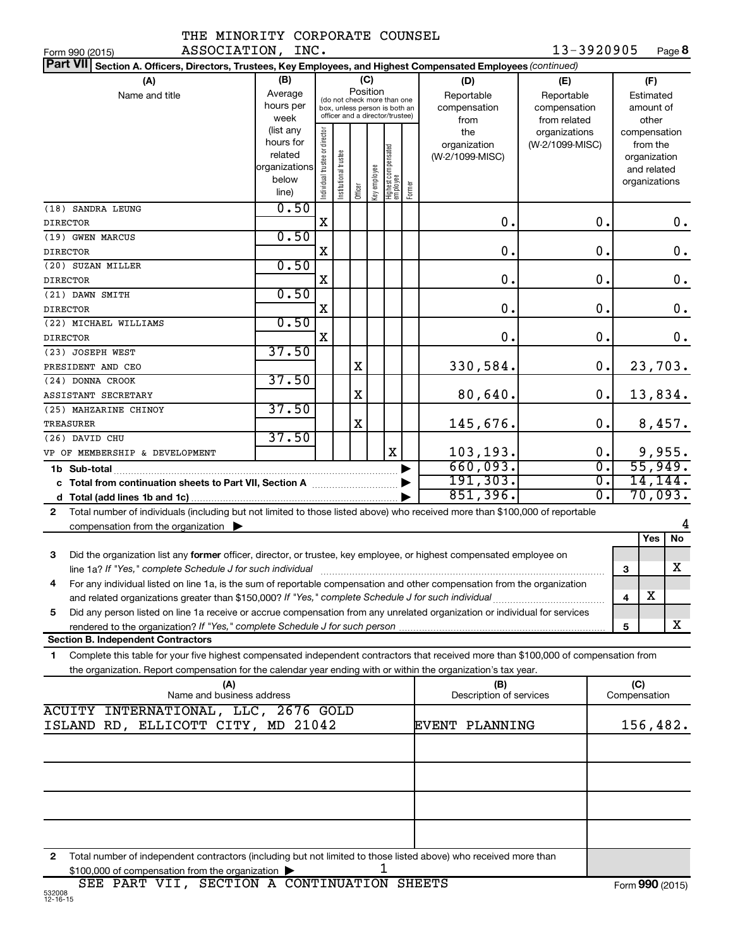|  | THE MINORITY CORPORATE COUNSEL |  |
|--|--------------------------------|--|
|  |                                |  |

| ASSOCIATION, INC.<br>Form 990 (2015)                                                                                                      |                      |                                |                       |         |              |                                                              |        |                                | 13-3920905      |                  |                     |             | Page 8        |
|-------------------------------------------------------------------------------------------------------------------------------------------|----------------------|--------------------------------|-----------------------|---------|--------------|--------------------------------------------------------------|--------|--------------------------------|-----------------|------------------|---------------------|-------------|---------------|
| <b>Part VII</b><br>Section A. Officers, Directors, Trustees, Key Employees, and Highest Compensated Employees (continued)                 |                      |                                |                       |         |              |                                                              |        |                                |                 |                  |                     |             |               |
| (A)                                                                                                                                       | (B)                  |                                |                       | (C)     |              |                                                              |        | (D)                            | (E)             |                  |                     | (F)         |               |
| Name and title                                                                                                                            | Average              |                                |                       |         | Position     |                                                              |        | Reportable                     | Reportable      |                  |                     | Estimated   |               |
|                                                                                                                                           | hours per            |                                |                       |         |              | (do not check more than one<br>box, unless person is both an |        | compensation                   | compensation    |                  |                     | amount of   |               |
|                                                                                                                                           | week                 |                                |                       |         |              | officer and a director/trustee)                              |        | from                           | from related    |                  |                     | other       |               |
|                                                                                                                                           | (list any            |                                |                       |         |              |                                                              |        | the                            | organizations   |                  | compensation        |             |               |
|                                                                                                                                           | hours for<br>related |                                |                       |         |              |                                                              |        | organization                   | (W-2/1099-MISC) |                  |                     | from the    |               |
|                                                                                                                                           | organizations        |                                |                       |         |              |                                                              |        | (W-2/1099-MISC)                |                 |                  | organization        |             |               |
|                                                                                                                                           | below                |                                |                       |         |              |                                                              |        |                                |                 |                  | organizations       | and related |               |
|                                                                                                                                           | line)                | Individual trustee or director | Institutional trustee | Officer | Key employee | Highest compensated<br> employee                             | Former |                                |                 |                  |                     |             |               |
| (18) SANDRA LEUNG                                                                                                                         | 0.50                 |                                |                       |         |              |                                                              |        |                                |                 |                  |                     |             |               |
| <b>DIRECTOR</b>                                                                                                                           |                      | x                              |                       |         |              |                                                              |        | $\mathbf 0$ .                  |                 | 0.               |                     |             | $\mathbf 0$ . |
| (19) GWEN MARCUS                                                                                                                          | 0.50                 |                                |                       |         |              |                                                              |        |                                |                 |                  |                     |             |               |
| <b>DIRECTOR</b>                                                                                                                           |                      | X                              |                       |         |              |                                                              |        | 0.                             |                 | 0.               |                     |             | $\mathbf 0$ . |
| (20) SUZAN MILLER                                                                                                                         | 0.50                 |                                |                       |         |              |                                                              |        |                                |                 |                  |                     |             |               |
| <b>DIRECTOR</b>                                                                                                                           |                      | X                              |                       |         |              |                                                              |        | 0.                             |                 | 0.               |                     |             | $\mathbf 0$ . |
| (21) DAWN SMITH                                                                                                                           | 0.50                 |                                |                       |         |              |                                                              |        |                                |                 |                  |                     |             |               |
| <b>DIRECTOR</b>                                                                                                                           |                      | X                              |                       |         |              |                                                              |        | 0.                             |                 | 0.               |                     |             | $\mathbf 0$ . |
| (22) MICHAEL WILLIAMS                                                                                                                     | 0.50                 |                                |                       |         |              |                                                              |        |                                |                 |                  |                     |             |               |
| <b>DIRECTOR</b>                                                                                                                           |                      | X                              |                       |         |              |                                                              |        | 0.                             |                 | 0.               |                     |             | $\mathbf 0$ . |
| (23) JOSEPH WEST                                                                                                                          | 37.50                |                                |                       |         |              |                                                              |        |                                |                 |                  |                     |             |               |
| PRESIDENT AND CEO                                                                                                                         |                      |                                |                       | X       |              |                                                              |        | 330,584.                       |                 | 0.               |                     |             | 23,703.       |
| (24) DONNA CROOK                                                                                                                          | 37.50                |                                |                       |         |              |                                                              |        |                                |                 |                  |                     |             |               |
| ASSISTANT SECRETARY                                                                                                                       | 37.50                |                                |                       | X       |              |                                                              |        | 80,640.                        |                 | 0.               |                     |             | 13,834.       |
| (25) MAHZARINE CHINOY<br>TREASURER                                                                                                        |                      |                                |                       | Χ       |              |                                                              |        | 145,676.                       |                 | 0.               |                     |             | 8,457.        |
| (26) DAVID CHU                                                                                                                            | 37.50                |                                |                       |         |              |                                                              |        |                                |                 |                  |                     |             |               |
| VP OF MEMBERSHIP & DEVELOPMENT                                                                                                            |                      |                                |                       |         |              | X                                                            |        | 103,193.                       |                 | 0.               |                     |             | 9,955.        |
|                                                                                                                                           |                      |                                |                       |         |              |                                                              |        | 660,093.                       |                 | $\overline{0}$ . |                     |             | 55,949.       |
| 1b Sub-total                                                                                                                              |                      |                                |                       |         |              |                                                              |        | 191, 303.                      |                 | $\overline{0}$ . |                     |             | 14, 144.      |
| c Total from continuation sheets to Part VII, Section A manuscreen continuum                                                              |                      |                                |                       |         |              |                                                              |        | 851,396.                       |                 | $\overline{0}$ . |                     |             | 70,093.       |
| Total number of individuals (including but not limited to those listed above) who received more than \$100,000 of reportable<br>2         |                      |                                |                       |         |              |                                                              |        |                                |                 |                  |                     |             |               |
| compensation from the organization $\blacktriangleright$                                                                                  |                      |                                |                       |         |              |                                                              |        |                                |                 |                  |                     |             |               |
|                                                                                                                                           |                      |                                |                       |         |              |                                                              |        |                                |                 |                  |                     | Yes         | No            |
| 3<br>Did the organization list any former officer, director, or trustee, key employee, or highest compensated employee on                 |                      |                                |                       |         |              |                                                              |        |                                |                 |                  |                     |             |               |
| line 1a? If "Yes," complete Schedule J for such individual manufacture content to the successive complete schedu                          |                      |                                |                       |         |              |                                                              |        |                                |                 |                  | 3                   |             | X             |
| For any individual listed on line 1a, is the sum of reportable compensation and other compensation from the organization                  |                      |                                |                       |         |              |                                                              |        |                                |                 |                  |                     |             |               |
| and related organizations greater than \$150,000? If "Yes," complete Schedule J for such individual                                       |                      |                                |                       |         |              |                                                              |        |                                |                 |                  | 4                   | х           |               |
| Did any person listed on line 1a receive or accrue compensation from any unrelated organization or individual for services<br>5           |                      |                                |                       |         |              |                                                              |        |                                |                 |                  |                     |             |               |
| rendered to the organization? If "Yes," complete Schedule J for such person                                                               |                      |                                |                       |         |              |                                                              |        |                                |                 |                  | 5                   |             | x             |
| <b>Section B. Independent Contractors</b>                                                                                                 |                      |                                |                       |         |              |                                                              |        |                                |                 |                  |                     |             |               |
| Complete this table for your five highest compensated independent contractors that received more than \$100,000 of compensation from<br>1 |                      |                                |                       |         |              |                                                              |        |                                |                 |                  |                     |             |               |
| the organization. Report compensation for the calendar year ending with or within the organization's tax year.                            |                      |                                |                       |         |              |                                                              |        |                                |                 |                  |                     |             |               |
| (A)<br>Name and business address                                                                                                          |                      |                                |                       |         |              |                                                              |        | (B)<br>Description of services |                 |                  | (C)<br>Compensation |             |               |
| ACUITY INTERNATIONAL, LLC, 2676 GOLD                                                                                                      |                      |                                |                       |         |              |                                                              |        |                                |                 |                  |                     |             |               |
| ISLAND RD, ELLICOTT CITY, MD 21042                                                                                                        |                      |                                |                       |         |              |                                                              |        | <b>EVENT PLANNING</b>          |                 |                  | 156,482.            |             |               |
|                                                                                                                                           |                      |                                |                       |         |              |                                                              |        |                                |                 |                  |                     |             |               |
|                                                                                                                                           |                      |                                |                       |         |              |                                                              |        |                                |                 |                  |                     |             |               |
|                                                                                                                                           |                      |                                |                       |         |              |                                                              |        |                                |                 |                  |                     |             |               |
|                                                                                                                                           |                      |                                |                       |         |              |                                                              |        |                                |                 |                  |                     |             |               |
|                                                                                                                                           |                      |                                |                       |         |              |                                                              |        |                                |                 |                  |                     |             |               |
|                                                                                                                                           |                      |                                |                       |         |              |                                                              |        |                                |                 |                  |                     |             |               |
|                                                                                                                                           |                      |                                |                       |         |              |                                                              |        |                                |                 |                  |                     |             |               |
|                                                                                                                                           |                      |                                |                       |         |              |                                                              |        |                                |                 |                  |                     |             |               |

**2** Total number of independent contractors (including but not limited to those listed above) who received more than  $$100,000$  of compensation from the organization  $\blacktriangleright$  1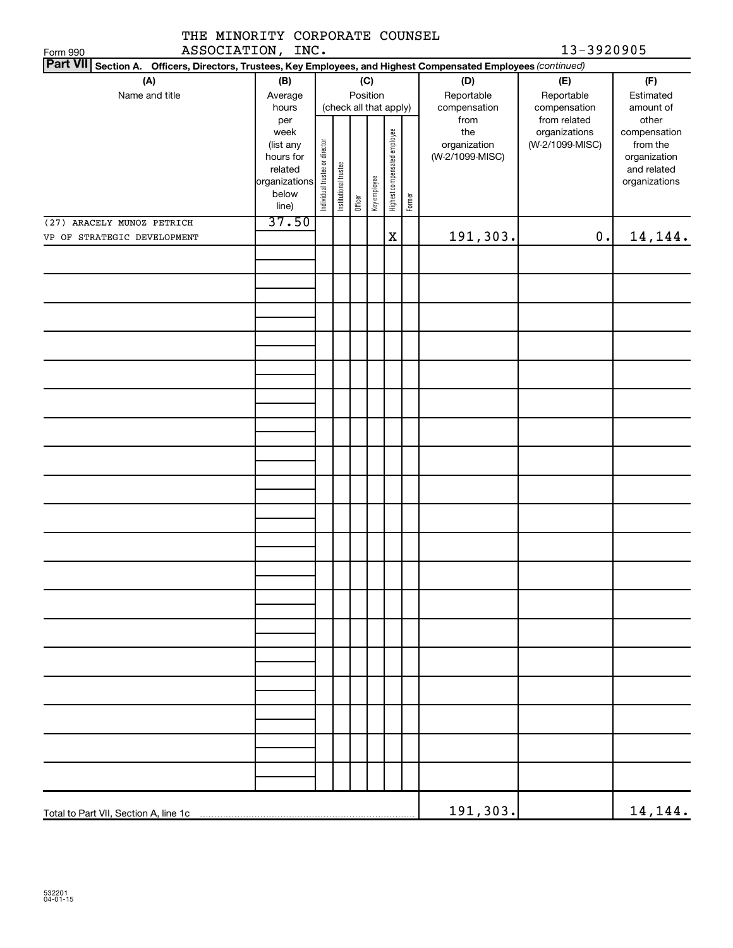| THE MINORITY CORPORATE COUNSEL<br>ASSOCIATION, INC.<br>Form 990                                                 |               |                                |                        |         |              |                              |        |                 | 13-3920905      |               |
|-----------------------------------------------------------------------------------------------------------------|---------------|--------------------------------|------------------------|---------|--------------|------------------------------|--------|-----------------|-----------------|---------------|
| Part VII Section A. Officers, Directors, Trustees, Key Employees, and Highest Compensated Employees (continued) |               |                                |                        |         |              |                              |        |                 |                 |               |
| (A)                                                                                                             | (B)           |                                |                        |         | (C)          |                              |        | (D)             | (E)             | (F)           |
| Name and title                                                                                                  |               |                                |                        |         | Position     |                              |        | Reportable      | Reportable      | Estimated     |
|                                                                                                                 | Average       |                                |                        |         |              |                              |        |                 |                 |               |
|                                                                                                                 | hours         |                                | (check all that apply) |         |              |                              |        | compensation    | compensation    | amount of     |
|                                                                                                                 | per           |                                |                        |         |              |                              |        | from            | from related    | other         |
|                                                                                                                 | week          |                                |                        |         |              |                              |        | the             | organizations   | compensation  |
|                                                                                                                 | (list any     |                                |                        |         |              |                              |        | organization    | (W-2/1099-MISC) | from the      |
|                                                                                                                 | hours for     |                                |                        |         |              |                              |        | (W-2/1099-MISC) |                 | organization  |
|                                                                                                                 | related       |                                |                        |         |              |                              |        |                 |                 | and related   |
|                                                                                                                 | organizations |                                |                        |         |              |                              |        |                 |                 | organizations |
|                                                                                                                 | below         | Individual trustee or director | Institutional trustee  | Officer | Key employee | Highest compensated employee | Former |                 |                 |               |
|                                                                                                                 | line)         |                                |                        |         |              |                              |        |                 |                 |               |
| (27) ARACELY MUNOZ PETRICH                                                                                      | 37.50         |                                |                        |         |              |                              |        |                 |                 |               |
| VP OF STRATEGIC DEVELOPMENT                                                                                     |               |                                |                        |         |              | $\mathbf X$                  |        | 191,303.        | 0.              | 14,144.       |
|                                                                                                                 |               |                                |                        |         |              |                              |        |                 |                 |               |
|                                                                                                                 |               |                                |                        |         |              |                              |        |                 |                 |               |
|                                                                                                                 |               |                                |                        |         |              |                              |        |                 |                 |               |
|                                                                                                                 |               |                                |                        |         |              |                              |        |                 |                 |               |
|                                                                                                                 |               |                                |                        |         |              |                              |        |                 |                 |               |
|                                                                                                                 |               |                                |                        |         |              |                              |        |                 |                 |               |
|                                                                                                                 |               |                                |                        |         |              |                              |        |                 |                 |               |
|                                                                                                                 |               |                                |                        |         |              |                              |        |                 |                 |               |
|                                                                                                                 |               |                                |                        |         |              |                              |        |                 |                 |               |
|                                                                                                                 |               |                                |                        |         |              |                              |        |                 |                 |               |
|                                                                                                                 |               |                                |                        |         |              |                              |        |                 |                 |               |
|                                                                                                                 |               |                                |                        |         |              |                              |        |                 |                 |               |
|                                                                                                                 |               |                                |                        |         |              |                              |        |                 |                 |               |
|                                                                                                                 |               |                                |                        |         |              |                              |        |                 |                 |               |
|                                                                                                                 |               |                                |                        |         |              |                              |        |                 |                 |               |
|                                                                                                                 |               |                                |                        |         |              |                              |        |                 |                 |               |
|                                                                                                                 |               |                                |                        |         |              |                              |        |                 |                 |               |
|                                                                                                                 |               |                                |                        |         |              |                              |        |                 |                 |               |
|                                                                                                                 |               |                                |                        |         |              |                              |        |                 |                 |               |
|                                                                                                                 |               |                                |                        |         |              |                              |        |                 |                 |               |
|                                                                                                                 |               |                                |                        |         |              |                              |        |                 |                 |               |
|                                                                                                                 |               |                                |                        |         |              |                              |        |                 |                 |               |
|                                                                                                                 |               |                                |                        |         |              |                              |        |                 |                 |               |
|                                                                                                                 |               |                                |                        |         |              |                              |        |                 |                 |               |
|                                                                                                                 |               |                                |                        |         |              |                              |        |                 |                 |               |
|                                                                                                                 |               |                                |                        |         |              |                              |        |                 |                 |               |
|                                                                                                                 |               |                                |                        |         |              |                              |        |                 |                 |               |
|                                                                                                                 |               |                                |                        |         |              |                              |        |                 |                 |               |
|                                                                                                                 |               |                                |                        |         |              |                              |        |                 |                 |               |
|                                                                                                                 |               |                                |                        |         |              |                              |        |                 |                 |               |
|                                                                                                                 |               |                                |                        |         |              |                              |        |                 |                 |               |
|                                                                                                                 |               |                                |                        |         |              |                              |        |                 |                 |               |
|                                                                                                                 |               |                                |                        |         |              |                              |        |                 |                 |               |
|                                                                                                                 |               |                                |                        |         |              |                              |        |                 |                 |               |
|                                                                                                                 |               |                                |                        |         |              |                              |        |                 |                 |               |
|                                                                                                                 |               |                                |                        |         |              |                              |        |                 |                 |               |
|                                                                                                                 |               |                                |                        |         |              |                              |        |                 |                 |               |
|                                                                                                                 |               |                                |                        |         |              |                              |        |                 |                 |               |
|                                                                                                                 |               |                                |                        |         |              |                              |        |                 |                 |               |
|                                                                                                                 |               |                                |                        |         |              |                              |        |                 |                 |               |
|                                                                                                                 |               |                                |                        |         |              |                              |        |                 |                 |               |
|                                                                                                                 |               |                                |                        |         |              |                              |        |                 |                 |               |
|                                                                                                                 |               |                                |                        |         |              |                              |        |                 |                 |               |
|                                                                                                                 |               |                                |                        |         |              |                              |        |                 |                 |               |
|                                                                                                                 |               |                                |                        |         |              |                              |        | 191,303.        |                 | 14, 144.      |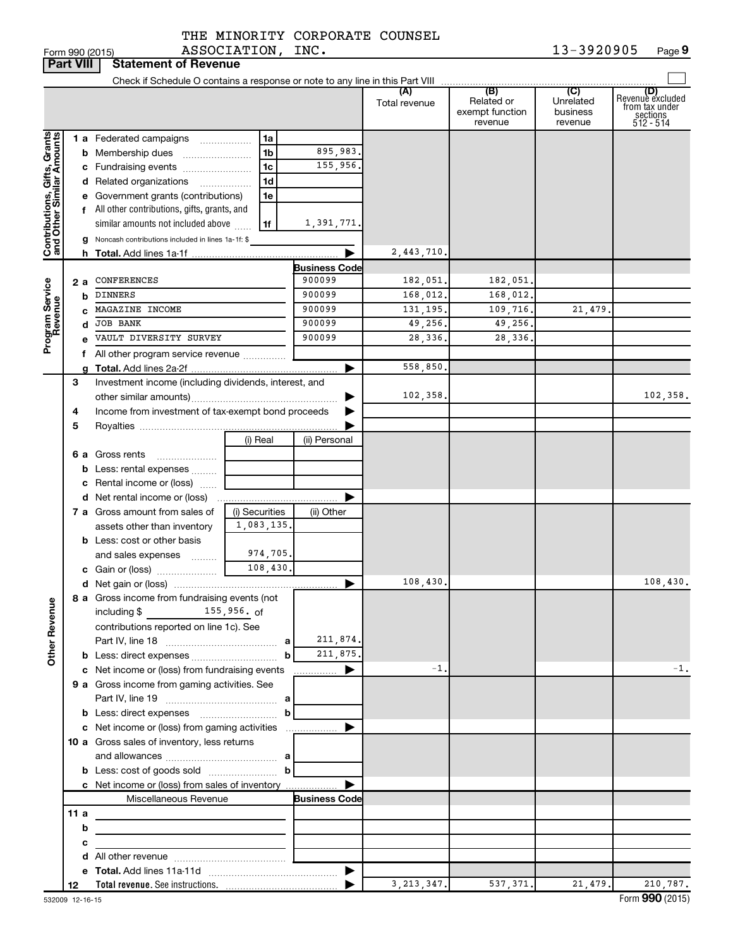|                              | <b>Part VIII</b> |   | <b>Statement of Revenue</b>                                              |                     |   |                      |               |                                          |                                  |                                                                    |
|------------------------------|------------------|---|--------------------------------------------------------------------------|---------------------|---|----------------------|---------------|------------------------------------------|----------------------------------|--------------------------------------------------------------------|
|                              |                  |   |                                                                          |                     |   |                      |               |                                          |                                  |                                                                    |
|                              |                  |   |                                                                          |                     |   |                      | Total revenue | Related or<br>exempt function<br>revenue | Unrelated<br>business<br>revenue | (D)<br>Revenuè excluded<br>from tax under<br>sections<br>512 - 514 |
|                              |                  |   | 1 a Federated campaigns                                                  | 1a                  |   |                      |               |                                          |                                  |                                                                    |
| Contributions, Gifts, Grants |                  |   | <b>b</b> Membership dues                                                 | 1 <sub>b</sub>      |   | 895,983.             |               |                                          |                                  |                                                                    |
|                              |                  |   | c Fundraising events                                                     | 1 <sub>c</sub>      |   | 155,956.             |               |                                          |                                  |                                                                    |
|                              |                  |   | d Related organizations                                                  | 1 <sub>d</sub><br>. |   |                      |               |                                          |                                  |                                                                    |
|                              |                  |   | e Government grants (contributions)                                      | 1e                  |   |                      |               |                                          |                                  |                                                                    |
|                              |                  |   | f All other contributions, gifts, grants, and                            |                     |   |                      |               |                                          |                                  |                                                                    |
|                              |                  |   | similar amounts not included above                                       | 1f                  |   | 1,391,771.           |               |                                          |                                  |                                                                    |
|                              |                  |   | g Noncash contributions included in lines 1a-1f: \$                      |                     |   |                      |               |                                          |                                  |                                                                    |
|                              |                  |   |                                                                          |                     |   | ▶                    | 2,443,710.    |                                          |                                  |                                                                    |
|                              |                  |   |                                                                          |                     |   | <b>Business Code</b> |               |                                          |                                  |                                                                    |
| Program Service<br>Revenue   | 2а               |   | CONFERENCES                                                              |                     |   | 900099               | 182,051.      | 182,051.                                 |                                  |                                                                    |
|                              |                  | b | <b>DINNERS</b>                                                           |                     |   | 900099               | 168,012.      | 168,012.                                 |                                  |                                                                    |
|                              |                  |   | MAGAZINE INCOME                                                          |                     |   | 900099               | 131, 195.     | 109,716.                                 | 21,479                           |                                                                    |
|                              |                  | d | <b>JOB BANK</b><br>VAULT DIVERSITY SURVEY                                |                     |   | 900099<br>900099     | 49,256.       | 49,256.<br>28,336.                       |                                  |                                                                    |
|                              |                  |   |                                                                          |                     |   |                      | 28,336.       |                                          |                                  |                                                                    |
|                              |                  |   | f All other program service revenue                                      |                     |   | ▶                    | 558,850.      |                                          |                                  |                                                                    |
|                              | З                |   | Investment income (including dividends, interest, and                    |                     |   |                      |               |                                          |                                  |                                                                    |
|                              |                  |   |                                                                          |                     |   |                      | 102,358.      |                                          |                                  | 102,358.                                                           |
|                              | 4                |   | Income from investment of tax-exempt bond proceeds                       |                     |   |                      |               |                                          |                                  |                                                                    |
|                              | 5                |   |                                                                          |                     |   |                      |               |                                          |                                  |                                                                    |
|                              |                  |   |                                                                          | (i) Real            |   | (ii) Personal        |               |                                          |                                  |                                                                    |
|                              |                  |   | <b>6 a</b> Gross rents                                                   |                     |   |                      |               |                                          |                                  |                                                                    |
|                              |                  |   | <b>b</b> Less: rental expenses                                           |                     |   |                      |               |                                          |                                  |                                                                    |
|                              |                  |   | <b>c</b> Rental income or (loss) $\ldots$                                |                     |   |                      |               |                                          |                                  |                                                                    |
|                              |                  |   |                                                                          |                     |   | Þ                    |               |                                          |                                  |                                                                    |
|                              |                  |   | 7 a Gross amount from sales of                                           | (i) Securities      |   | (ii) Other           |               |                                          |                                  |                                                                    |
|                              |                  |   | assets other than inventory                                              | 1,083,135.          |   |                      |               |                                          |                                  |                                                                    |
|                              |                  |   | <b>b</b> Less: cost or other basis                                       |                     |   |                      |               |                                          |                                  |                                                                    |
|                              |                  |   | and sales expenses                                                       | 974,705.            |   |                      |               |                                          |                                  |                                                                    |
|                              |                  |   | c Gain or (loss)                                                         | 108,430.            |   |                      |               |                                          |                                  |                                                                    |
|                              |                  |   |                                                                          |                     |   | ▶                    | 108,430.      |                                          |                                  | 108,430.                                                           |
|                              |                  |   | 8 a Gross income from fundraising events (not                            |                     |   |                      |               |                                          |                                  |                                                                    |
| <b>Other Revenue</b>         |                  |   | $155,956.$ of<br>including \$<br>contributions reported on line 1c). See |                     |   |                      |               |                                          |                                  |                                                                    |
|                              |                  |   |                                                                          |                     |   | 211,874.             |               |                                          |                                  |                                                                    |
|                              |                  |   | <b>b</b> Less: direct expenses <b>contained b</b> Less:                  |                     | b | 211,875.             |               |                                          |                                  |                                                                    |
|                              |                  |   | c Net income or (loss) from fundraising events                           |                     |   | ▶<br>.               | $-1$ .        |                                          |                                  | $-1$ .                                                             |
|                              |                  |   | 9 a Gross income from gaming activities. See                             |                     |   |                      |               |                                          |                                  |                                                                    |
|                              |                  |   |                                                                          |                     |   |                      |               |                                          |                                  |                                                                    |
|                              |                  |   | <b>b</b> Less: direct expenses <b>contained b</b>                        |                     |   |                      |               |                                          |                                  |                                                                    |
|                              |                  |   | c Net income or (loss) from gaming activities                            |                     |   | ▶                    |               |                                          |                                  |                                                                    |
|                              |                  |   | 10 a Gross sales of inventory, less returns                              |                     |   |                      |               |                                          |                                  |                                                                    |
|                              |                  |   |                                                                          |                     |   |                      |               |                                          |                                  |                                                                    |
|                              |                  |   |                                                                          |                     |   |                      |               |                                          |                                  |                                                                    |
|                              |                  |   | c Net income or (loss) from sales of inventory                           |                     |   | ▶                    |               |                                          |                                  |                                                                    |
|                              |                  |   | Miscellaneous Revenue                                                    |                     |   | <b>Business Code</b> |               |                                          |                                  |                                                                    |
|                              | 11a              |   |                                                                          |                     |   |                      |               |                                          |                                  |                                                                    |
|                              |                  | b |                                                                          |                     |   |                      |               |                                          |                                  |                                                                    |
|                              |                  | с | <u> 1980 - Jan Barbara (j. 1980)</u>                                     |                     |   |                      |               |                                          |                                  |                                                                    |
|                              |                  |   |                                                                          |                     |   |                      |               |                                          |                                  |                                                                    |
|                              |                  |   |                                                                          |                     |   |                      |               |                                          |                                  |                                                                    |
|                              | 12               |   |                                                                          |                     |   |                      | 3, 213, 347.  | 537, 371.                                | 21,479.                          | 210,787.                                                           |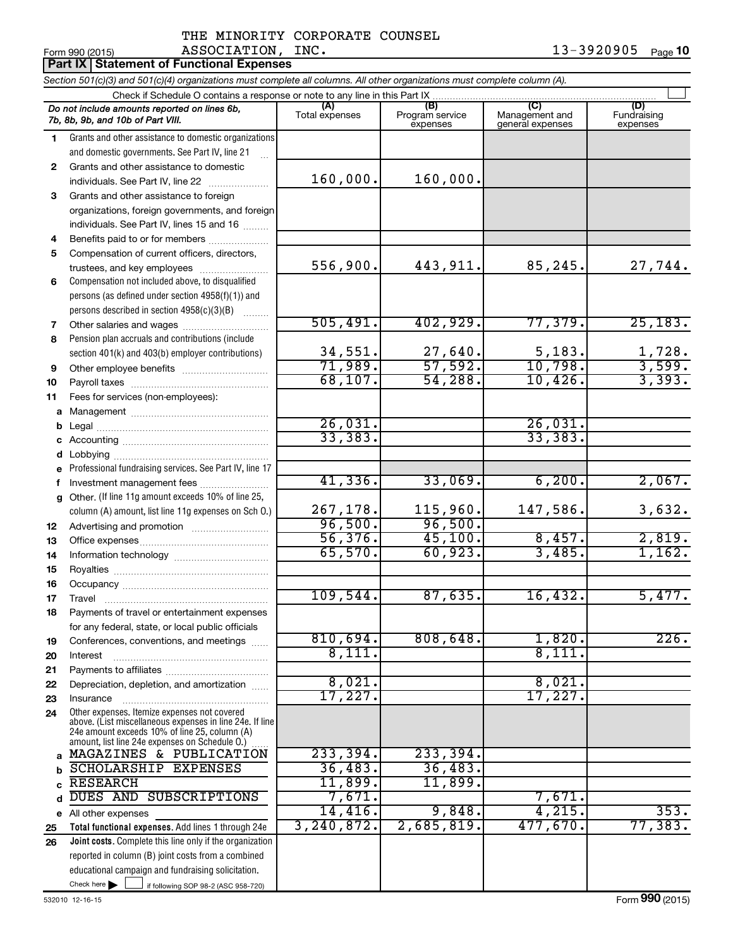|                | ASSOCIATION,<br>Form 990 (2015)<br><b>Part IX Statement of Functional Expenses</b>                                                                  | INC.                |                             |                                    | 13-3920905<br>Page 10          |
|----------------|-----------------------------------------------------------------------------------------------------------------------------------------------------|---------------------|-----------------------------|------------------------------------|--------------------------------|
|                | Section 501(c)(3) and 501(c)(4) organizations must complete all columns. All other organizations must complete column (A).                          |                     |                             |                                    |                                |
|                |                                                                                                                                                     |                     |                             |                                    |                                |
|                | Do not include amounts reported on lines 6b,<br>7b, 8b, 9b, and 10b of Part VIII.                                                                   | Total expenses      | Program service<br>expenses | Management and<br>general expenses | (D)<br>Fundraising<br>expenses |
| $\blacksquare$ | Grants and other assistance to domestic organizations<br>and domestic governments. See Part IV, line 21                                             |                     |                             |                                    |                                |
| 2              | Grants and other assistance to domestic<br>individuals. See Part IV, line 22                                                                        | 160,000.            | 160,000.                    |                                    |                                |
| 3              | Grants and other assistance to foreign<br>organizations, foreign governments, and foreign<br>individuals. See Part IV, lines 15 and 16              |                     |                             |                                    |                                |
| 4              | Benefits paid to or for members                                                                                                                     |                     |                             |                                    |                                |
| 5              | Compensation of current officers, directors,<br>trustees, and key employees                                                                         | 556,900.            | 443,911.                    | 85,245.                            | 27,744.                        |
| 6              | Compensation not included above, to disqualified<br>persons (as defined under section 4958(f)(1)) and<br>persons described in section 4958(c)(3)(B) |                     |                             |                                    |                                |
| 7              | Other salaries and wages                                                                                                                            | 505,491.            | 402,929.                    | 77,379.                            | 25, 183.                       |
| 8              | Pension plan accruals and contributions (include<br>section 401(k) and 403(b) employer contributions)                                               | 34,551.             | 27,640.                     | 5,183.                             | 1,728.                         |
| 9              |                                                                                                                                                     | 71,989.<br>68, 107. | 57,592.<br>54,288.          | 10,798.                            | 3,599.<br>3,393.               |
| 10<br>11       | Fees for services (non-employees):                                                                                                                  |                     |                             | 10,426.                            |                                |
|                |                                                                                                                                                     |                     |                             |                                    |                                |
|                |                                                                                                                                                     | 26,031.             |                             | 26,031.                            |                                |
|                |                                                                                                                                                     | 33, 383.            |                             | 33,383.                            |                                |
|                |                                                                                                                                                     |                     |                             |                                    |                                |
|                | e Professional fundraising services. See Part IV, line 17<br>f Investment management fees                                                           | 41,336.             | 33,069.                     | 6, 200.                            | 2,067.                         |
|                | g Other. (If line 11g amount exceeds 10% of line 25,<br>column (A) amount, list line 11g expenses on Sch O.)                                        | 267,178.<br>96,500. | 115,960.<br>96,500.         | 147,586.                           | 3,632.                         |
| 12             |                                                                                                                                                     | 56,376.             | 45,100.                     | 8,457.                             | 2,819.                         |
| 13<br>14       |                                                                                                                                                     | 65,570.             | 60,923.                     | 3,485.                             | 1,162.                         |
| 15             |                                                                                                                                                     |                     |                             |                                    |                                |
| 16             |                                                                                                                                                     |                     |                             |                                    |                                |
| 17             |                                                                                                                                                     | 109,544.            | 87,635.                     | 16,432.                            | 5,477.                         |
| 18             | Payments of travel or entertainment expenses<br>for any federal, state, or local public officials                                                   |                     |                             |                                    |                                |
| 19             | Conferences, conventions, and meetings                                                                                                              | 810,694.            | 808,648.                    | 1,820.                             | 226.                           |
| 20             | Interest                                                                                                                                            | 8,111.              |                             | 8,111.                             |                                |

**e** All other expenses

Check here  $\blacktriangleright$ 

> **b c**

**25 26**

Check here  $\begin{array}{c} \begin{array}{|c} \hline \end{array} \end{array}$  if following SOP 98-2 (ASC 958-720)

reported in column (B) joint costs from a combined educational campaign and fundraising solicitation.

**Total functional expenses.**  Add lines 1 through 24e **Joint costs.** Complete this line only if the organization

Other expenses. Itemize expenses not covered above. (List miscellaneous expenses in line 24e. If line 24e amount exceeds 10% of line 25, column (A) amount, list line 24e expenses on Schedule O.)

Interest ~~~~~~~~~~~~~~~~~~ Payments to affiliates ~~~~~~~~~~~~ Depreciation, depletion, and amortization ...... Insurance ~~~~~~~~~~~~~~~~~

**a** MAGAZINES & PUBLICATION 233,394. 233,394.

SCHOLARSHIP EXPENSES 76,483. 36,483. RESEARCH 11,899. 11,899.

~~~~~

d DUES AND SUBSCRIPTIONS 7,671. 7,671.

8,021. 17,227. 17,227.

14,416. 9,848. 4,215. 353. 3,240,872. 2,685,819. 477,670. 77,383.

Form (2015) **990**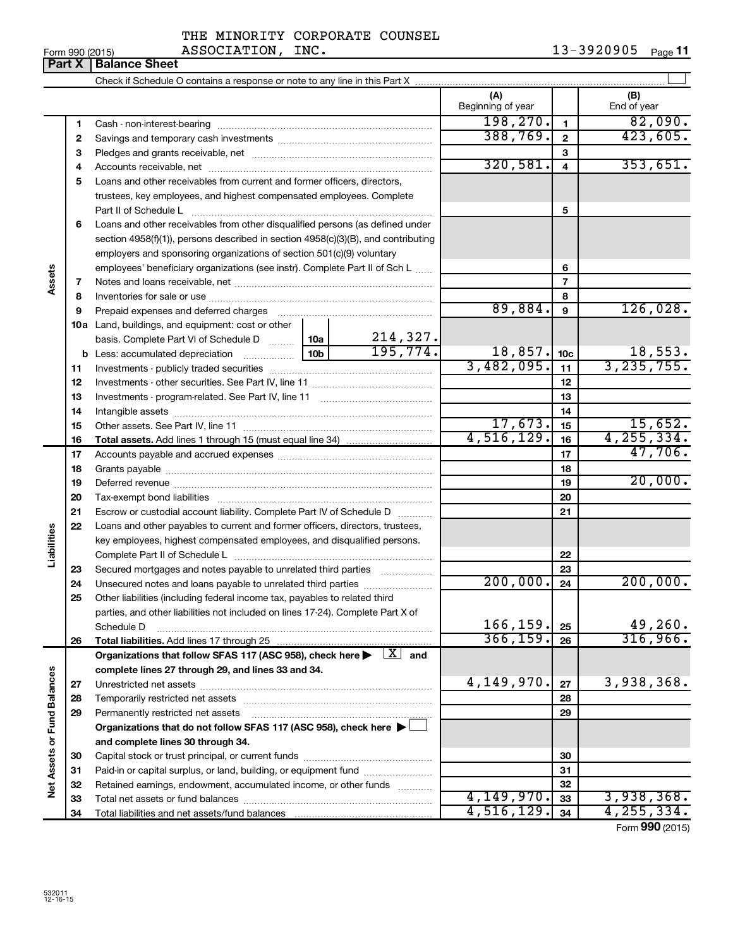|  |                | THE MINORITY CORPORATE COUNSEL |  |
|--|----------------|--------------------------------|--|
|  | 3.7.2.77.77.07 |                                |  |

 $\frac{13}{500}$   $\frac{2015}{2015}$   $\frac{13}{500}$   $\frac{250}{14}$   $\frac{13}{500}$   $\frac{13}{500}$   $\frac{13}{14}$   $\frac{13}{14}$   $\frac{13}{14}$   $\frac{13}{14}$   $\frac{13}{14}$   $\frac{13}{14}$   $\frac{13}{14}$   $\frac{13}{14}$   $\frac{13}{14}$   $\frac{13}{14}$   $\frac{13}{14}$   $\frac{13}{1$ 13-3920905 Page 11

| (A)<br>(B)<br>Beginning of year<br>End of year<br>198, 270.<br>$\mathbf{1}$<br>1<br>388,769.<br>$\mathbf{2}$<br>$\mathbf{2}$<br>3<br>3<br>320,581.<br>$\overline{\mathbf{4}}$<br>4<br>Loans and other receivables from current and former officers, directors,<br>5<br>trustees, key employees, and highest compensated employees. Complete<br>5<br>Loans and other receivables from other disqualified persons (as defined under<br>6<br>section 4958(f)(1)), persons described in section 4958(c)(3)(B), and contributing<br>employers and sponsoring organizations of section 501(c)(9) voluntary<br>employees' beneficiary organizations (see instr). Complete Part II of Sch L<br>6<br>Assets<br>$\overline{7}$<br>7<br>8<br>8<br>126,028.<br>89,884.<br>9<br>Prepaid expenses and deferred charges [11] matter continuum matter and referred charges [11] matter continuum matter continuum matter continuum matter continuum matter continuum matter continuum matter continuum matter con<br>9<br>10a Land, buildings, and equipment: cost or other<br>214,327.<br>basis. Complete Part VI of Schedule D  10a<br>195, 774.<br>18,857.<br>18,553.<br>10 <sub>c</sub><br>3, 235, 755.<br>3,482,095.<br>11<br>11<br>12<br>12<br>13<br>13<br>14<br>14<br>17,673.<br>15,652.<br>15<br>15<br>4,516,129.<br>4, 255, 334.<br>16<br>16<br>47,706.<br>17<br>17<br>18<br>18<br>19<br>19<br>20<br>20<br>21<br>Escrow or custodial account liability. Complete Part IV of Schedule D<br>21<br>22<br>Loans and other payables to current and former officers, directors, trustees,<br>Liabilities<br>key employees, highest compensated employees, and disqualified persons.<br>22<br>23<br>Secured mortgages and notes payable to unrelated third parties<br>23<br>200,000.<br>24<br>Unsecured notes and loans payable to unrelated third parties<br>24<br>25<br>Other liabilities (including federal income tax, payables to related third<br>parties, and other liabilities not included on lines 17-24). Complete Part X of<br>166,159.<br>25<br>Schedule D<br>366, 159.<br>26<br>Total liabilities. Add lines 17 through 25<br>26<br>Organizations that follow SFAS 117 (ASC 958), check here $\blacktriangleright \begin{array}{c} \boxed{X} \\ \end{array}$ and<br>complete lines 27 through 29, and lines 33 and 34.<br>Net Assets or Fund Balances<br>4,149,970.<br>3,938,368.<br>27<br>27<br>28<br>28<br>29<br>Permanently restricted net assets<br>29<br>Organizations that do not follow SFAS 117 (ASC 958), check here ▶ [<br>and complete lines 30 through 34.<br>30<br>30 |  |  |  |         |  |                 |
|------------------------------------------------------------------------------------------------------------------------------------------------------------------------------------------------------------------------------------------------------------------------------------------------------------------------------------------------------------------------------------------------------------------------------------------------------------------------------------------------------------------------------------------------------------------------------------------------------------------------------------------------------------------------------------------------------------------------------------------------------------------------------------------------------------------------------------------------------------------------------------------------------------------------------------------------------------------------------------------------------------------------------------------------------------------------------------------------------------------------------------------------------------------------------------------------------------------------------------------------------------------------------------------------------------------------------------------------------------------------------------------------------------------------------------------------------------------------------------------------------------------------------------------------------------------------------------------------------------------------------------------------------------------------------------------------------------------------------------------------------------------------------------------------------------------------------------------------------------------------------------------------------------------------------------------------------------------------------------------------------------------------------------------------------------------------------------------------------------------------------------------------------------------------------------------------------------------------------------------------------------------------------------------------------------------------------------------------------------------------------------------------------------------------------------------------------------------------------------------------------------------------------------------------------------------------------------|--|--|--|---------|--|-----------------|
|                                                                                                                                                                                                                                                                                                                                                                                                                                                                                                                                                                                                                                                                                                                                                                                                                                                                                                                                                                                                                                                                                                                                                                                                                                                                                                                                                                                                                                                                                                                                                                                                                                                                                                                                                                                                                                                                                                                                                                                                                                                                                                                                                                                                                                                                                                                                                                                                                                                                                                                                                                                    |  |  |  |         |  |                 |
|                                                                                                                                                                                                                                                                                                                                                                                                                                                                                                                                                                                                                                                                                                                                                                                                                                                                                                                                                                                                                                                                                                                                                                                                                                                                                                                                                                                                                                                                                                                                                                                                                                                                                                                                                                                                                                                                                                                                                                                                                                                                                                                                                                                                                                                                                                                                                                                                                                                                                                                                                                                    |  |  |  |         |  | 82,090.         |
|                                                                                                                                                                                                                                                                                                                                                                                                                                                                                                                                                                                                                                                                                                                                                                                                                                                                                                                                                                                                                                                                                                                                                                                                                                                                                                                                                                                                                                                                                                                                                                                                                                                                                                                                                                                                                                                                                                                                                                                                                                                                                                                                                                                                                                                                                                                                                                                                                                                                                                                                                                                    |  |  |  |         |  | 423,605.        |
|                                                                                                                                                                                                                                                                                                                                                                                                                                                                                                                                                                                                                                                                                                                                                                                                                                                                                                                                                                                                                                                                                                                                                                                                                                                                                                                                                                                                                                                                                                                                                                                                                                                                                                                                                                                                                                                                                                                                                                                                                                                                                                                                                                                                                                                                                                                                                                                                                                                                                                                                                                                    |  |  |  |         |  |                 |
|                                                                                                                                                                                                                                                                                                                                                                                                                                                                                                                                                                                                                                                                                                                                                                                                                                                                                                                                                                                                                                                                                                                                                                                                                                                                                                                                                                                                                                                                                                                                                                                                                                                                                                                                                                                                                                                                                                                                                                                                                                                                                                                                                                                                                                                                                                                                                                                                                                                                                                                                                                                    |  |  |  |         |  | 353,651.        |
|                                                                                                                                                                                                                                                                                                                                                                                                                                                                                                                                                                                                                                                                                                                                                                                                                                                                                                                                                                                                                                                                                                                                                                                                                                                                                                                                                                                                                                                                                                                                                                                                                                                                                                                                                                                                                                                                                                                                                                                                                                                                                                                                                                                                                                                                                                                                                                                                                                                                                                                                                                                    |  |  |  |         |  |                 |
|                                                                                                                                                                                                                                                                                                                                                                                                                                                                                                                                                                                                                                                                                                                                                                                                                                                                                                                                                                                                                                                                                                                                                                                                                                                                                                                                                                                                                                                                                                                                                                                                                                                                                                                                                                                                                                                                                                                                                                                                                                                                                                                                                                                                                                                                                                                                                                                                                                                                                                                                                                                    |  |  |  |         |  |                 |
|                                                                                                                                                                                                                                                                                                                                                                                                                                                                                                                                                                                                                                                                                                                                                                                                                                                                                                                                                                                                                                                                                                                                                                                                                                                                                                                                                                                                                                                                                                                                                                                                                                                                                                                                                                                                                                                                                                                                                                                                                                                                                                                                                                                                                                                                                                                                                                                                                                                                                                                                                                                    |  |  |  |         |  |                 |
|                                                                                                                                                                                                                                                                                                                                                                                                                                                                                                                                                                                                                                                                                                                                                                                                                                                                                                                                                                                                                                                                                                                                                                                                                                                                                                                                                                                                                                                                                                                                                                                                                                                                                                                                                                                                                                                                                                                                                                                                                                                                                                                                                                                                                                                                                                                                                                                                                                                                                                                                                                                    |  |  |  |         |  |                 |
|                                                                                                                                                                                                                                                                                                                                                                                                                                                                                                                                                                                                                                                                                                                                                                                                                                                                                                                                                                                                                                                                                                                                                                                                                                                                                                                                                                                                                                                                                                                                                                                                                                                                                                                                                                                                                                                                                                                                                                                                                                                                                                                                                                                                                                                                                                                                                                                                                                                                                                                                                                                    |  |  |  |         |  |                 |
|                                                                                                                                                                                                                                                                                                                                                                                                                                                                                                                                                                                                                                                                                                                                                                                                                                                                                                                                                                                                                                                                                                                                                                                                                                                                                                                                                                                                                                                                                                                                                                                                                                                                                                                                                                                                                                                                                                                                                                                                                                                                                                                                                                                                                                                                                                                                                                                                                                                                                                                                                                                    |  |  |  |         |  |                 |
|                                                                                                                                                                                                                                                                                                                                                                                                                                                                                                                                                                                                                                                                                                                                                                                                                                                                                                                                                                                                                                                                                                                                                                                                                                                                                                                                                                                                                                                                                                                                                                                                                                                                                                                                                                                                                                                                                                                                                                                                                                                                                                                                                                                                                                                                                                                                                                                                                                                                                                                                                                                    |  |  |  |         |  |                 |
|                                                                                                                                                                                                                                                                                                                                                                                                                                                                                                                                                                                                                                                                                                                                                                                                                                                                                                                                                                                                                                                                                                                                                                                                                                                                                                                                                                                                                                                                                                                                                                                                                                                                                                                                                                                                                                                                                                                                                                                                                                                                                                                                                                                                                                                                                                                                                                                                                                                                                                                                                                                    |  |  |  |         |  |                 |
|                                                                                                                                                                                                                                                                                                                                                                                                                                                                                                                                                                                                                                                                                                                                                                                                                                                                                                                                                                                                                                                                                                                                                                                                                                                                                                                                                                                                                                                                                                                                                                                                                                                                                                                                                                                                                                                                                                                                                                                                                                                                                                                                                                                                                                                                                                                                                                                                                                                                                                                                                                                    |  |  |  |         |  |                 |
|                                                                                                                                                                                                                                                                                                                                                                                                                                                                                                                                                                                                                                                                                                                                                                                                                                                                                                                                                                                                                                                                                                                                                                                                                                                                                                                                                                                                                                                                                                                                                                                                                                                                                                                                                                                                                                                                                                                                                                                                                                                                                                                                                                                                                                                                                                                                                                                                                                                                                                                                                                                    |  |  |  |         |  |                 |
|                                                                                                                                                                                                                                                                                                                                                                                                                                                                                                                                                                                                                                                                                                                                                                                                                                                                                                                                                                                                                                                                                                                                                                                                                                                                                                                                                                                                                                                                                                                                                                                                                                                                                                                                                                                                                                                                                                                                                                                                                                                                                                                                                                                                                                                                                                                                                                                                                                                                                                                                                                                    |  |  |  |         |  |                 |
|                                                                                                                                                                                                                                                                                                                                                                                                                                                                                                                                                                                                                                                                                                                                                                                                                                                                                                                                                                                                                                                                                                                                                                                                                                                                                                                                                                                                                                                                                                                                                                                                                                                                                                                                                                                                                                                                                                                                                                                                                                                                                                                                                                                                                                                                                                                                                                                                                                                                                                                                                                                    |  |  |  |         |  |                 |
|                                                                                                                                                                                                                                                                                                                                                                                                                                                                                                                                                                                                                                                                                                                                                                                                                                                                                                                                                                                                                                                                                                                                                                                                                                                                                                                                                                                                                                                                                                                                                                                                                                                                                                                                                                                                                                                                                                                                                                                                                                                                                                                                                                                                                                                                                                                                                                                                                                                                                                                                                                                    |  |  |  |         |  |                 |
|                                                                                                                                                                                                                                                                                                                                                                                                                                                                                                                                                                                                                                                                                                                                                                                                                                                                                                                                                                                                                                                                                                                                                                                                                                                                                                                                                                                                                                                                                                                                                                                                                                                                                                                                                                                                                                                                                                                                                                                                                                                                                                                                                                                                                                                                                                                                                                                                                                                                                                                                                                                    |  |  |  |         |  |                 |
|                                                                                                                                                                                                                                                                                                                                                                                                                                                                                                                                                                                                                                                                                                                                                                                                                                                                                                                                                                                                                                                                                                                                                                                                                                                                                                                                                                                                                                                                                                                                                                                                                                                                                                                                                                                                                                                                                                                                                                                                                                                                                                                                                                                                                                                                                                                                                                                                                                                                                                                                                                                    |  |  |  |         |  |                 |
|                                                                                                                                                                                                                                                                                                                                                                                                                                                                                                                                                                                                                                                                                                                                                                                                                                                                                                                                                                                                                                                                                                                                                                                                                                                                                                                                                                                                                                                                                                                                                                                                                                                                                                                                                                                                                                                                                                                                                                                                                                                                                                                                                                                                                                                                                                                                                                                                                                                                                                                                                                                    |  |  |  |         |  |                 |
|                                                                                                                                                                                                                                                                                                                                                                                                                                                                                                                                                                                                                                                                                                                                                                                                                                                                                                                                                                                                                                                                                                                                                                                                                                                                                                                                                                                                                                                                                                                                                                                                                                                                                                                                                                                                                                                                                                                                                                                                                                                                                                                                                                                                                                                                                                                                                                                                                                                                                                                                                                                    |  |  |  |         |  |                 |
|                                                                                                                                                                                                                                                                                                                                                                                                                                                                                                                                                                                                                                                                                                                                                                                                                                                                                                                                                                                                                                                                                                                                                                                                                                                                                                                                                                                                                                                                                                                                                                                                                                                                                                                                                                                                                                                                                                                                                                                                                                                                                                                                                                                                                                                                                                                                                                                                                                                                                                                                                                                    |  |  |  |         |  |                 |
|                                                                                                                                                                                                                                                                                                                                                                                                                                                                                                                                                                                                                                                                                                                                                                                                                                                                                                                                                                                                                                                                                                                                                                                                                                                                                                                                                                                                                                                                                                                                                                                                                                                                                                                                                                                                                                                                                                                                                                                                                                                                                                                                                                                                                                                                                                                                                                                                                                                                                                                                                                                    |  |  |  |         |  |                 |
|                                                                                                                                                                                                                                                                                                                                                                                                                                                                                                                                                                                                                                                                                                                                                                                                                                                                                                                                                                                                                                                                                                                                                                                                                                                                                                                                                                                                                                                                                                                                                                                                                                                                                                                                                                                                                                                                                                                                                                                                                                                                                                                                                                                                                                                                                                                                                                                                                                                                                                                                                                                    |  |  |  |         |  |                 |
|                                                                                                                                                                                                                                                                                                                                                                                                                                                                                                                                                                                                                                                                                                                                                                                                                                                                                                                                                                                                                                                                                                                                                                                                                                                                                                                                                                                                                                                                                                                                                                                                                                                                                                                                                                                                                                                                                                                                                                                                                                                                                                                                                                                                                                                                                                                                                                                                                                                                                                                                                                                    |  |  |  | 20,000. |  |                 |
|                                                                                                                                                                                                                                                                                                                                                                                                                                                                                                                                                                                                                                                                                                                                                                                                                                                                                                                                                                                                                                                                                                                                                                                                                                                                                                                                                                                                                                                                                                                                                                                                                                                                                                                                                                                                                                                                                                                                                                                                                                                                                                                                                                                                                                                                                                                                                                                                                                                                                                                                                                                    |  |  |  |         |  |                 |
|                                                                                                                                                                                                                                                                                                                                                                                                                                                                                                                                                                                                                                                                                                                                                                                                                                                                                                                                                                                                                                                                                                                                                                                                                                                                                                                                                                                                                                                                                                                                                                                                                                                                                                                                                                                                                                                                                                                                                                                                                                                                                                                                                                                                                                                                                                                                                                                                                                                                                                                                                                                    |  |  |  |         |  |                 |
|                                                                                                                                                                                                                                                                                                                                                                                                                                                                                                                                                                                                                                                                                                                                                                                                                                                                                                                                                                                                                                                                                                                                                                                                                                                                                                                                                                                                                                                                                                                                                                                                                                                                                                                                                                                                                                                                                                                                                                                                                                                                                                                                                                                                                                                                                                                                                                                                                                                                                                                                                                                    |  |  |  |         |  |                 |
|                                                                                                                                                                                                                                                                                                                                                                                                                                                                                                                                                                                                                                                                                                                                                                                                                                                                                                                                                                                                                                                                                                                                                                                                                                                                                                                                                                                                                                                                                                                                                                                                                                                                                                                                                                                                                                                                                                                                                                                                                                                                                                                                                                                                                                                                                                                                                                                                                                                                                                                                                                                    |  |  |  |         |  |                 |
|                                                                                                                                                                                                                                                                                                                                                                                                                                                                                                                                                                                                                                                                                                                                                                                                                                                                                                                                                                                                                                                                                                                                                                                                                                                                                                                                                                                                                                                                                                                                                                                                                                                                                                                                                                                                                                                                                                                                                                                                                                                                                                                                                                                                                                                                                                                                                                                                                                                                                                                                                                                    |  |  |  |         |  |                 |
|                                                                                                                                                                                                                                                                                                                                                                                                                                                                                                                                                                                                                                                                                                                                                                                                                                                                                                                                                                                                                                                                                                                                                                                                                                                                                                                                                                                                                                                                                                                                                                                                                                                                                                                                                                                                                                                                                                                                                                                                                                                                                                                                                                                                                                                                                                                                                                                                                                                                                                                                                                                    |  |  |  |         |  |                 |
|                                                                                                                                                                                                                                                                                                                                                                                                                                                                                                                                                                                                                                                                                                                                                                                                                                                                                                                                                                                                                                                                                                                                                                                                                                                                                                                                                                                                                                                                                                                                                                                                                                                                                                                                                                                                                                                                                                                                                                                                                                                                                                                                                                                                                                                                                                                                                                                                                                                                                                                                                                                    |  |  |  |         |  | 200,000.        |
|                                                                                                                                                                                                                                                                                                                                                                                                                                                                                                                                                                                                                                                                                                                                                                                                                                                                                                                                                                                                                                                                                                                                                                                                                                                                                                                                                                                                                                                                                                                                                                                                                                                                                                                                                                                                                                                                                                                                                                                                                                                                                                                                                                                                                                                                                                                                                                                                                                                                                                                                                                                    |  |  |  |         |  |                 |
|                                                                                                                                                                                                                                                                                                                                                                                                                                                                                                                                                                                                                                                                                                                                                                                                                                                                                                                                                                                                                                                                                                                                                                                                                                                                                                                                                                                                                                                                                                                                                                                                                                                                                                                                                                                                                                                                                                                                                                                                                                                                                                                                                                                                                                                                                                                                                                                                                                                                                                                                                                                    |  |  |  |         |  |                 |
|                                                                                                                                                                                                                                                                                                                                                                                                                                                                                                                                                                                                                                                                                                                                                                                                                                                                                                                                                                                                                                                                                                                                                                                                                                                                                                                                                                                                                                                                                                                                                                                                                                                                                                                                                                                                                                                                                                                                                                                                                                                                                                                                                                                                                                                                                                                                                                                                                                                                                                                                                                                    |  |  |  |         |  | 49,260.         |
|                                                                                                                                                                                                                                                                                                                                                                                                                                                                                                                                                                                                                                                                                                                                                                                                                                                                                                                                                                                                                                                                                                                                                                                                                                                                                                                                                                                                                                                                                                                                                                                                                                                                                                                                                                                                                                                                                                                                                                                                                                                                                                                                                                                                                                                                                                                                                                                                                                                                                                                                                                                    |  |  |  |         |  | 316,966.        |
|                                                                                                                                                                                                                                                                                                                                                                                                                                                                                                                                                                                                                                                                                                                                                                                                                                                                                                                                                                                                                                                                                                                                                                                                                                                                                                                                                                                                                                                                                                                                                                                                                                                                                                                                                                                                                                                                                                                                                                                                                                                                                                                                                                                                                                                                                                                                                                                                                                                                                                                                                                                    |  |  |  |         |  |                 |
|                                                                                                                                                                                                                                                                                                                                                                                                                                                                                                                                                                                                                                                                                                                                                                                                                                                                                                                                                                                                                                                                                                                                                                                                                                                                                                                                                                                                                                                                                                                                                                                                                                                                                                                                                                                                                                                                                                                                                                                                                                                                                                                                                                                                                                                                                                                                                                                                                                                                                                                                                                                    |  |  |  |         |  |                 |
|                                                                                                                                                                                                                                                                                                                                                                                                                                                                                                                                                                                                                                                                                                                                                                                                                                                                                                                                                                                                                                                                                                                                                                                                                                                                                                                                                                                                                                                                                                                                                                                                                                                                                                                                                                                                                                                                                                                                                                                                                                                                                                                                                                                                                                                                                                                                                                                                                                                                                                                                                                                    |  |  |  |         |  |                 |
|                                                                                                                                                                                                                                                                                                                                                                                                                                                                                                                                                                                                                                                                                                                                                                                                                                                                                                                                                                                                                                                                                                                                                                                                                                                                                                                                                                                                                                                                                                                                                                                                                                                                                                                                                                                                                                                                                                                                                                                                                                                                                                                                                                                                                                                                                                                                                                                                                                                                                                                                                                                    |  |  |  |         |  |                 |
|                                                                                                                                                                                                                                                                                                                                                                                                                                                                                                                                                                                                                                                                                                                                                                                                                                                                                                                                                                                                                                                                                                                                                                                                                                                                                                                                                                                                                                                                                                                                                                                                                                                                                                                                                                                                                                                                                                                                                                                                                                                                                                                                                                                                                                                                                                                                                                                                                                                                                                                                                                                    |  |  |  |         |  |                 |
|                                                                                                                                                                                                                                                                                                                                                                                                                                                                                                                                                                                                                                                                                                                                                                                                                                                                                                                                                                                                                                                                                                                                                                                                                                                                                                                                                                                                                                                                                                                                                                                                                                                                                                                                                                                                                                                                                                                                                                                                                                                                                                                                                                                                                                                                                                                                                                                                                                                                                                                                                                                    |  |  |  |         |  |                 |
|                                                                                                                                                                                                                                                                                                                                                                                                                                                                                                                                                                                                                                                                                                                                                                                                                                                                                                                                                                                                                                                                                                                                                                                                                                                                                                                                                                                                                                                                                                                                                                                                                                                                                                                                                                                                                                                                                                                                                                                                                                                                                                                                                                                                                                                                                                                                                                                                                                                                                                                                                                                    |  |  |  |         |  |                 |
|                                                                                                                                                                                                                                                                                                                                                                                                                                                                                                                                                                                                                                                                                                                                                                                                                                                                                                                                                                                                                                                                                                                                                                                                                                                                                                                                                                                                                                                                                                                                                                                                                                                                                                                                                                                                                                                                                                                                                                                                                                                                                                                                                                                                                                                                                                                                                                                                                                                                                                                                                                                    |  |  |  |         |  |                 |
| Paid-in or capital surplus, or land, building, or equipment fund<br>31<br>31                                                                                                                                                                                                                                                                                                                                                                                                                                                                                                                                                                                                                                                                                                                                                                                                                                                                                                                                                                                                                                                                                                                                                                                                                                                                                                                                                                                                                                                                                                                                                                                                                                                                                                                                                                                                                                                                                                                                                                                                                                                                                                                                                                                                                                                                                                                                                                                                                                                                                                       |  |  |  |         |  |                 |
| Retained earnings, endowment, accumulated income, or other funds<br>32<br>32<br>4,149,970.                                                                                                                                                                                                                                                                                                                                                                                                                                                                                                                                                                                                                                                                                                                                                                                                                                                                                                                                                                                                                                                                                                                                                                                                                                                                                                                                                                                                                                                                                                                                                                                                                                                                                                                                                                                                                                                                                                                                                                                                                                                                                                                                                                                                                                                                                                                                                                                                                                                                                         |  |  |  |         |  | 3,938,368.      |
| 33<br>33<br>4,516,129.                                                                                                                                                                                                                                                                                                                                                                                                                                                                                                                                                                                                                                                                                                                                                                                                                                                                                                                                                                                                                                                                                                                                                                                                                                                                                                                                                                                                                                                                                                                                                                                                                                                                                                                                                                                                                                                                                                                                                                                                                                                                                                                                                                                                                                                                                                                                                                                                                                                                                                                                                             |  |  |  |         |  | 4, 255, 334.    |
| 34<br>34                                                                                                                                                                                                                                                                                                                                                                                                                                                                                                                                                                                                                                                                                                                                                                                                                                                                                                                                                                                                                                                                                                                                                                                                                                                                                                                                                                                                                                                                                                                                                                                                                                                                                                                                                                                                                                                                                                                                                                                                                                                                                                                                                                                                                                                                                                                                                                                                                                                                                                                                                                           |  |  |  |         |  | Form 990 (2015) |

ASSOCIATION, INC.

**Part X** | Balance Sheet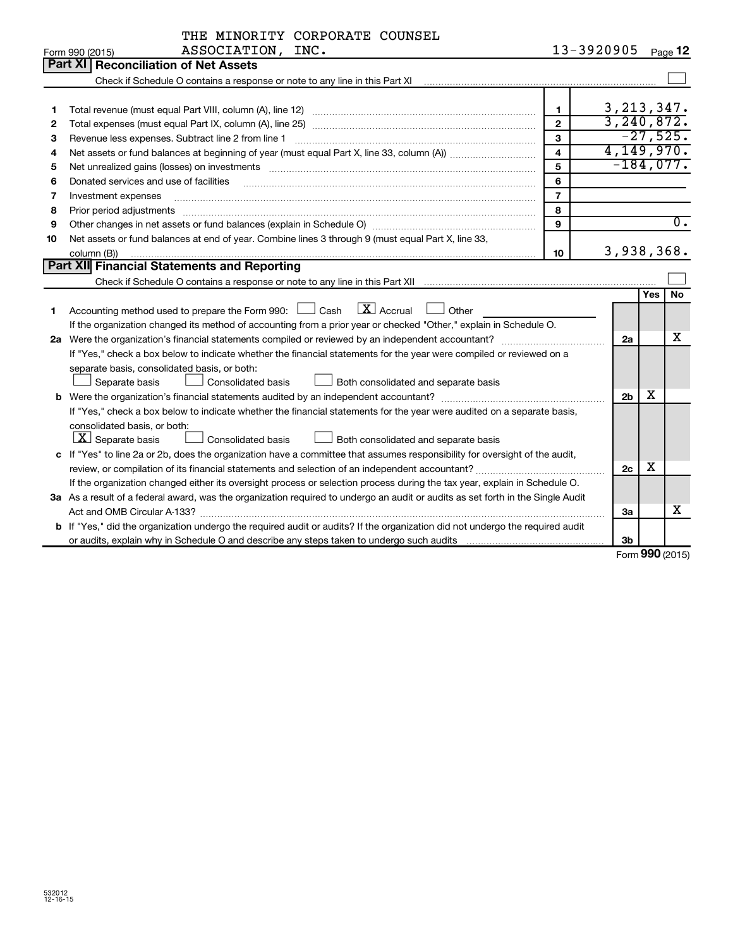|    | THE MINORITY CORPORATE COUNSEL                                                                                                                                                                                                |                         |                |            |                  |
|----|-------------------------------------------------------------------------------------------------------------------------------------------------------------------------------------------------------------------------------|-------------------------|----------------|------------|------------------|
|    | ASSOCIATION, INC.<br>Form 990 (2015)                                                                                                                                                                                          | 13-3920905              |                |            | Page 12          |
|    | <b>Part XI   Reconciliation of Net Assets</b>                                                                                                                                                                                 |                         |                |            |                  |
|    | Check if Schedule O contains a response or note to any line in this Part XI [11] metals in the subsequent of Schedule O contains a response or note to any line in this Part XI [12] metals in the subsequent of Schedule All |                         |                |            |                  |
|    |                                                                                                                                                                                                                               |                         |                |            |                  |
| 1  |                                                                                                                                                                                                                               | 1.                      | 3, 213, 347.   |            |                  |
| 2  |                                                                                                                                                                                                                               | $\overline{2}$          | 3, 240, 872.   |            |                  |
| з  | Revenue less expenses. Subtract line 2 from line 1                                                                                                                                                                            | $\mathbf{3}$            |                |            | $-27,525.$       |
| 4  |                                                                                                                                                                                                                               | $\overline{\mathbf{4}}$ | 4, 149, 970.   |            |                  |
| 5  | Net unrealized gains (losses) on investments [11] matter in the content of the state of the state of the state of the state of the state of the state of the state of the state of the state of the state of the state of the | 5                       | $-184,077.$    |            |                  |
| 6  | Donated services and use of facilities                                                                                                                                                                                        | 6                       |                |            |                  |
| 7  | Investment expenses                                                                                                                                                                                                           | $\overline{7}$          |                |            |                  |
| 8  | Prior period adjustments                                                                                                                                                                                                      | 8                       |                |            |                  |
| 9  |                                                                                                                                                                                                                               | 9                       |                |            | $\overline{0}$ . |
| 10 | Net assets or fund balances at end of year. Combine lines 3 through 9 (must equal Part X, line 33,                                                                                                                            |                         |                |            |                  |
|    | column (B))                                                                                                                                                                                                                   | 10                      | 3,938,368.     |            |                  |
|    | Part XII Financial Statements and Reporting                                                                                                                                                                                   |                         |                |            |                  |
|    |                                                                                                                                                                                                                               |                         |                |            |                  |
|    |                                                                                                                                                                                                                               |                         |                | <b>Yes</b> | No               |
| 1  | $\boxed{\text{X}}$ Accrual<br>Accounting method used to prepare the Form 990: [16] Cash<br>Other                                                                                                                              |                         |                |            |                  |
|    | If the organization changed its method of accounting from a prior year or checked "Other," explain in Schedule O.                                                                                                             |                         |                |            |                  |
|    |                                                                                                                                                                                                                               |                         | 2a             |            | X                |
|    | If "Yes," check a box below to indicate whether the financial statements for the year were compiled or reviewed on a                                                                                                          |                         |                |            |                  |
|    | separate basis, consolidated basis, or both:                                                                                                                                                                                  |                         |                |            |                  |
|    | Consolidated basis<br>Separate basis<br>Both consolidated and separate basis                                                                                                                                                  |                         |                |            |                  |
|    | <b>b</b> Were the organization's financial statements audited by an independent accountant?                                                                                                                                   |                         | 2 <sub>b</sub> | x          |                  |
|    | If "Yes," check a box below to indicate whether the financial statements for the year were audited on a separate basis,                                                                                                       |                         |                |            |                  |
|    | consolidated basis, or both:                                                                                                                                                                                                  |                         |                |            |                  |
|    | $\boxed{\textbf{X}}$ Separate basis<br>Both consolidated and separate basis<br><b>Consolidated basis</b>                                                                                                                      |                         |                |            |                  |
|    | c If "Yes" to line 2a or 2b, does the organization have a committee that assumes responsibility for oversight of the audit,                                                                                                   |                         |                |            |                  |
|    | review, or compilation of its financial statements and selection of an independent accountant?                                                                                                                                |                         | 2c             | х          |                  |
|    | If the organization changed either its oversight process or selection process during the tax year, explain in Schedule O.                                                                                                     |                         |                |            |                  |
|    | 3a As a result of a federal award, was the organization required to undergo an audit or audits as set forth in the Single Audit                                                                                               |                         |                |            |                  |
|    |                                                                                                                                                                                                                               |                         | За             |            | x                |
|    | b If "Yes," did the organization undergo the required audit or audits? If the organization did not undergo the required audit                                                                                                 |                         |                |            |                  |
|    |                                                                                                                                                                                                                               |                         | 3 <sub>b</sub> |            |                  |

Form (2015) **990**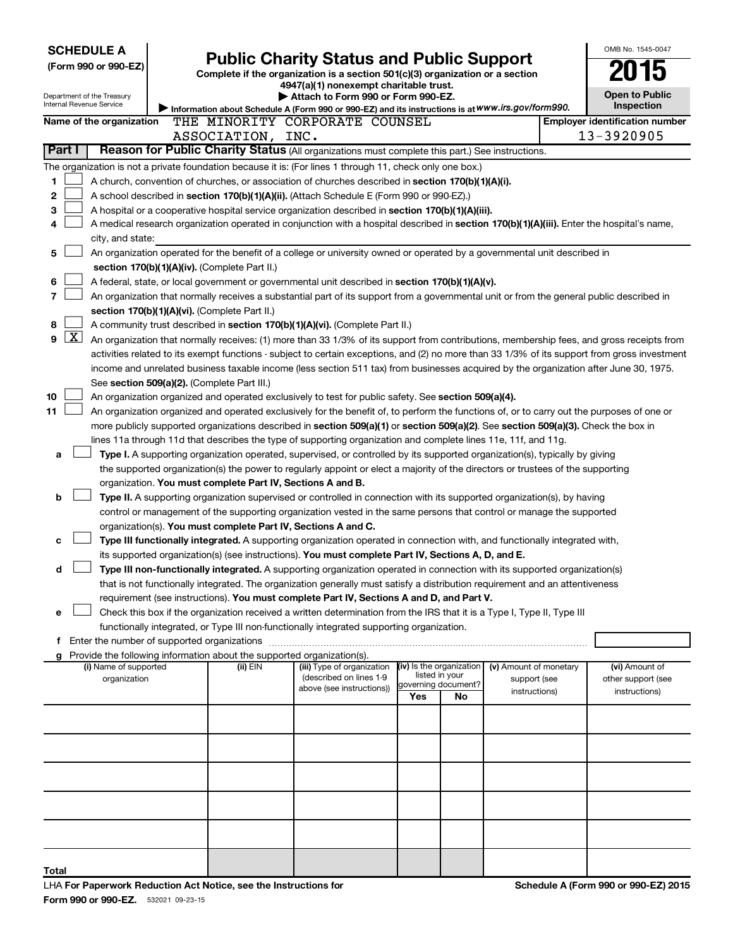|        |              | <b>SCHEDULE A</b><br>(Form 990 or 990-EZ)              | <b>Public Charity Status and Public Support</b><br>Complete if the organization is a section 501(c)(3) organization or a section | OMB No. 1545-0047                                          |                                                                                                                                                                                                                     |     |                                            |                               |                                                     |
|--------|--------------|--------------------------------------------------------|----------------------------------------------------------------------------------------------------------------------------------|------------------------------------------------------------|---------------------------------------------------------------------------------------------------------------------------------------------------------------------------------------------------------------------|-----|--------------------------------------------|-------------------------------|-----------------------------------------------------|
|        |              | Department of the Treasury<br>Internal Revenue Service |                                                                                                                                  |                                                            | Attach to Form 990 or Form 990-EZ.<br>Information about Schedule A (Form 990 or 990-EZ) and its instructions is at WWW.irs.gov/form990.                                                                             |     |                                            |                               | <b>Open to Public</b><br>Inspection                 |
|        |              | Name of the organization                               |                                                                                                                                  | ASSOCIATION, INC.                                          | THE MINORITY CORPORATE COUNSEL                                                                                                                                                                                      |     |                                            |                               | <b>Employer identification number</b><br>13-3920905 |
| Part I |              |                                                        |                                                                                                                                  |                                                            | Reason for Public Charity Status (All organizations must complete this part.) See instructions.                                                                                                                     |     |                                            |                               |                                                     |
|        |              |                                                        |                                                                                                                                  |                                                            | The organization is not a private foundation because it is: (For lines 1 through 11, check only one box.)                                                                                                           |     |                                            |                               |                                                     |
| 1      |              |                                                        |                                                                                                                                  |                                                            | A church, convention of churches, or association of churches described in section 170(b)(1)(A)(i).                                                                                                                  |     |                                            |                               |                                                     |
| 2      |              |                                                        |                                                                                                                                  |                                                            | A school described in section 170(b)(1)(A)(ii). (Attach Schedule E (Form 990 or 990-EZ).)                                                                                                                           |     |                                            |                               |                                                     |
| 3      |              |                                                        |                                                                                                                                  |                                                            | A hospital or a cooperative hospital service organization described in section 170(b)(1)(A)(iii).                                                                                                                   |     |                                            |                               |                                                     |
| 4      |              |                                                        |                                                                                                                                  |                                                            | A medical research organization operated in conjunction with a hospital described in section 170(b)(1)(A)(iii). Enter the hospital's name,                                                                          |     |                                            |                               |                                                     |
| 5      |              | city, and state:                                       |                                                                                                                                  |                                                            | An organization operated for the benefit of a college or university owned or operated by a governmental unit described in                                                                                           |     |                                            |                               |                                                     |
|        |              |                                                        |                                                                                                                                  | section 170(b)(1)(A)(iv). (Complete Part II.)              |                                                                                                                                                                                                                     |     |                                            |                               |                                                     |
| 6      |              |                                                        |                                                                                                                                  |                                                            | A federal, state, or local government or governmental unit described in section 170(b)(1)(A)(v).                                                                                                                    |     |                                            |                               |                                                     |
| 7      |              |                                                        |                                                                                                                                  |                                                            | An organization that normally receives a substantial part of its support from a governmental unit or from the general public described in                                                                           |     |                                            |                               |                                                     |
|        |              |                                                        |                                                                                                                                  | section 170(b)(1)(A)(vi). (Complete Part II.)              |                                                                                                                                                                                                                     |     |                                            |                               |                                                     |
| 8      |              |                                                        |                                                                                                                                  |                                                            | A community trust described in section 170(b)(1)(A)(vi). (Complete Part II.)                                                                                                                                        |     |                                            |                               |                                                     |
| 9      | $\mathbf{X}$ |                                                        |                                                                                                                                  |                                                            | An organization that normally receives: (1) more than 33 1/3% of its support from contributions, membership fees, and gross receipts from                                                                           |     |                                            |                               |                                                     |
|        |              |                                                        |                                                                                                                                  |                                                            | activities related to its exempt functions - subject to certain exceptions, and (2) no more than 33 1/3% of its support from gross investment                                                                       |     |                                            |                               |                                                     |
|        |              |                                                        |                                                                                                                                  | See section 509(a)(2). (Complete Part III.)                | income and unrelated business taxable income (less section 511 tax) from businesses acquired by the organization after June 30, 1975.                                                                               |     |                                            |                               |                                                     |
| 10     |              |                                                        |                                                                                                                                  |                                                            | An organization organized and operated exclusively to test for public safety. See section 509(a)(4).                                                                                                                |     |                                            |                               |                                                     |
| 11     |              |                                                        |                                                                                                                                  |                                                            | An organization organized and operated exclusively for the benefit of, to perform the functions of, or to carry out the purposes of one or                                                                          |     |                                            |                               |                                                     |
|        |              |                                                        |                                                                                                                                  |                                                            | more publicly supported organizations described in section 509(a)(1) or section 509(a)(2). See section 509(a)(3). Check the box in                                                                                  |     |                                            |                               |                                                     |
|        |              |                                                        |                                                                                                                                  |                                                            | lines 11a through 11d that describes the type of supporting organization and complete lines 11e, 11f, and 11g.                                                                                                      |     |                                            |                               |                                                     |
| a      |              |                                                        |                                                                                                                                  |                                                            | Type I. A supporting organization operated, supervised, or controlled by its supported organization(s), typically by giving                                                                                         |     |                                            |                               |                                                     |
|        |              |                                                        |                                                                                                                                  |                                                            | the supported organization(s) the power to regularly appoint or elect a majority of the directors or trustees of the supporting                                                                                     |     |                                            |                               |                                                     |
| b      |              |                                                        |                                                                                                                                  | organization. You must complete Part IV, Sections A and B. | Type II. A supporting organization supervised or controlled in connection with its supported organization(s), by having                                                                                             |     |                                            |                               |                                                     |
|        |              |                                                        |                                                                                                                                  |                                                            | control or management of the supporting organization vested in the same persons that control or manage the supported                                                                                                |     |                                            |                               |                                                     |
|        |              |                                                        |                                                                                                                                  |                                                            | organization(s). You must complete Part IV, Sections A and C.                                                                                                                                                       |     |                                            |                               |                                                     |
| с      |              |                                                        |                                                                                                                                  |                                                            | Type III functionally integrated. A supporting organization operated in connection with, and functionally integrated with,                                                                                          |     |                                            |                               |                                                     |
|        |              |                                                        |                                                                                                                                  |                                                            | its supported organization(s) (see instructions). You must complete Part IV, Sections A, D, and E.                                                                                                                  |     |                                            |                               |                                                     |
| d      |              |                                                        |                                                                                                                                  |                                                            | Type III non-functionally integrated. A supporting organization operated in connection with its supported organization(s)                                                                                           |     |                                            |                               |                                                     |
|        |              |                                                        |                                                                                                                                  |                                                            | that is not functionally integrated. The organization generally must satisfy a distribution requirement and an attentiveness                                                                                        |     |                                            |                               |                                                     |
| е      |              |                                                        |                                                                                                                                  |                                                            | requirement (see instructions). You must complete Part IV, Sections A and D, and Part V.<br>Check this box if the organization received a written determination from the IRS that it is a Type I, Type II, Type III |     |                                            |                               |                                                     |
|        |              |                                                        |                                                                                                                                  |                                                            | functionally integrated, or Type III non-functionally integrated supporting organization.                                                                                                                           |     |                                            |                               |                                                     |
|        |              | Enter the number of supported organizations            |                                                                                                                                  |                                                            |                                                                                                                                                                                                                     |     |                                            |                               |                                                     |
|        |              |                                                        |                                                                                                                                  |                                                            | Provide the following information about the supported organization(s).                                                                                                                                              |     |                                            |                               |                                                     |
|        |              | (i) Name of supported                                  |                                                                                                                                  | (ii) EIN                                                   | (iii) Type of organization<br>(described on lines 1-9                                                                                                                                                               |     | (iv) Is the organization<br>listed in your | (v) Amount of monetary        | (vi) Amount of                                      |
|        |              | organization                                           |                                                                                                                                  |                                                            | above (see instructions))                                                                                                                                                                                           |     | governing document?                        | support (see<br>instructions) | other support (see<br>instructions)                 |
|        |              |                                                        |                                                                                                                                  |                                                            |                                                                                                                                                                                                                     | Yes | No                                         |                               |                                                     |
|        |              |                                                        |                                                                                                                                  |                                                            |                                                                                                                                                                                                                     |     |                                            |                               |                                                     |
|        |              |                                                        |                                                                                                                                  |                                                            |                                                                                                                                                                                                                     |     |                                            |                               |                                                     |
|        |              |                                                        |                                                                                                                                  |                                                            |                                                                                                                                                                                                                     |     |                                            |                               |                                                     |
|        |              |                                                        |                                                                                                                                  |                                                            |                                                                                                                                                                                                                     |     |                                            |                               |                                                     |
|        |              |                                                        |                                                                                                                                  |                                                            |                                                                                                                                                                                                                     |     |                                            |                               |                                                     |
|        |              |                                                        |                                                                                                                                  |                                                            |                                                                                                                                                                                                                     |     |                                            |                               |                                                     |
|        |              |                                                        |                                                                                                                                  |                                                            |                                                                                                                                                                                                                     |     |                                            |                               |                                                     |
|        |              |                                                        |                                                                                                                                  |                                                            |                                                                                                                                                                                                                     |     |                                            |                               |                                                     |
|        |              |                                                        |                                                                                                                                  |                                                            |                                                                                                                                                                                                                     |     |                                            |                               |                                                     |
| Total  |              |                                                        |                                                                                                                                  |                                                            |                                                                                                                                                                                                                     |     |                                            |                               | $\sim$<br>0.00E2000                                 |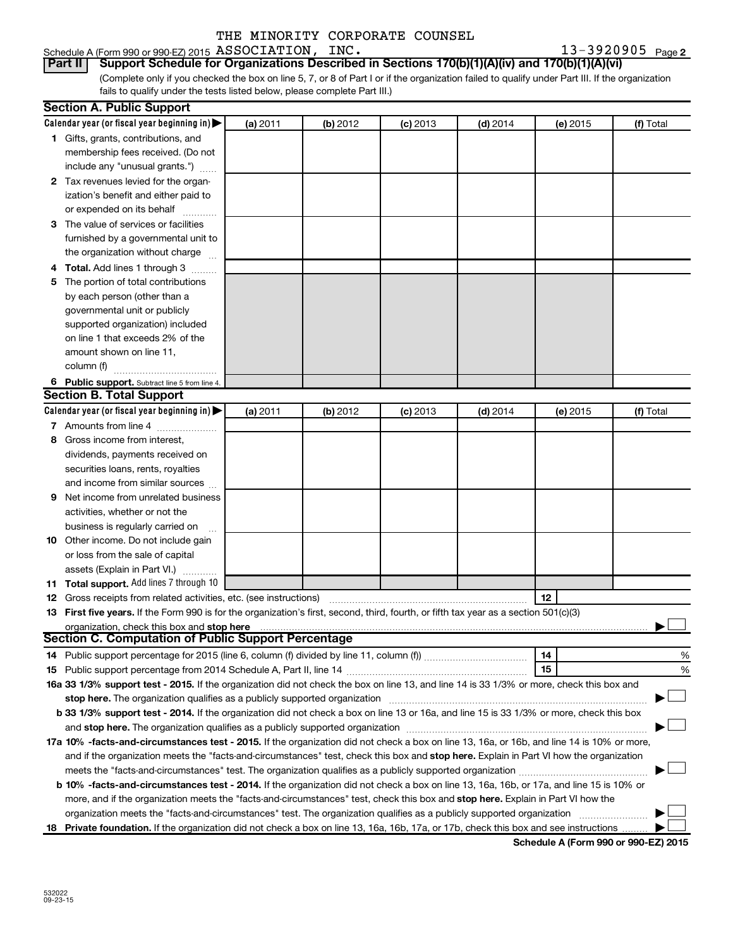#### Schedule A (Form 990 or 990-EZ) 2015 Page ASSOCIATION, INC. 13-3920905

13-3920905 Page 2

(Complete only if you checked the box on line 5, 7, or 8 of Part I or if the organization failed to qualify under Part III. If the organization fails to qualify under the tests listed below, please complete Part III.) **Part II Support Schedule for Organizations Described in Sections 170(b)(1)(A)(iv) and 170(b)(1)(A)(vi)**

|   | <b>Section A. Public Support</b>                                                                                                                                                                                               |          |          |            |            |          |           |  |  |  |
|---|--------------------------------------------------------------------------------------------------------------------------------------------------------------------------------------------------------------------------------|----------|----------|------------|------------|----------|-----------|--|--|--|
|   | Calendar year (or fiscal year beginning in) $\blacktriangleright$                                                                                                                                                              | (a) 2011 | (b) 2012 | $(c)$ 2013 | $(d)$ 2014 | (e) 2015 | (f) Total |  |  |  |
|   | 1 Gifts, grants, contributions, and                                                                                                                                                                                            |          |          |            |            |          |           |  |  |  |
|   | membership fees received. (Do not                                                                                                                                                                                              |          |          |            |            |          |           |  |  |  |
|   | include any "unusual grants.")                                                                                                                                                                                                 |          |          |            |            |          |           |  |  |  |
|   | 2 Tax revenues levied for the organ-                                                                                                                                                                                           |          |          |            |            |          |           |  |  |  |
|   | ization's benefit and either paid to                                                                                                                                                                                           |          |          |            |            |          |           |  |  |  |
|   | or expended on its behalf                                                                                                                                                                                                      |          |          |            |            |          |           |  |  |  |
|   | 3 The value of services or facilities                                                                                                                                                                                          |          |          |            |            |          |           |  |  |  |
|   | furnished by a governmental unit to                                                                                                                                                                                            |          |          |            |            |          |           |  |  |  |
|   | the organization without charge                                                                                                                                                                                                |          |          |            |            |          |           |  |  |  |
|   | 4 Total. Add lines 1 through 3                                                                                                                                                                                                 |          |          |            |            |          |           |  |  |  |
| 5 | The portion of total contributions                                                                                                                                                                                             |          |          |            |            |          |           |  |  |  |
|   | by each person (other than a                                                                                                                                                                                                   |          |          |            |            |          |           |  |  |  |
|   | governmental unit or publicly                                                                                                                                                                                                  |          |          |            |            |          |           |  |  |  |
|   | supported organization) included                                                                                                                                                                                               |          |          |            |            |          |           |  |  |  |
|   | on line 1 that exceeds 2% of the                                                                                                                                                                                               |          |          |            |            |          |           |  |  |  |
|   | amount shown on line 11,                                                                                                                                                                                                       |          |          |            |            |          |           |  |  |  |
|   | column (f)                                                                                                                                                                                                                     |          |          |            |            |          |           |  |  |  |
|   | 6 Public support. Subtract line 5 from line 4.                                                                                                                                                                                 |          |          |            |            |          |           |  |  |  |
|   | <b>Section B. Total Support</b>                                                                                                                                                                                                |          |          |            |            |          |           |  |  |  |
|   | Calendar year (or fiscal year beginning in) $\blacktriangleright$                                                                                                                                                              | (a) 2011 | (b) 2012 | $(c)$ 2013 | $(d)$ 2014 | (e) 2015 | (f) Total |  |  |  |
|   | 7 Amounts from line 4                                                                                                                                                                                                          |          |          |            |            |          |           |  |  |  |
| 8 | Gross income from interest,                                                                                                                                                                                                    |          |          |            |            |          |           |  |  |  |
|   | dividends, payments received on                                                                                                                                                                                                |          |          |            |            |          |           |  |  |  |
|   | securities loans, rents, royalties                                                                                                                                                                                             |          |          |            |            |          |           |  |  |  |
|   | and income from similar sources                                                                                                                                                                                                |          |          |            |            |          |           |  |  |  |
| 9 | Net income from unrelated business                                                                                                                                                                                             |          |          |            |            |          |           |  |  |  |
|   | activities, whether or not the                                                                                                                                                                                                 |          |          |            |            |          |           |  |  |  |
|   | business is regularly carried on                                                                                                                                                                                               |          |          |            |            |          |           |  |  |  |
|   | <b>10</b> Other income. Do not include gain                                                                                                                                                                                    |          |          |            |            |          |           |  |  |  |
|   | or loss from the sale of capital                                                                                                                                                                                               |          |          |            |            |          |           |  |  |  |
|   | assets (Explain in Part VI.)                                                                                                                                                                                                   |          |          |            |            |          |           |  |  |  |
|   | 11 Total support. Add lines 7 through 10                                                                                                                                                                                       |          |          |            |            |          |           |  |  |  |
|   | <b>12</b> Gross receipts from related activities, etc. (see instructions)                                                                                                                                                      |          |          |            |            | 12       |           |  |  |  |
|   | 13 First five years. If the Form 990 is for the organization's first, second, third, fourth, or fifth tax year as a section 501(c)(3)                                                                                          |          |          |            |            |          |           |  |  |  |
|   | organization, check this box and stop here                                                                                                                                                                                     |          |          |            |            |          |           |  |  |  |
|   | Section C. Computation of Public Support Percentage                                                                                                                                                                            |          |          |            |            |          |           |  |  |  |
|   |                                                                                                                                                                                                                                |          |          |            |            | 14       | %         |  |  |  |
|   |                                                                                                                                                                                                                                |          |          |            |            | 15       | %         |  |  |  |
|   | 16a 33 1/3% support test - 2015. If the organization did not check the box on line 13, and line 14 is 33 1/3% or more, check this box and                                                                                      |          |          |            |            |          |           |  |  |  |
|   | stop here. The organization qualifies as a publicly supported organization [11] manuscription [11] manuscription [11] manuscription [11] manuscription [11] manuscription [11] manuscription [11] manuscription [11] manuscrip |          |          |            |            |          |           |  |  |  |
|   | b 33 1/3% support test - 2014. If the organization did not check a box on line 13 or 16a, and line 15 is 33 1/3% or more, check this box                                                                                       |          |          |            |            |          |           |  |  |  |
|   |                                                                                                                                                                                                                                |          |          |            |            |          |           |  |  |  |
|   | 17a 10% -facts-and-circumstances test - 2015. If the organization did not check a box on line 13, 16a, or 16b, and line 14 is 10% or more,                                                                                     |          |          |            |            |          |           |  |  |  |
|   | and if the organization meets the "facts-and-circumstances" test, check this box and stop here. Explain in Part VI how the organization                                                                                        |          |          |            |            |          |           |  |  |  |
|   |                                                                                                                                                                                                                                |          |          |            |            |          |           |  |  |  |
|   | <b>b 10%</b> -facts-and-circumstances test - 2014. If the organization did not check a box on line 13, 16a, 16b, or 17a, and line 15 is 10% or                                                                                 |          |          |            |            |          |           |  |  |  |
|   | more, and if the organization meets the "facts-and-circumstances" test, check this box and stop here. Explain in Part VI how the                                                                                               |          |          |            |            |          |           |  |  |  |
|   | organization meets the "facts-and-circumstances" test. The organization qualifies as a publicly supported organization                                                                                                         |          |          |            |            |          |           |  |  |  |
|   | 18 Private foundation. If the organization did not check a box on line 13, 16a, 16b, 17a, or 17b, check this box and see instructions                                                                                          |          |          |            |            |          |           |  |  |  |

**Schedule A (Form 990 or 990-EZ) 2015**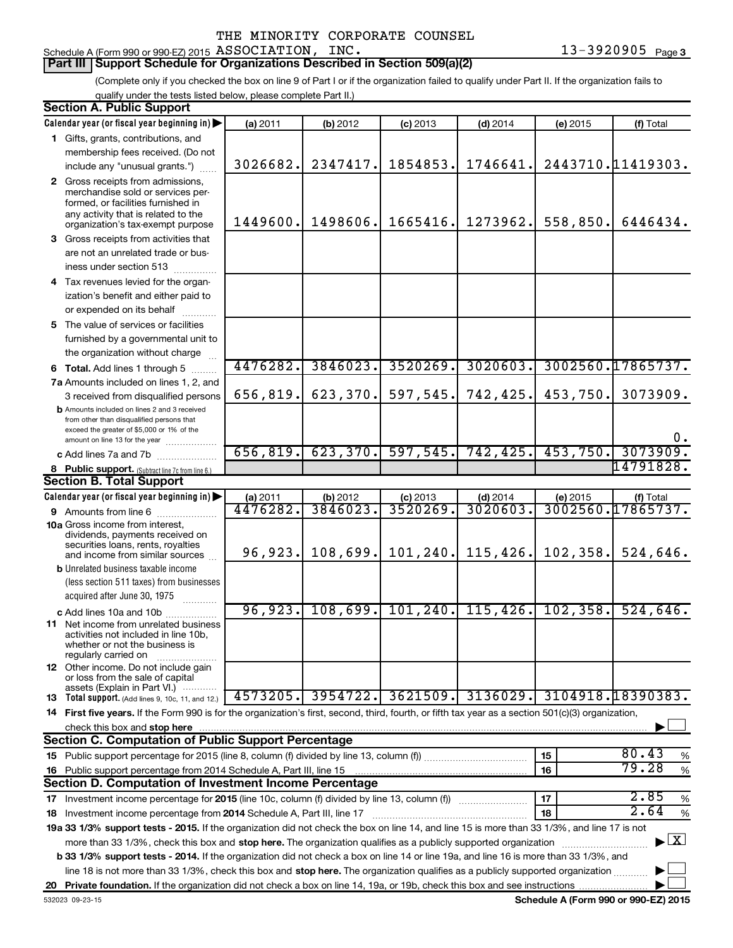### Schedule A (Form 990 or 990-EZ) 2015 Page ASSOCIATION, INC. 13-3920905

#### **Part III Support Schedule for Organizations Described in Section 509(a)(2)**

(Complete only if you checked the box on line 9 of Part I or if the organization failed to qualify under Part II. If the organization fails to qualify under the tests listed below, please complete Part II.)

| <b>Section A. Public Support</b>                                                                                                                    |           |           |            |            |           |                                    |
|-----------------------------------------------------------------------------------------------------------------------------------------------------|-----------|-----------|------------|------------|-----------|------------------------------------|
| Calendar year (or fiscal year beginning in)                                                                                                         | (a) 2011  | (b) 2012  | $(c)$ 2013 | $(d)$ 2014 | (e) 2015  | (f) Total                          |
| 1 Gifts, grants, contributions, and                                                                                                                 |           |           |            |            |           |                                    |
| membership fees received. (Do not                                                                                                                   |           |           |            |            |           |                                    |
| include any "unusual grants.")                                                                                                                      | 3026682.  | 2347417.  | 1854853.   | 1746641.   |           | 2443710.11419303.                  |
| 2 Gross receipts from admissions,                                                                                                                   |           |           |            |            |           |                                    |
| merchandise sold or services per-                                                                                                                   |           |           |            |            |           |                                    |
| formed, or facilities furnished in<br>any activity that is related to the                                                                           |           |           |            |            |           |                                    |
| organization's tax-exempt purpose                                                                                                                   | 1449600.  | 1498606.  | 1665416.   | 1273962.   | 558,850.  | 6446434.                           |
| 3 Gross receipts from activities that                                                                                                               |           |           |            |            |           |                                    |
| are not an unrelated trade or bus-                                                                                                                  |           |           |            |            |           |                                    |
| iness under section 513                                                                                                                             |           |           |            |            |           |                                    |
| 4 Tax revenues levied for the organ-                                                                                                                |           |           |            |            |           |                                    |
| ization's benefit and either paid to                                                                                                                |           |           |            |            |           |                                    |
| or expended on its behalf                                                                                                                           |           |           |            |            |           |                                    |
| 5 The value of services or facilities                                                                                                               |           |           |            |            |           |                                    |
| furnished by a governmental unit to                                                                                                                 |           |           |            |            |           |                                    |
| the organization without charge                                                                                                                     |           |           |            |            |           |                                    |
| 6 Total. Add lines 1 through 5                                                                                                                      | 4476282.  | 3846023.  | 3520269.   | 3020603.   |           | 3002560.17865737.                  |
| 7a Amounts included on lines 1, 2, and                                                                                                              |           |           |            |            |           |                                    |
| 3 received from disqualified persons                                                                                                                | 656,819.  | 623,370.  | 597,545.   | 742,425.   | 453,750.  | 3073909.                           |
| <b>b</b> Amounts included on lines 2 and 3 received                                                                                                 |           |           |            |            |           |                                    |
| from other than disqualified persons that<br>exceed the greater of \$5,000 or 1% of the                                                             |           |           |            |            |           |                                    |
| amount on line 13 for the year                                                                                                                      |           |           |            |            |           | $0$ .                              |
| c Add lines 7a and 7b                                                                                                                               | 656, 819. | 623, 370. | 597,545.   | 742, 425.  | 453,750.  | 3073909.                           |
| 8 Public support. (Subtract line 7c from line 6.)                                                                                                   |           |           |            |            |           | 14791828.                          |
| <b>Section B. Total Support</b>                                                                                                                     |           |           |            |            |           |                                    |
| Calendar year (or fiscal year beginning in)                                                                                                         | (a) 2011  | (b) 2012  | $(c)$ 2013 | $(d)$ 2014 | (e) 2015  | (f) Total                          |
| 9 Amounts from line 6                                                                                                                               | 4476282.  | 3846023   | 3520269    | 3020603    |           | 3002560.17865737.                  |
| <b>10a</b> Gross income from interest,                                                                                                              |           |           |            |            |           |                                    |
| dividends, payments received on<br>securities loans, rents, royalties                                                                               |           |           |            |            |           |                                    |
| and income from similar sources                                                                                                                     | 96,923.   | 108,699.  | 101, 240.  | 115,426.   | 102,358.  | 524,646.                           |
| <b>b</b> Unrelated business taxable income                                                                                                          |           |           |            |            |           |                                    |
| (less section 511 taxes) from businesses                                                                                                            |           |           |            |            |           |                                    |
| acquired after June 30, 1975                                                                                                                        |           |           |            |            |           |                                    |
| c Add lines 10a and 10b                                                                                                                             | 96,923.   | 108,699.  | 101, 240.  | 115, 426.  | 102, 358. | 524,646.                           |
| <b>11</b> Net income from unrelated business                                                                                                        |           |           |            |            |           |                                    |
| activities not included in line 10b,<br>whether or not the business is                                                                              |           |           |            |            |           |                                    |
| regularly carried on                                                                                                                                |           |           |            |            |           |                                    |
| <b>12</b> Other income. Do not include gain<br>or loss from the sale of capital                                                                     |           |           |            |            |           |                                    |
| assets (Explain in Part VI.)                                                                                                                        |           |           |            |            |           |                                    |
| <b>13</b> Total support. (Add lines 9, 10c, 11, and 12.)                                                                                            | 4573205.  | 3954722.  | 3621509.   | 3136029.   |           | 3104918.18390383.                  |
| 14 First five years. If the Form 990 is for the organization's first, second, third, fourth, or fifth tax year as a section 501(c)(3) organization, |           |           |            |            |           |                                    |
| check this box and stop here                                                                                                                        |           |           |            |            |           |                                    |
| Section C. Computation of Public Support Percentage                                                                                                 |           |           |            |            |           |                                    |
|                                                                                                                                                     |           |           |            |            | 15        | 80.43<br>%                         |
| 16 Public support percentage from 2014 Schedule A, Part III, line 15                                                                                |           |           |            |            | 16        | 79.28<br>$\%$                      |
| Section D. Computation of Investment Income Percentage                                                                                              |           |           |            |            |           |                                    |
| 17 Investment income percentage for 2015 (line 10c, column (f) divided by line 13, column (f))                                                      |           |           |            |            | 17        | 2.85<br>$\%$                       |
| 18 Investment income percentage from 2014 Schedule A, Part III, line 17                                                                             |           |           |            |            | 18        | 2.64<br>$\%$                       |
| 19a 33 1/3% support tests - 2015. If the organization did not check the box on line 14, and line 15 is more than 33 1/3%, and line 17 is not        |           |           |            |            |           |                                    |
| more than 33 1/3%, check this box and stop here. The organization qualifies as a publicly supported organization                                    |           |           |            |            |           | $\blacktriangleright$ $\mathbf{X}$ |
| <b>b 33 1/3% support tests - 2014.</b> If the organization did not check a box on line 14 or line 19a, and line 16 is more than 33 1/3%, and        |           |           |            |            |           |                                    |
| line 18 is not more than 33 1/3%, check this box and stop here. The organization qualifies as a publicly supported organization                     |           |           |            |            |           |                                    |
|                                                                                                                                                     |           |           |            |            |           |                                    |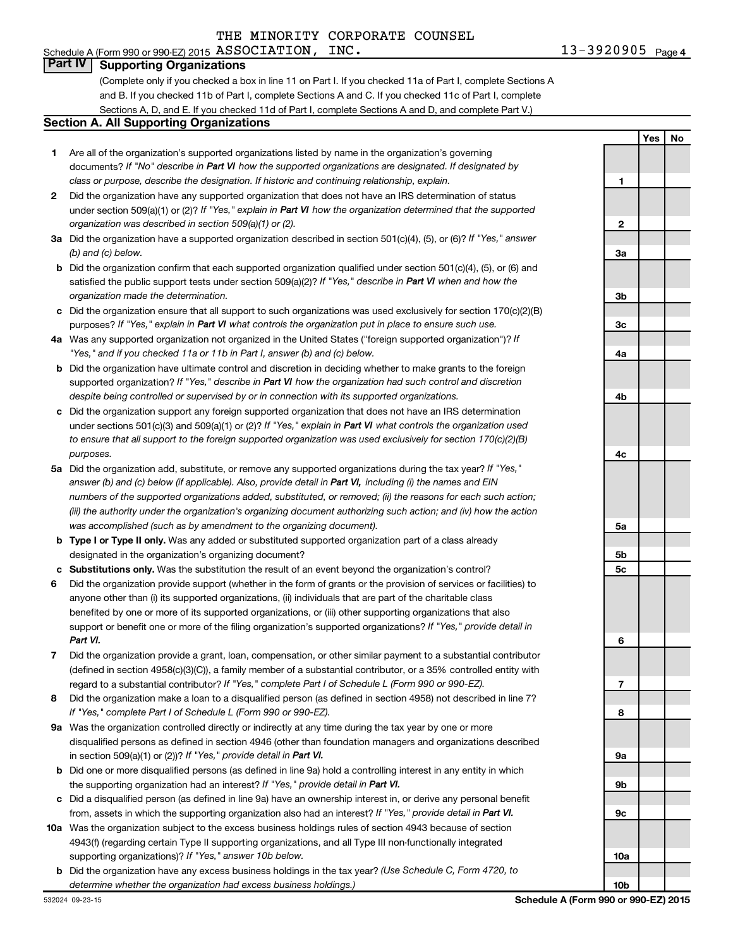#### Schedule A (Form 990 or 990-EZ) 2015 Page ASSOCIATION, INC. 13-3920905**Part IV Supporting Organizations**

**1**

**Yes No**

#### (Complete only if you checked a box in line 11 on Part I. If you checked 11a of Part I, complete Sections A and B. If you checked 11b of Part I, complete Sections A and C. If you checked 11c of Part I, complete Sections A, D, and E. If you checked 11d of Part I, complete Sections A and D, and complete Part V.)

#### **Section A. All Supporting Organizations**

- **1** Are all of the organization's supported organizations listed by name in the organization's governing documents? If "No" describe in Part VI how the supported organizations are designated. If designated by *class or purpose, describe the designation. If historic and continuing relationship, explain.*
- **2** Did the organization have any supported organization that does not have an IRS determination of status under section 509(a)(1) or (2)? If "Yes," explain in Part VI how the organization determined that the supported *organization was described in section 509(a)(1) or (2).*
- **3a** Did the organization have a supported organization described in section 501(c)(4), (5), or (6)? If "Yes," answer *(b) and (c) below.*
- **b** Did the organization confirm that each supported organization qualified under section 501(c)(4), (5), or (6) and satisfied the public support tests under section 509(a)(2)? If "Yes," describe in Part VI when and how the *organization made the determination.*
- **c** Did the organization ensure that all support to such organizations was used exclusively for section 170(c)(2)(B) purposes? If "Yes," explain in Part VI what controls the organization put in place to ensure such use.
- **4 a** *If* Was any supported organization not organized in the United States ("foreign supported organization")? *"Yes," and if you checked 11a or 11b in Part I, answer (b) and (c) below.*
- **b** Did the organization have ultimate control and discretion in deciding whether to make grants to the foreign supported organization? If "Yes," describe in Part VI how the organization had such control and discretion *despite being controlled or supervised by or in connection with its supported organizations.*
- **c** Did the organization support any foreign supported organization that does not have an IRS determination under sections 501(c)(3) and 509(a)(1) or (2)? If "Yes," explain in Part VI what controls the organization used *to ensure that all support to the foreign supported organization was used exclusively for section 170(c)(2)(B) purposes.*
- **5a** Did the organization add, substitute, or remove any supported organizations during the tax year? If "Yes," answer (b) and (c) below (if applicable). Also, provide detail in Part VI, including (i) the names and EIN *numbers of the supported organizations added, substituted, or removed; (ii) the reasons for each such action; (iii) the authority under the organization's organizing document authorizing such action; and (iv) how the action was accomplished (such as by amendment to the organizing document).*
- **b** Type I or Type II only. Was any added or substituted supported organization part of a class already designated in the organization's organizing document?
- **c Substitutions only.**  Was the substitution the result of an event beyond the organization's control?
- **6** Did the organization provide support (whether in the form of grants or the provision of services or facilities) to support or benefit one or more of the filing organization's supported organizations? If "Yes," provide detail in anyone other than (i) its supported organizations, (ii) individuals that are part of the charitable class benefited by one or more of its supported organizations, or (iii) other supporting organizations that also *Part VI.*
- **7** Did the organization provide a grant, loan, compensation, or other similar payment to a substantial contributor regard to a substantial contributor? If "Yes," complete Part I of Schedule L (Form 990 or 990-EZ). (defined in section 4958(c)(3)(C)), a family member of a substantial contributor, or a 35% controlled entity with
- **8** Did the organization make a loan to a disqualified person (as defined in section 4958) not described in line 7? *If "Yes," complete Part I of Schedule L (Form 990 or 990-EZ).*
- **9 a** Was the organization controlled directly or indirectly at any time during the tax year by one or more in section 509(a)(1) or (2))? If "Yes," provide detail in Part VI. disqualified persons as defined in section 4946 (other than foundation managers and organizations described
- **b** Did one or more disqualified persons (as defined in line 9a) hold a controlling interest in any entity in which the supporting organization had an interest? If "Yes," provide detail in Part VI.
- **c** Did a disqualified person (as defined in line 9a) have an ownership interest in, or derive any personal benefit from, assets in which the supporting organization also had an interest? If "Yes," provide detail in Part VI.
- **10 a** Was the organization subject to the excess business holdings rules of section 4943 because of section supporting organizations)? If "Yes," answer 10b below. 4943(f) (regarding certain Type II supporting organizations, and all Type III non-functionally integrated
	- **b** Did the organization have any excess business holdings in the tax year? (Use Schedule C, Form 4720, to *determine whether the organization had excess business holdings.)*

**2 3a 3b 3c 4a 4b 4c 5a 5b 5c 6 7 8 9a 9b 9c 10a**

**10b**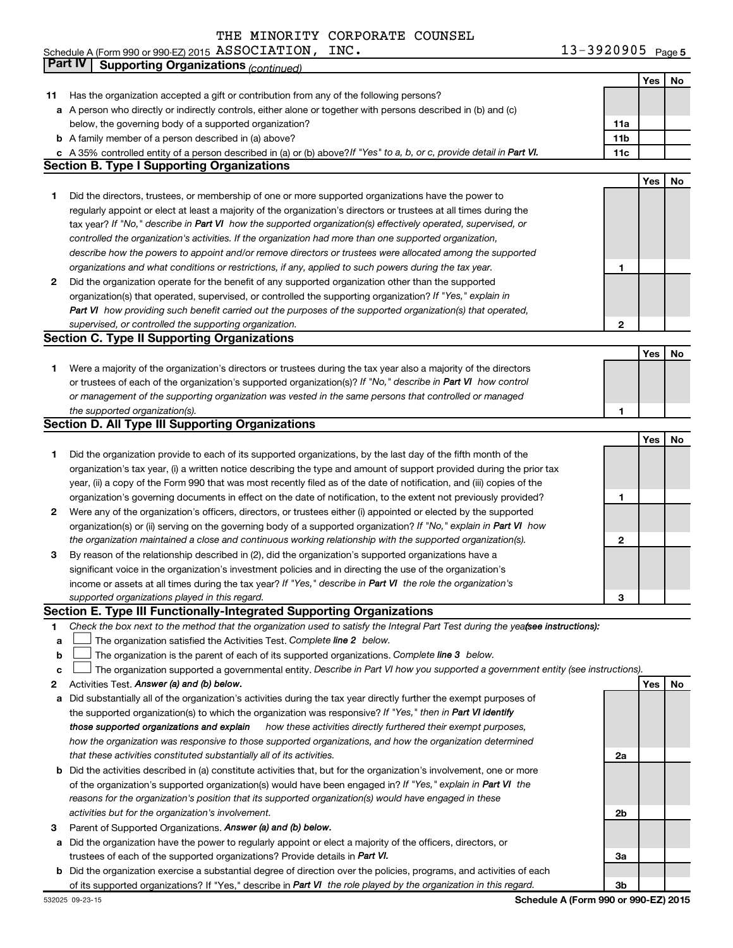| INC.<br>Schedule A (Form 990 or 990-EZ) 2015 $\,$ ASSOCIATION , | $13 - 3920905$ Page 5 |
|-----------------------------------------------------------------|-----------------------|
|-----------------------------------------------------------------|-----------------------|

|    | Part IV<br><b>Supporting Organizations (continued)</b>                                                                          |                 |     |    |
|----|---------------------------------------------------------------------------------------------------------------------------------|-----------------|-----|----|
|    |                                                                                                                                 |                 | Yes | No |
| 11 | Has the organization accepted a gift or contribution from any of the following persons?                                         |                 |     |    |
|    | a A person who directly or indirectly controls, either alone or together with persons described in (b) and (c)                  |                 |     |    |
|    | below, the governing body of a supported organization?                                                                          | 11a             |     |    |
|    | <b>b</b> A family member of a person described in (a) above?                                                                    | 11 <sub>b</sub> |     |    |
|    | c A 35% controlled entity of a person described in (a) or (b) above? If "Yes" to a, b, or c, provide detail in Part VI.         | 11c             |     |    |
|    | <b>Section B. Type I Supporting Organizations</b>                                                                               |                 |     |    |
|    |                                                                                                                                 |                 | Yes | No |
| 1  | Did the directors, trustees, or membership of one or more supported organizations have the power to                             |                 |     |    |
|    | regularly appoint or elect at least a majority of the organization's directors or trustees at all times during the              |                 |     |    |
|    |                                                                                                                                 |                 |     |    |
|    | tax year? If "No," describe in Part VI how the supported organization(s) effectively operated, supervised, or                   |                 |     |    |
|    | controlled the organization's activities. If the organization had more than one supported organization,                         |                 |     |    |
|    | describe how the powers to appoint and/or remove directors or trustees were allocated among the supported                       |                 |     |    |
|    | organizations and what conditions or restrictions, if any, applied to such powers during the tax year.                          | 1               |     |    |
| 2  | Did the organization operate for the benefit of any supported organization other than the supported                             |                 |     |    |
|    | organization(s) that operated, supervised, or controlled the supporting organization? If "Yes," explain in                      |                 |     |    |
|    | Part VI how providing such benefit carried out the purposes of the supported organization(s) that operated,                     |                 |     |    |
|    | supervised, or controlled the supporting organization.                                                                          | $\mathbf{2}$    |     |    |
|    | <b>Section C. Type II Supporting Organizations</b>                                                                              |                 |     |    |
|    |                                                                                                                                 |                 | Yes | No |
| 1. | Were a majority of the organization's directors or trustees during the tax year also a majority of the directors                |                 |     |    |
|    | or trustees of each of the organization's supported organization(s)? If "No," describe in Part VI how control                   |                 |     |    |
|    | or management of the supporting organization was vested in the same persons that controlled or managed                          |                 |     |    |
|    | the supported organization(s).                                                                                                  | 1               |     |    |
|    | <b>Section D. All Type III Supporting Organizations</b>                                                                         |                 |     |    |
|    |                                                                                                                                 |                 | Yes | No |
| 1  | Did the organization provide to each of its supported organizations, by the last day of the fifth month of the                  |                 |     |    |
|    | organization's tax year, (i) a written notice describing the type and amount of support provided during the prior tax           |                 |     |    |
|    | year, (ii) a copy of the Form 990 that was most recently filed as of the date of notification, and (iii) copies of the          |                 |     |    |
|    | organization's governing documents in effect on the date of notification, to the extent not previously provided?                | 1               |     |    |
| 2  | Were any of the organization's officers, directors, or trustees either (i) appointed or elected by the supported                |                 |     |    |
|    | organization(s) or (ii) serving on the governing body of a supported organization? If "No," explain in Part VI how              |                 |     |    |
|    | the organization maintained a close and continuous working relationship with the supported organization(s).                     | 2               |     |    |
| 3  | By reason of the relationship described in (2), did the organization's supported organizations have a                           |                 |     |    |
|    | significant voice in the organization's investment policies and in directing the use of the organization's                      |                 |     |    |
|    | income or assets at all times during the tax year? If "Yes," describe in Part VI the role the organization's                    |                 |     |    |
|    | supported organizations played in this regard.                                                                                  | з               |     |    |
|    | Section E. Type III Functionally-Integrated Supporting Organizations                                                            |                 |     |    |
| 1  | Check the box next to the method that the organization used to satisfy the Integral Part Test during the yeafsee instructions): |                 |     |    |
| а  | The organization satisfied the Activities Test. Complete line 2 below.                                                          |                 |     |    |
| b  | The organization is the parent of each of its supported organizations. Complete line 3 below.                                   |                 |     |    |
| с  | The organization supported a governmental entity. Describe in Part VI how you supported a government entity (see instructions). |                 |     |    |
| 2  | Activities Test. Answer (a) and (b) below.                                                                                      |                 | Yes | No |
| а  | Did substantially all of the organization's activities during the tax year directly further the exempt purposes of              |                 |     |    |
|    | the supported organization(s) to which the organization was responsive? If "Yes," then in Part VI identify                      |                 |     |    |
|    | those supported organizations and explain<br>how these activities directly furthered their exempt purposes,                     |                 |     |    |
|    | how the organization was responsive to those supported organizations, and how the organization determined                       |                 |     |    |
|    | that these activities constituted substantially all of its activities.                                                          | 2a              |     |    |
| b  | Did the activities described in (a) constitute activities that, but for the organization's involvement, one or more             |                 |     |    |
|    | of the organization's supported organization(s) would have been engaged in? If "Yes," explain in Part VI the                    |                 |     |    |
|    | reasons for the organization's position that its supported organization(s) would have engaged in these                          |                 |     |    |
|    | activities but for the organization's involvement.                                                                              | 2b              |     |    |
| 3  | Parent of Supported Organizations. Answer (a) and (b) below.                                                                    |                 |     |    |
| а  | Did the organization have the power to regularly appoint or elect a majority of the officers, directors, or                     |                 |     |    |
|    | trustees of each of the supported organizations? Provide details in Part VI.                                                    | За              |     |    |
| b  | Did the organization exercise a substantial degree of direction over the policies, programs, and activities of each             |                 |     |    |
|    | of its supported organizations? If "Yes," describe in Part VI the role played by the organization in this regard.               | 3b              |     |    |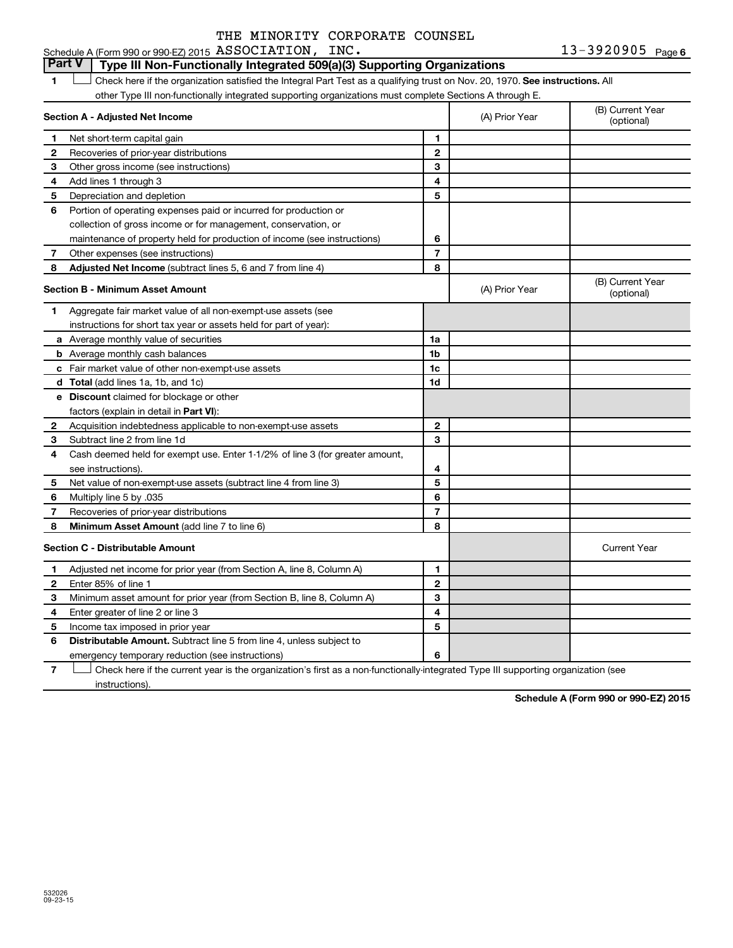13-3920905 Page 6 Schedule A (Form 990 or 990-EZ) 2015 Page ASSOCIATION, INC. 13-3920905

#### 1  $\Box$  Check here if the organization satisfied the Integral Part Test as a qualifying trust on Nov. 20, 1970. See instructions. All **Section A - Adjusted Net Income 1 2 3 4 5 6 7 8 1 2 3 4 5 6 7 Adjusted Net Income** (subtract lines 5, 6 and 7 from line 4) **8 8 Section B - Minimum Asset Amount 1 2 3 4 5 6 7 8 a** Average monthly value of securities **b** Average monthly cash balances **c** Fair market value of other non-exempt-use assets **d Total**  (add lines 1a, 1b, and 1c) **e Discount** claimed for blockage or other **1a 1b 1c 1d 2 3 4 5 6 7 8** factors (explain in detail in Part VI): **Minimum Asset Amount**  (add line 7 to line 6) **Section C - Distributable Amount 1 2 3 4 5 6 1 2 3 4 5 6** Distributable Amount. Subtract line 5 from line 4, unless subject to other Type III non-functionally integrated supporting organizations must complete Sections A through E. (B) Current Year<br>(optional) (A) Prior Year Net short-term capital gain Recoveries of prior-year distributions Other gross income (see instructions) Add lines 1 through 3 Depreciation and depletion Portion of operating expenses paid or incurred for production or collection of gross income or for management, conservation, or maintenance of property held for production of income (see instructions) Other expenses (see instructions) (B) Current Year  $(A)$  Prior Year  $\left\{\n\begin{array}{ccc}\n\end{array}\n\right\}$  (optional) Aggregate fair market value of all non-exempt-use assets (see instructions for short tax year or assets held for part of year): Acquisition indebtedness applicable to non-exempt-use assets Subtract line 2 from line 1d Cash deemed held for exempt use. Enter 1-1/2% of line 3 (for greater amount, see instructions). Net value of non-exempt-use assets (subtract line 4 from line 3) Multiply line 5 by .035 Recoveries of prior-year distributions Current Year Adjusted net income for prior year (from Section A, line 8, Column A) Enter 85% of line 1 Minimum asset amount for prior year (from Section B, line 8, Column A) Enter greater of line 2 or line 3 Income tax imposed in prior year emergency temporary reduction (see instructions) **Part V Type III Non-Functionally Integrated 509(a)(3) Supporting Organizations**   $\Box$

**7** Check here if the current year is the organization's first as a non-functionally-integrated Type III supporting organization (see † instructions).

**Schedule A (Form 990 or 990-EZ) 2015**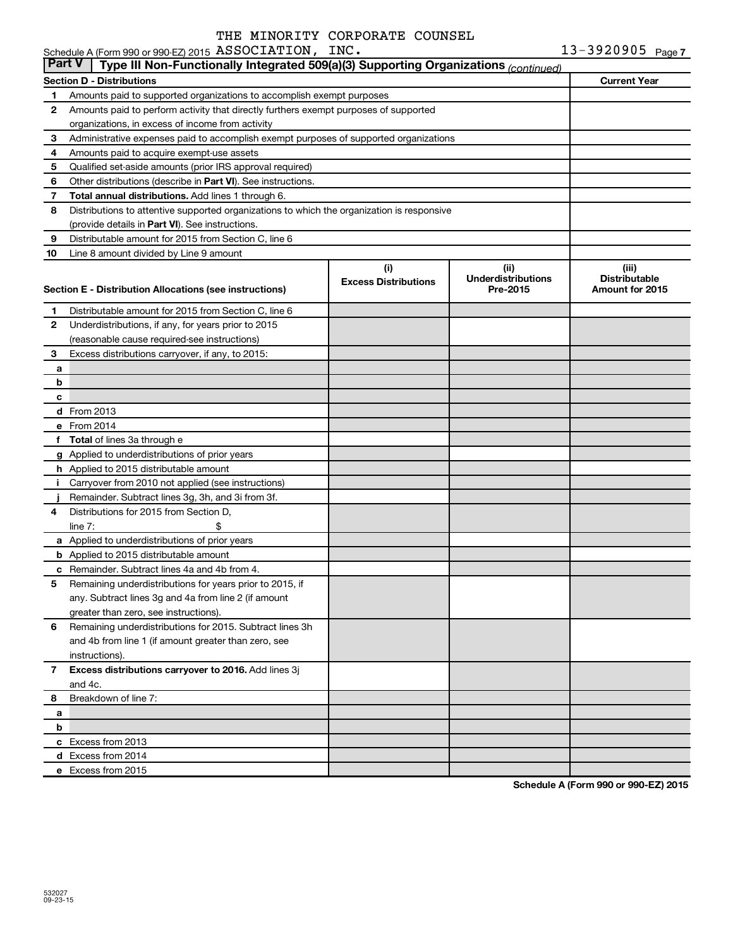|                | Schedule A (Form 990 or 990-EZ) 2015 ASSOCIATION, INC.                                          |                             |                           | $13 - 3920905$ Page 7 |  |  |  |  |  |  |
|----------------|-------------------------------------------------------------------------------------------------|-----------------------------|---------------------------|-----------------------|--|--|--|--|--|--|
| <b>Part V</b>  | Type III Non-Functionally Integrated 509(a)(3) Supporting Organizations (continued)             |                             |                           |                       |  |  |  |  |  |  |
|                | <b>Section D - Distributions</b>                                                                |                             |                           | <b>Current Year</b>   |  |  |  |  |  |  |
| 1              | Amounts paid to supported organizations to accomplish exempt purposes                           |                             |                           |                       |  |  |  |  |  |  |
| 2              | Amounts paid to perform activity that directly furthers exempt purposes of supported            |                             |                           |                       |  |  |  |  |  |  |
|                | organizations, in excess of income from activity                                                |                             |                           |                       |  |  |  |  |  |  |
| 3              | Administrative expenses paid to accomplish exempt purposes of supported organizations           |                             |                           |                       |  |  |  |  |  |  |
| 4              | Amounts paid to acquire exempt-use assets                                                       |                             |                           |                       |  |  |  |  |  |  |
| 5              | Qualified set-aside amounts (prior IRS approval required)                                       |                             |                           |                       |  |  |  |  |  |  |
| 6              | Other distributions (describe in <b>Part VI</b> ). See instructions.                            |                             |                           |                       |  |  |  |  |  |  |
| 7              | Total annual distributions. Add lines 1 through 6.                                              |                             |                           |                       |  |  |  |  |  |  |
| 8              | Distributions to attentive supported organizations to which the organization is responsive      |                             |                           |                       |  |  |  |  |  |  |
|                | (provide details in Part VI). See instructions.                                                 |                             |                           |                       |  |  |  |  |  |  |
| 9              | Distributable amount for 2015 from Section C, line 6                                            |                             |                           |                       |  |  |  |  |  |  |
| 10             | Line 8 amount divided by Line 9 amount                                                          |                             |                           |                       |  |  |  |  |  |  |
|                |                                                                                                 | (i)                         | (ii)                      | (iii)                 |  |  |  |  |  |  |
|                |                                                                                                 | <b>Excess Distributions</b> | <b>Underdistributions</b> | <b>Distributable</b>  |  |  |  |  |  |  |
|                | Section E - Distribution Allocations (see instructions)                                         |                             | Pre-2015                  | Amount for 2015       |  |  |  |  |  |  |
| 1              | Distributable amount for 2015 from Section C, line 6                                            |                             |                           |                       |  |  |  |  |  |  |
| 2              | Underdistributions, if any, for years prior to 2015                                             |                             |                           |                       |  |  |  |  |  |  |
|                | (reasonable cause required-see instructions)                                                    |                             |                           |                       |  |  |  |  |  |  |
| 3              | Excess distributions carryover, if any, to 2015:                                                |                             |                           |                       |  |  |  |  |  |  |
| a              |                                                                                                 |                             |                           |                       |  |  |  |  |  |  |
| b              |                                                                                                 |                             |                           |                       |  |  |  |  |  |  |
| c              |                                                                                                 |                             |                           |                       |  |  |  |  |  |  |
|                | <b>d</b> From 2013                                                                              |                             |                           |                       |  |  |  |  |  |  |
|                | e From 2014                                                                                     |                             |                           |                       |  |  |  |  |  |  |
|                | f Total of lines 3a through e                                                                   |                             |                           |                       |  |  |  |  |  |  |
|                | g Applied to underdistributions of prior years                                                  |                             |                           |                       |  |  |  |  |  |  |
|                | h Applied to 2015 distributable amount                                                          |                             |                           |                       |  |  |  |  |  |  |
| Ť.             | Carryover from 2010 not applied (see instructions)                                              |                             |                           |                       |  |  |  |  |  |  |
|                | Remainder. Subtract lines 3g, 3h, and 3i from 3f.                                               |                             |                           |                       |  |  |  |  |  |  |
| 4              | Distributions for 2015 from Section D,                                                          |                             |                           |                       |  |  |  |  |  |  |
|                | line $7:$                                                                                       |                             |                           |                       |  |  |  |  |  |  |
|                |                                                                                                 |                             |                           |                       |  |  |  |  |  |  |
|                | a Applied to underdistributions of prior years<br><b>b</b> Applied to 2015 distributable amount |                             |                           |                       |  |  |  |  |  |  |
|                | c Remainder. Subtract lines 4a and 4b from 4.                                                   |                             |                           |                       |  |  |  |  |  |  |
|                | 5 Remaining underdistributions for years prior to 2015, if                                      |                             |                           |                       |  |  |  |  |  |  |
|                | any. Subtract lines 3q and 4a from line 2 (if amount                                            |                             |                           |                       |  |  |  |  |  |  |
|                | greater than zero, see instructions).                                                           |                             |                           |                       |  |  |  |  |  |  |
| 6              | Remaining underdistributions for 2015. Subtract lines 3h                                        |                             |                           |                       |  |  |  |  |  |  |
|                | and 4b from line 1 (if amount greater than zero, see                                            |                             |                           |                       |  |  |  |  |  |  |
|                |                                                                                                 |                             |                           |                       |  |  |  |  |  |  |
|                | instructions).                                                                                  |                             |                           |                       |  |  |  |  |  |  |
| $\overline{7}$ | Excess distributions carryover to 2016. Add lines 3j                                            |                             |                           |                       |  |  |  |  |  |  |
|                | and 4c.<br>Breakdown of line 7:                                                                 |                             |                           |                       |  |  |  |  |  |  |
| 8              |                                                                                                 |                             |                           |                       |  |  |  |  |  |  |
| a              |                                                                                                 |                             |                           |                       |  |  |  |  |  |  |
| b              |                                                                                                 |                             |                           |                       |  |  |  |  |  |  |
|                | c Excess from 2013                                                                              |                             |                           |                       |  |  |  |  |  |  |
|                | d Excess from 2014                                                                              |                             |                           |                       |  |  |  |  |  |  |
|                | e Excess from 2015                                                                              |                             |                           |                       |  |  |  |  |  |  |

**Schedule A (Form 990 or 990-EZ) 2015**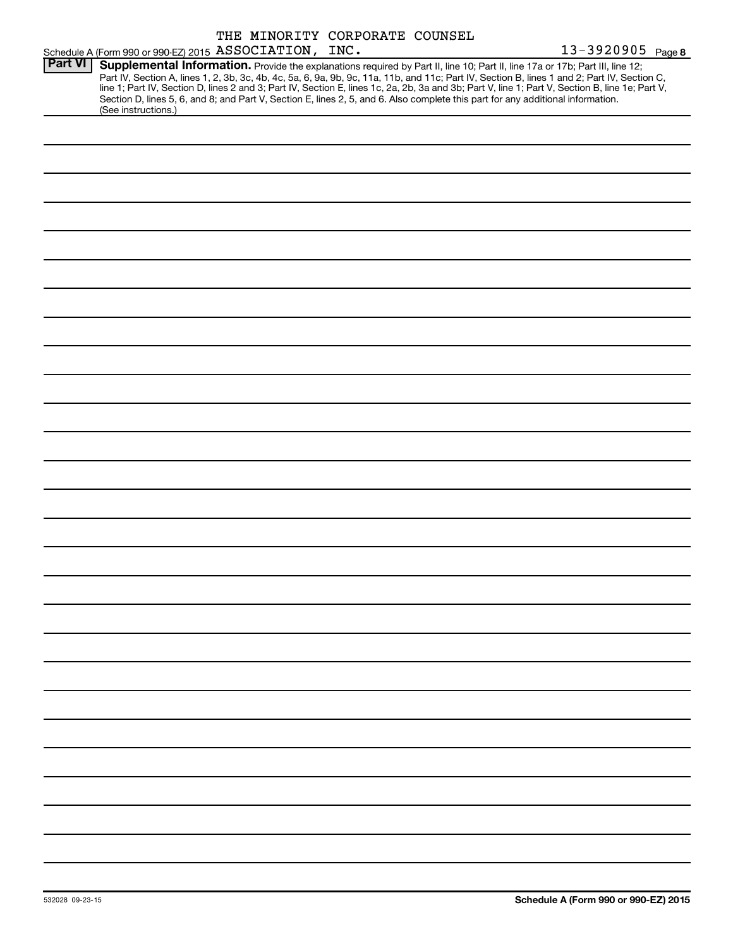|                |                                                        |  | THE MINORITY CORPORATE COUNSEL |                                                                                                                                                                                                                                                                                                                                                                                                                                                                                                    |                   |
|----------------|--------------------------------------------------------|--|--------------------------------|----------------------------------------------------------------------------------------------------------------------------------------------------------------------------------------------------------------------------------------------------------------------------------------------------------------------------------------------------------------------------------------------------------------------------------------------------------------------------------------------------|-------------------|
|                | Schedule A (Form 990 or 990-EZ) 2015 ASSOCIATION, INC. |  |                                |                                                                                                                                                                                                                                                                                                                                                                                                                                                                                                    | 13-3920905 Page 8 |
| <b>Part VI</b> | (See instructions.)                                    |  |                                | Supplemental Information. Provide the explanations required by Part II, line 10; Part II, line 17a or 17b; Part III, line 12;<br>Part IV, Section A, lines 1, 2, 3b, 3c, 4b, 4c, 5a, 6, 9a, 9b, 9c, 11a, 11b, and 11c; Part IV, Section B, lines 1 and 2; Part IV, Section C, line 1; Part IV, Section D, lines 2 and 3; Part IV, Section E, lines 1 c, 2a, 2b,<br>Section D, lines 5, 6, and 8; and Part V, Section E, lines 2, 5, and 6. Also complete this part for any additional information. |                   |
|                |                                                        |  |                                |                                                                                                                                                                                                                                                                                                                                                                                                                                                                                                    |                   |
|                |                                                        |  |                                |                                                                                                                                                                                                                                                                                                                                                                                                                                                                                                    |                   |
|                |                                                        |  |                                |                                                                                                                                                                                                                                                                                                                                                                                                                                                                                                    |                   |
|                |                                                        |  |                                |                                                                                                                                                                                                                                                                                                                                                                                                                                                                                                    |                   |
|                |                                                        |  |                                |                                                                                                                                                                                                                                                                                                                                                                                                                                                                                                    |                   |
|                |                                                        |  |                                |                                                                                                                                                                                                                                                                                                                                                                                                                                                                                                    |                   |
|                |                                                        |  |                                |                                                                                                                                                                                                                                                                                                                                                                                                                                                                                                    |                   |
|                |                                                        |  |                                |                                                                                                                                                                                                                                                                                                                                                                                                                                                                                                    |                   |
|                |                                                        |  |                                |                                                                                                                                                                                                                                                                                                                                                                                                                                                                                                    |                   |
|                |                                                        |  |                                |                                                                                                                                                                                                                                                                                                                                                                                                                                                                                                    |                   |
|                |                                                        |  |                                |                                                                                                                                                                                                                                                                                                                                                                                                                                                                                                    |                   |
|                |                                                        |  |                                |                                                                                                                                                                                                                                                                                                                                                                                                                                                                                                    |                   |
|                |                                                        |  |                                |                                                                                                                                                                                                                                                                                                                                                                                                                                                                                                    |                   |
|                |                                                        |  |                                |                                                                                                                                                                                                                                                                                                                                                                                                                                                                                                    |                   |
|                |                                                        |  |                                |                                                                                                                                                                                                                                                                                                                                                                                                                                                                                                    |                   |
|                |                                                        |  |                                |                                                                                                                                                                                                                                                                                                                                                                                                                                                                                                    |                   |
|                |                                                        |  |                                |                                                                                                                                                                                                                                                                                                                                                                                                                                                                                                    |                   |
|                |                                                        |  |                                |                                                                                                                                                                                                                                                                                                                                                                                                                                                                                                    |                   |
|                |                                                        |  |                                |                                                                                                                                                                                                                                                                                                                                                                                                                                                                                                    |                   |
|                |                                                        |  |                                |                                                                                                                                                                                                                                                                                                                                                                                                                                                                                                    |                   |
|                |                                                        |  |                                |                                                                                                                                                                                                                                                                                                                                                                                                                                                                                                    |                   |
|                |                                                        |  |                                |                                                                                                                                                                                                                                                                                                                                                                                                                                                                                                    |                   |
|                |                                                        |  |                                |                                                                                                                                                                                                                                                                                                                                                                                                                                                                                                    |                   |
|                |                                                        |  |                                |                                                                                                                                                                                                                                                                                                                                                                                                                                                                                                    |                   |
|                |                                                        |  |                                |                                                                                                                                                                                                                                                                                                                                                                                                                                                                                                    |                   |
|                |                                                        |  |                                |                                                                                                                                                                                                                                                                                                                                                                                                                                                                                                    |                   |
|                |                                                        |  |                                |                                                                                                                                                                                                                                                                                                                                                                                                                                                                                                    |                   |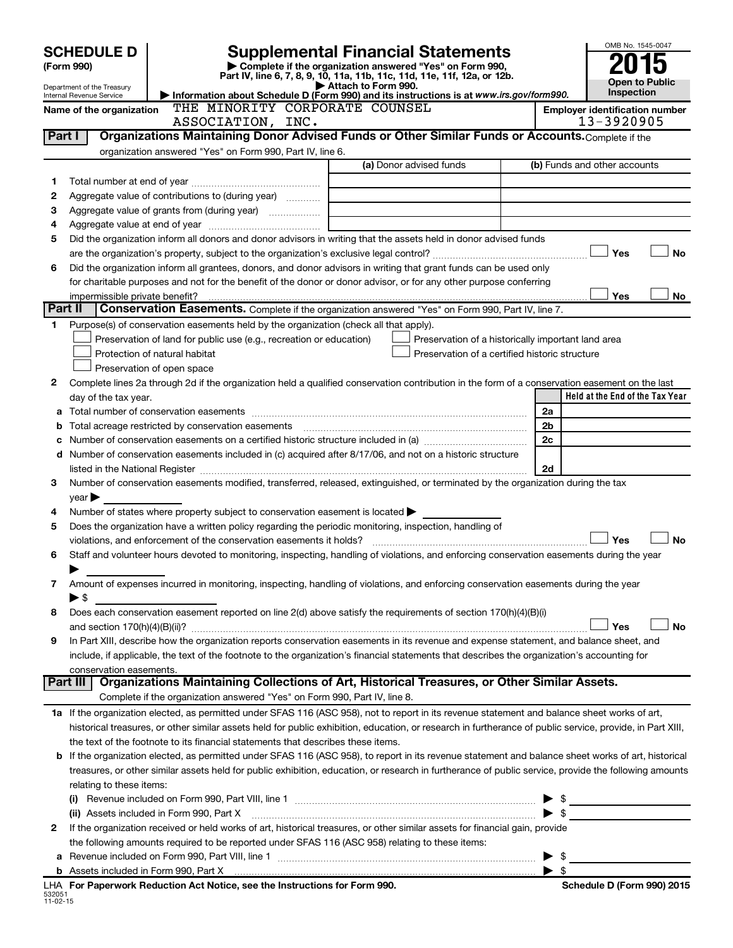| Attach to Form 990.<br>Department of the Treasury<br>Inspection<br>Information about Schedule D (Form 990) and its instructions is at www.irs.gov/form990.<br>Internal Revenue Service<br>THE MINORITY CORPORATE COUNSEL<br><b>Employer identification number</b><br>Name of the organization<br>13-3920905<br>ASSOCIATION, INC.<br>Organizations Maintaining Donor Advised Funds or Other Similar Funds or Accounts. Complete if the<br>Part I<br>organization answered "Yes" on Form 990, Part IV, line 6.<br>(a) Donor advised funds<br>(b) Funds and other accounts<br>1<br>Aggregate value of contributions to (during year)<br>2<br>з<br><u> 1990 - Johann Barbara, martin a</u><br>4<br>Did the organization inform all donors and donor advisors in writing that the assets held in donor advised funds<br>5<br>Yes<br><b>No</b><br>are the organization's property, subject to the organization's exclusive legal control?<br>Did the organization inform all grantees, donors, and donor advisors in writing that grant funds can be used only<br>6<br>for charitable purposes and not for the benefit of the donor or donor advisor, or for any other purpose conferring<br>Yes<br>No<br>impermissible private benefit?<br>Part II<br>Conservation Easements. Complete if the organization answered "Yes" on Form 990, Part IV, line 7.<br>Purpose(s) of conservation easements held by the organization (check all that apply).<br>1.<br>Preservation of land for public use (e.g., recreation or education)<br>Preservation of a historically important land area<br>Protection of natural habitat<br>Preservation of a certified historic structure<br>Preservation of open space<br>Complete lines 2a through 2d if the organization held a qualified conservation contribution in the form of a conservation easement on the last<br>2<br>Held at the End of the Tax Year<br>day of the tax year.<br>2a<br>Total acreage restricted by conservation easements<br>2b<br>b<br>2c<br>Number of conservation easements on a certified historic structure included in (a) <i></i><br>с<br>d Number of conservation easements included in (c) acquired after 8/17/06, and not on a historic structure<br>2d<br>listed in the National Register [111] Marshall Register [11] Marshall Register [11] Marshall Register [11] Marshall Register [11] Marshall Register [11] Marshall Register [11] Marshall Register [11] Marshall Register [11]<br>Number of conservation easements modified, transferred, released, extinguished, or terminated by the organization during the tax<br>3<br>$year \triangleright$<br>Number of states where property subject to conservation easement is located ><br>4<br>Does the organization have a written policy regarding the periodic monitoring, inspection, handling of<br>5<br><b>No</b><br>Yes<br>violations, and enforcement of the conservation easements it holds?<br>Staff and volunteer hours devoted to monitoring, inspecting, handling of violations, and enforcing conservation easements during the year<br>6<br>Amount of expenses incurred in monitoring, inspecting, handling of violations, and enforcing conservation easements during the year<br>7<br>$\blacktriangleright$ \$<br>Does each conservation easement reported on line 2(d) above satisfy the requirements of section 170(h)(4)(B)(i)<br>8<br><b>No</b><br>Yes<br>In Part XIII, describe how the organization reports conservation easements in its revenue and expense statement, and balance sheet, and<br>9<br>include, if applicable, the text of the footnote to the organization's financial statements that describes the organization's accounting for<br>conservation easements.<br>Organizations Maintaining Collections of Art, Historical Treasures, or Other Similar Assets.<br>Part III<br>Complete if the organization answered "Yes" on Form 990, Part IV, line 8.<br>1a If the organization elected, as permitted under SFAS 116 (ASC 958), not to report in its revenue statement and balance sheet works of art,<br>historical treasures, or other similar assets held for public exhibition, education, or research in furtherance of public service, provide, in Part XIII,<br>the text of the footnote to its financial statements that describes these items.<br>b If the organization elected, as permitted under SFAS 116 (ASC 958), to report in its revenue statement and balance sheet works of art, historical<br>treasures, or other similar assets held for public exhibition, education, or research in furtherance of public service, provide the following amounts<br>relating to these items:<br>\$<br>$\blacktriangleright$ s<br>(ii) Assets included in Form 990, Part X<br>If the organization received or held works of art, historical treasures, or other similar assets for financial gain, provide<br>2<br>the following amounts required to be reported under SFAS 116 (ASC 958) relating to these items:<br>$\blacktriangleright$ \$<br>а<br>$\blacktriangleright$ s<br>LHA For Paperwork Reduction Act Notice, see the Instructions for Form 990.<br>Schedule D (Form 990) 2015 | <b>SCHEDULE D</b><br>(Form 990) | OMB No. 1545-0047 |  |                       |
|---------------------------------------------------------------------------------------------------------------------------------------------------------------------------------------------------------------------------------------------------------------------------------------------------------------------------------------------------------------------------------------------------------------------------------------------------------------------------------------------------------------------------------------------------------------------------------------------------------------------------------------------------------------------------------------------------------------------------------------------------------------------------------------------------------------------------------------------------------------------------------------------------------------------------------------------------------------------------------------------------------------------------------------------------------------------------------------------------------------------------------------------------------------------------------------------------------------------------------------------------------------------------------------------------------------------------------------------------------------------------------------------------------------------------------------------------------------------------------------------------------------------------------------------------------------------------------------------------------------------------------------------------------------------------------------------------------------------------------------------------------------------------------------------------------------------------------------------------------------------------------------------------------------------------------------------------------------------------------------------------------------------------------------------------------------------------------------------------------------------------------------------------------------------------------------------------------------------------------------------------------------------------------------------------------------------------------------------------------------------------------------------------------------------------------------------------------------------------------------------------------------------------------------------------------------------------------------------------------------------------------------------------------------------------------------------------------------------------------------------------------------------------------------------------------------------------------------------------------------------------------------------------------------------------------------------------------------------------------------------------------------------------------------------------------------------------------------------------------------------------------------------------------------------------------------------------------------------------------------------------------------------------------------------------------------------------------------------------------------------------------------------------------------------------------------------------------------------------------------------------------------------------------------------------------------------------------------------------------------------------------------------------------------------------------------------------------------------------------------------------------------------------------------------------------------------------------------------------------------------------------------------------------------------------------------------------------------------------------------------------------------------------------------------------------------------------------------------------------------------------------------------------------------------------------------------------------------------------------------------------------------------------------------------------------------------------------------------------------------------------------------------------------------------------------------------------------------------------------------------------------------------------------------------------------------------------------------------------------------------------------------------------------------------------------------------------------------------------------------------------------------------------------------------------------------------------------------------------------------------------------------------------------------------------------------------------------------------------------------------------------------------------------------------------------------------------------------------------------------------------------------------------------------|---------------------------------|-------------------|--|-----------------------|
|                                                                                                                                                                                                                                                                                                                                                                                                                                                                                                                                                                                                                                                                                                                                                                                                                                                                                                                                                                                                                                                                                                                                                                                                                                                                                                                                                                                                                                                                                                                                                                                                                                                                                                                                                                                                                                                                                                                                                                                                                                                                                                                                                                                                                                                                                                                                                                                                                                                                                                                                                                                                                                                                                                                                                                                                                                                                                                                                                                                                                                                                                                                                                                                                                                                                                                                                                                                                                                                                                                                                                                                                                                                                                                                                                                                                                                                                                                                                                                                                                                                                                                                                                                                                                                                                                                                                                                                                                                                                                                                                                                                                                                                                                                                                                                                                                                                                                                                                                                                                                                                                                                                                                               |                                 |                   |  | <b>Open to Public</b> |
|                                                                                                                                                                                                                                                                                                                                                                                                                                                                                                                                                                                                                                                                                                                                                                                                                                                                                                                                                                                                                                                                                                                                                                                                                                                                                                                                                                                                                                                                                                                                                                                                                                                                                                                                                                                                                                                                                                                                                                                                                                                                                                                                                                                                                                                                                                                                                                                                                                                                                                                                                                                                                                                                                                                                                                                                                                                                                                                                                                                                                                                                                                                                                                                                                                                                                                                                                                                                                                                                                                                                                                                                                                                                                                                                                                                                                                                                                                                                                                                                                                                                                                                                                                                                                                                                                                                                                                                                                                                                                                                                                                                                                                                                                                                                                                                                                                                                                                                                                                                                                                                                                                                                                               |                                 |                   |  |                       |
|                                                                                                                                                                                                                                                                                                                                                                                                                                                                                                                                                                                                                                                                                                                                                                                                                                                                                                                                                                                                                                                                                                                                                                                                                                                                                                                                                                                                                                                                                                                                                                                                                                                                                                                                                                                                                                                                                                                                                                                                                                                                                                                                                                                                                                                                                                                                                                                                                                                                                                                                                                                                                                                                                                                                                                                                                                                                                                                                                                                                                                                                                                                                                                                                                                                                                                                                                                                                                                                                                                                                                                                                                                                                                                                                                                                                                                                                                                                                                                                                                                                                                                                                                                                                                                                                                                                                                                                                                                                                                                                                                                                                                                                                                                                                                                                                                                                                                                                                                                                                                                                                                                                                                               |                                 |                   |  |                       |
|                                                                                                                                                                                                                                                                                                                                                                                                                                                                                                                                                                                                                                                                                                                                                                                                                                                                                                                                                                                                                                                                                                                                                                                                                                                                                                                                                                                                                                                                                                                                                                                                                                                                                                                                                                                                                                                                                                                                                                                                                                                                                                                                                                                                                                                                                                                                                                                                                                                                                                                                                                                                                                                                                                                                                                                                                                                                                                                                                                                                                                                                                                                                                                                                                                                                                                                                                                                                                                                                                                                                                                                                                                                                                                                                                                                                                                                                                                                                                                                                                                                                                                                                                                                                                                                                                                                                                                                                                                                                                                                                                                                                                                                                                                                                                                                                                                                                                                                                                                                                                                                                                                                                                               |                                 |                   |  |                       |
|                                                                                                                                                                                                                                                                                                                                                                                                                                                                                                                                                                                                                                                                                                                                                                                                                                                                                                                                                                                                                                                                                                                                                                                                                                                                                                                                                                                                                                                                                                                                                                                                                                                                                                                                                                                                                                                                                                                                                                                                                                                                                                                                                                                                                                                                                                                                                                                                                                                                                                                                                                                                                                                                                                                                                                                                                                                                                                                                                                                                                                                                                                                                                                                                                                                                                                                                                                                                                                                                                                                                                                                                                                                                                                                                                                                                                                                                                                                                                                                                                                                                                                                                                                                                                                                                                                                                                                                                                                                                                                                                                                                                                                                                                                                                                                                                                                                                                                                                                                                                                                                                                                                                                               |                                 |                   |  |                       |
|                                                                                                                                                                                                                                                                                                                                                                                                                                                                                                                                                                                                                                                                                                                                                                                                                                                                                                                                                                                                                                                                                                                                                                                                                                                                                                                                                                                                                                                                                                                                                                                                                                                                                                                                                                                                                                                                                                                                                                                                                                                                                                                                                                                                                                                                                                                                                                                                                                                                                                                                                                                                                                                                                                                                                                                                                                                                                                                                                                                                                                                                                                                                                                                                                                                                                                                                                                                                                                                                                                                                                                                                                                                                                                                                                                                                                                                                                                                                                                                                                                                                                                                                                                                                                                                                                                                                                                                                                                                                                                                                                                                                                                                                                                                                                                                                                                                                                                                                                                                                                                                                                                                                                               |                                 |                   |  |                       |
|                                                                                                                                                                                                                                                                                                                                                                                                                                                                                                                                                                                                                                                                                                                                                                                                                                                                                                                                                                                                                                                                                                                                                                                                                                                                                                                                                                                                                                                                                                                                                                                                                                                                                                                                                                                                                                                                                                                                                                                                                                                                                                                                                                                                                                                                                                                                                                                                                                                                                                                                                                                                                                                                                                                                                                                                                                                                                                                                                                                                                                                                                                                                                                                                                                                                                                                                                                                                                                                                                                                                                                                                                                                                                                                                                                                                                                                                                                                                                                                                                                                                                                                                                                                                                                                                                                                                                                                                                                                                                                                                                                                                                                                                                                                                                                                                                                                                                                                                                                                                                                                                                                                                                               |                                 |                   |  |                       |
|                                                                                                                                                                                                                                                                                                                                                                                                                                                                                                                                                                                                                                                                                                                                                                                                                                                                                                                                                                                                                                                                                                                                                                                                                                                                                                                                                                                                                                                                                                                                                                                                                                                                                                                                                                                                                                                                                                                                                                                                                                                                                                                                                                                                                                                                                                                                                                                                                                                                                                                                                                                                                                                                                                                                                                                                                                                                                                                                                                                                                                                                                                                                                                                                                                                                                                                                                                                                                                                                                                                                                                                                                                                                                                                                                                                                                                                                                                                                                                                                                                                                                                                                                                                                                                                                                                                                                                                                                                                                                                                                                                                                                                                                                                                                                                                                                                                                                                                                                                                                                                                                                                                                                               |                                 |                   |  |                       |
|                                                                                                                                                                                                                                                                                                                                                                                                                                                                                                                                                                                                                                                                                                                                                                                                                                                                                                                                                                                                                                                                                                                                                                                                                                                                                                                                                                                                                                                                                                                                                                                                                                                                                                                                                                                                                                                                                                                                                                                                                                                                                                                                                                                                                                                                                                                                                                                                                                                                                                                                                                                                                                                                                                                                                                                                                                                                                                                                                                                                                                                                                                                                                                                                                                                                                                                                                                                                                                                                                                                                                                                                                                                                                                                                                                                                                                                                                                                                                                                                                                                                                                                                                                                                                                                                                                                                                                                                                                                                                                                                                                                                                                                                                                                                                                                                                                                                                                                                                                                                                                                                                                                                                               |                                 |                   |  |                       |
|                                                                                                                                                                                                                                                                                                                                                                                                                                                                                                                                                                                                                                                                                                                                                                                                                                                                                                                                                                                                                                                                                                                                                                                                                                                                                                                                                                                                                                                                                                                                                                                                                                                                                                                                                                                                                                                                                                                                                                                                                                                                                                                                                                                                                                                                                                                                                                                                                                                                                                                                                                                                                                                                                                                                                                                                                                                                                                                                                                                                                                                                                                                                                                                                                                                                                                                                                                                                                                                                                                                                                                                                                                                                                                                                                                                                                                                                                                                                                                                                                                                                                                                                                                                                                                                                                                                                                                                                                                                                                                                                                                                                                                                                                                                                                                                                                                                                                                                                                                                                                                                                                                                                                               |                                 |                   |  |                       |
|                                                                                                                                                                                                                                                                                                                                                                                                                                                                                                                                                                                                                                                                                                                                                                                                                                                                                                                                                                                                                                                                                                                                                                                                                                                                                                                                                                                                                                                                                                                                                                                                                                                                                                                                                                                                                                                                                                                                                                                                                                                                                                                                                                                                                                                                                                                                                                                                                                                                                                                                                                                                                                                                                                                                                                                                                                                                                                                                                                                                                                                                                                                                                                                                                                                                                                                                                                                                                                                                                                                                                                                                                                                                                                                                                                                                                                                                                                                                                                                                                                                                                                                                                                                                                                                                                                                                                                                                                                                                                                                                                                                                                                                                                                                                                                                                                                                                                                                                                                                                                                                                                                                                                               |                                 |                   |  |                       |
|                                                                                                                                                                                                                                                                                                                                                                                                                                                                                                                                                                                                                                                                                                                                                                                                                                                                                                                                                                                                                                                                                                                                                                                                                                                                                                                                                                                                                                                                                                                                                                                                                                                                                                                                                                                                                                                                                                                                                                                                                                                                                                                                                                                                                                                                                                                                                                                                                                                                                                                                                                                                                                                                                                                                                                                                                                                                                                                                                                                                                                                                                                                                                                                                                                                                                                                                                                                                                                                                                                                                                                                                                                                                                                                                                                                                                                                                                                                                                                                                                                                                                                                                                                                                                                                                                                                                                                                                                                                                                                                                                                                                                                                                                                                                                                                                                                                                                                                                                                                                                                                                                                                                                               |                                 |                   |  |                       |
|                                                                                                                                                                                                                                                                                                                                                                                                                                                                                                                                                                                                                                                                                                                                                                                                                                                                                                                                                                                                                                                                                                                                                                                                                                                                                                                                                                                                                                                                                                                                                                                                                                                                                                                                                                                                                                                                                                                                                                                                                                                                                                                                                                                                                                                                                                                                                                                                                                                                                                                                                                                                                                                                                                                                                                                                                                                                                                                                                                                                                                                                                                                                                                                                                                                                                                                                                                                                                                                                                                                                                                                                                                                                                                                                                                                                                                                                                                                                                                                                                                                                                                                                                                                                                                                                                                                                                                                                                                                                                                                                                                                                                                                                                                                                                                                                                                                                                                                                                                                                                                                                                                                                                               |                                 |                   |  |                       |
|                                                                                                                                                                                                                                                                                                                                                                                                                                                                                                                                                                                                                                                                                                                                                                                                                                                                                                                                                                                                                                                                                                                                                                                                                                                                                                                                                                                                                                                                                                                                                                                                                                                                                                                                                                                                                                                                                                                                                                                                                                                                                                                                                                                                                                                                                                                                                                                                                                                                                                                                                                                                                                                                                                                                                                                                                                                                                                                                                                                                                                                                                                                                                                                                                                                                                                                                                                                                                                                                                                                                                                                                                                                                                                                                                                                                                                                                                                                                                                                                                                                                                                                                                                                                                                                                                                                                                                                                                                                                                                                                                                                                                                                                                                                                                                                                                                                                                                                                                                                                                                                                                                                                                               |                                 |                   |  |                       |
|                                                                                                                                                                                                                                                                                                                                                                                                                                                                                                                                                                                                                                                                                                                                                                                                                                                                                                                                                                                                                                                                                                                                                                                                                                                                                                                                                                                                                                                                                                                                                                                                                                                                                                                                                                                                                                                                                                                                                                                                                                                                                                                                                                                                                                                                                                                                                                                                                                                                                                                                                                                                                                                                                                                                                                                                                                                                                                                                                                                                                                                                                                                                                                                                                                                                                                                                                                                                                                                                                                                                                                                                                                                                                                                                                                                                                                                                                                                                                                                                                                                                                                                                                                                                                                                                                                                                                                                                                                                                                                                                                                                                                                                                                                                                                                                                                                                                                                                                                                                                                                                                                                                                                               |                                 |                   |  |                       |
|                                                                                                                                                                                                                                                                                                                                                                                                                                                                                                                                                                                                                                                                                                                                                                                                                                                                                                                                                                                                                                                                                                                                                                                                                                                                                                                                                                                                                                                                                                                                                                                                                                                                                                                                                                                                                                                                                                                                                                                                                                                                                                                                                                                                                                                                                                                                                                                                                                                                                                                                                                                                                                                                                                                                                                                                                                                                                                                                                                                                                                                                                                                                                                                                                                                                                                                                                                                                                                                                                                                                                                                                                                                                                                                                                                                                                                                                                                                                                                                                                                                                                                                                                                                                                                                                                                                                                                                                                                                                                                                                                                                                                                                                                                                                                                                                                                                                                                                                                                                                                                                                                                                                                               |                                 |                   |  |                       |
|                                                                                                                                                                                                                                                                                                                                                                                                                                                                                                                                                                                                                                                                                                                                                                                                                                                                                                                                                                                                                                                                                                                                                                                                                                                                                                                                                                                                                                                                                                                                                                                                                                                                                                                                                                                                                                                                                                                                                                                                                                                                                                                                                                                                                                                                                                                                                                                                                                                                                                                                                                                                                                                                                                                                                                                                                                                                                                                                                                                                                                                                                                                                                                                                                                                                                                                                                                                                                                                                                                                                                                                                                                                                                                                                                                                                                                                                                                                                                                                                                                                                                                                                                                                                                                                                                                                                                                                                                                                                                                                                                                                                                                                                                                                                                                                                                                                                                                                                                                                                                                                                                                                                                               |                                 |                   |  |                       |
|                                                                                                                                                                                                                                                                                                                                                                                                                                                                                                                                                                                                                                                                                                                                                                                                                                                                                                                                                                                                                                                                                                                                                                                                                                                                                                                                                                                                                                                                                                                                                                                                                                                                                                                                                                                                                                                                                                                                                                                                                                                                                                                                                                                                                                                                                                                                                                                                                                                                                                                                                                                                                                                                                                                                                                                                                                                                                                                                                                                                                                                                                                                                                                                                                                                                                                                                                                                                                                                                                                                                                                                                                                                                                                                                                                                                                                                                                                                                                                                                                                                                                                                                                                                                                                                                                                                                                                                                                                                                                                                                                                                                                                                                                                                                                                                                                                                                                                                                                                                                                                                                                                                                                               |                                 |                   |  |                       |
|                                                                                                                                                                                                                                                                                                                                                                                                                                                                                                                                                                                                                                                                                                                                                                                                                                                                                                                                                                                                                                                                                                                                                                                                                                                                                                                                                                                                                                                                                                                                                                                                                                                                                                                                                                                                                                                                                                                                                                                                                                                                                                                                                                                                                                                                                                                                                                                                                                                                                                                                                                                                                                                                                                                                                                                                                                                                                                                                                                                                                                                                                                                                                                                                                                                                                                                                                                                                                                                                                                                                                                                                                                                                                                                                                                                                                                                                                                                                                                                                                                                                                                                                                                                                                                                                                                                                                                                                                                                                                                                                                                                                                                                                                                                                                                                                                                                                                                                                                                                                                                                                                                                                                               |                                 |                   |  |                       |
|                                                                                                                                                                                                                                                                                                                                                                                                                                                                                                                                                                                                                                                                                                                                                                                                                                                                                                                                                                                                                                                                                                                                                                                                                                                                                                                                                                                                                                                                                                                                                                                                                                                                                                                                                                                                                                                                                                                                                                                                                                                                                                                                                                                                                                                                                                                                                                                                                                                                                                                                                                                                                                                                                                                                                                                                                                                                                                                                                                                                                                                                                                                                                                                                                                                                                                                                                                                                                                                                                                                                                                                                                                                                                                                                                                                                                                                                                                                                                                                                                                                                                                                                                                                                                                                                                                                                                                                                                                                                                                                                                                                                                                                                                                                                                                                                                                                                                                                                                                                                                                                                                                                                                               |                                 |                   |  |                       |
|                                                                                                                                                                                                                                                                                                                                                                                                                                                                                                                                                                                                                                                                                                                                                                                                                                                                                                                                                                                                                                                                                                                                                                                                                                                                                                                                                                                                                                                                                                                                                                                                                                                                                                                                                                                                                                                                                                                                                                                                                                                                                                                                                                                                                                                                                                                                                                                                                                                                                                                                                                                                                                                                                                                                                                                                                                                                                                                                                                                                                                                                                                                                                                                                                                                                                                                                                                                                                                                                                                                                                                                                                                                                                                                                                                                                                                                                                                                                                                                                                                                                                                                                                                                                                                                                                                                                                                                                                                                                                                                                                                                                                                                                                                                                                                                                                                                                                                                                                                                                                                                                                                                                                               |                                 |                   |  |                       |
|                                                                                                                                                                                                                                                                                                                                                                                                                                                                                                                                                                                                                                                                                                                                                                                                                                                                                                                                                                                                                                                                                                                                                                                                                                                                                                                                                                                                                                                                                                                                                                                                                                                                                                                                                                                                                                                                                                                                                                                                                                                                                                                                                                                                                                                                                                                                                                                                                                                                                                                                                                                                                                                                                                                                                                                                                                                                                                                                                                                                                                                                                                                                                                                                                                                                                                                                                                                                                                                                                                                                                                                                                                                                                                                                                                                                                                                                                                                                                                                                                                                                                                                                                                                                                                                                                                                                                                                                                                                                                                                                                                                                                                                                                                                                                                                                                                                                                                                                                                                                                                                                                                                                                               |                                 |                   |  |                       |
|                                                                                                                                                                                                                                                                                                                                                                                                                                                                                                                                                                                                                                                                                                                                                                                                                                                                                                                                                                                                                                                                                                                                                                                                                                                                                                                                                                                                                                                                                                                                                                                                                                                                                                                                                                                                                                                                                                                                                                                                                                                                                                                                                                                                                                                                                                                                                                                                                                                                                                                                                                                                                                                                                                                                                                                                                                                                                                                                                                                                                                                                                                                                                                                                                                                                                                                                                                                                                                                                                                                                                                                                                                                                                                                                                                                                                                                                                                                                                                                                                                                                                                                                                                                                                                                                                                                                                                                                                                                                                                                                                                                                                                                                                                                                                                                                                                                                                                                                                                                                                                                                                                                                                               |                                 |                   |  |                       |
|                                                                                                                                                                                                                                                                                                                                                                                                                                                                                                                                                                                                                                                                                                                                                                                                                                                                                                                                                                                                                                                                                                                                                                                                                                                                                                                                                                                                                                                                                                                                                                                                                                                                                                                                                                                                                                                                                                                                                                                                                                                                                                                                                                                                                                                                                                                                                                                                                                                                                                                                                                                                                                                                                                                                                                                                                                                                                                                                                                                                                                                                                                                                                                                                                                                                                                                                                                                                                                                                                                                                                                                                                                                                                                                                                                                                                                                                                                                                                                                                                                                                                                                                                                                                                                                                                                                                                                                                                                                                                                                                                                                                                                                                                                                                                                                                                                                                                                                                                                                                                                                                                                                                                               |                                 |                   |  |                       |
|                                                                                                                                                                                                                                                                                                                                                                                                                                                                                                                                                                                                                                                                                                                                                                                                                                                                                                                                                                                                                                                                                                                                                                                                                                                                                                                                                                                                                                                                                                                                                                                                                                                                                                                                                                                                                                                                                                                                                                                                                                                                                                                                                                                                                                                                                                                                                                                                                                                                                                                                                                                                                                                                                                                                                                                                                                                                                                                                                                                                                                                                                                                                                                                                                                                                                                                                                                                                                                                                                                                                                                                                                                                                                                                                                                                                                                                                                                                                                                                                                                                                                                                                                                                                                                                                                                                                                                                                                                                                                                                                                                                                                                                                                                                                                                                                                                                                                                                                                                                                                                                                                                                                                               |                                 |                   |  |                       |
|                                                                                                                                                                                                                                                                                                                                                                                                                                                                                                                                                                                                                                                                                                                                                                                                                                                                                                                                                                                                                                                                                                                                                                                                                                                                                                                                                                                                                                                                                                                                                                                                                                                                                                                                                                                                                                                                                                                                                                                                                                                                                                                                                                                                                                                                                                                                                                                                                                                                                                                                                                                                                                                                                                                                                                                                                                                                                                                                                                                                                                                                                                                                                                                                                                                                                                                                                                                                                                                                                                                                                                                                                                                                                                                                                                                                                                                                                                                                                                                                                                                                                                                                                                                                                                                                                                                                                                                                                                                                                                                                                                                                                                                                                                                                                                                                                                                                                                                                                                                                                                                                                                                                                               |                                 |                   |  |                       |
|                                                                                                                                                                                                                                                                                                                                                                                                                                                                                                                                                                                                                                                                                                                                                                                                                                                                                                                                                                                                                                                                                                                                                                                                                                                                                                                                                                                                                                                                                                                                                                                                                                                                                                                                                                                                                                                                                                                                                                                                                                                                                                                                                                                                                                                                                                                                                                                                                                                                                                                                                                                                                                                                                                                                                                                                                                                                                                                                                                                                                                                                                                                                                                                                                                                                                                                                                                                                                                                                                                                                                                                                                                                                                                                                                                                                                                                                                                                                                                                                                                                                                                                                                                                                                                                                                                                                                                                                                                                                                                                                                                                                                                                                                                                                                                                                                                                                                                                                                                                                                                                                                                                                                               |                                 |                   |  |                       |
|                                                                                                                                                                                                                                                                                                                                                                                                                                                                                                                                                                                                                                                                                                                                                                                                                                                                                                                                                                                                                                                                                                                                                                                                                                                                                                                                                                                                                                                                                                                                                                                                                                                                                                                                                                                                                                                                                                                                                                                                                                                                                                                                                                                                                                                                                                                                                                                                                                                                                                                                                                                                                                                                                                                                                                                                                                                                                                                                                                                                                                                                                                                                                                                                                                                                                                                                                                                                                                                                                                                                                                                                                                                                                                                                                                                                                                                                                                                                                                                                                                                                                                                                                                                                                                                                                                                                                                                                                                                                                                                                                                                                                                                                                                                                                                                                                                                                                                                                                                                                                                                                                                                                                               |                                 |                   |  |                       |
|                                                                                                                                                                                                                                                                                                                                                                                                                                                                                                                                                                                                                                                                                                                                                                                                                                                                                                                                                                                                                                                                                                                                                                                                                                                                                                                                                                                                                                                                                                                                                                                                                                                                                                                                                                                                                                                                                                                                                                                                                                                                                                                                                                                                                                                                                                                                                                                                                                                                                                                                                                                                                                                                                                                                                                                                                                                                                                                                                                                                                                                                                                                                                                                                                                                                                                                                                                                                                                                                                                                                                                                                                                                                                                                                                                                                                                                                                                                                                                                                                                                                                                                                                                                                                                                                                                                                                                                                                                                                                                                                                                                                                                                                                                                                                                                                                                                                                                                                                                                                                                                                                                                                                               |                                 |                   |  |                       |
|                                                                                                                                                                                                                                                                                                                                                                                                                                                                                                                                                                                                                                                                                                                                                                                                                                                                                                                                                                                                                                                                                                                                                                                                                                                                                                                                                                                                                                                                                                                                                                                                                                                                                                                                                                                                                                                                                                                                                                                                                                                                                                                                                                                                                                                                                                                                                                                                                                                                                                                                                                                                                                                                                                                                                                                                                                                                                                                                                                                                                                                                                                                                                                                                                                                                                                                                                                                                                                                                                                                                                                                                                                                                                                                                                                                                                                                                                                                                                                                                                                                                                                                                                                                                                                                                                                                                                                                                                                                                                                                                                                                                                                                                                                                                                                                                                                                                                                                                                                                                                                                                                                                                                               |                                 |                   |  |                       |
|                                                                                                                                                                                                                                                                                                                                                                                                                                                                                                                                                                                                                                                                                                                                                                                                                                                                                                                                                                                                                                                                                                                                                                                                                                                                                                                                                                                                                                                                                                                                                                                                                                                                                                                                                                                                                                                                                                                                                                                                                                                                                                                                                                                                                                                                                                                                                                                                                                                                                                                                                                                                                                                                                                                                                                                                                                                                                                                                                                                                                                                                                                                                                                                                                                                                                                                                                                                                                                                                                                                                                                                                                                                                                                                                                                                                                                                                                                                                                                                                                                                                                                                                                                                                                                                                                                                                                                                                                                                                                                                                                                                                                                                                                                                                                                                                                                                                                                                                                                                                                                                                                                                                                               |                                 |                   |  |                       |
|                                                                                                                                                                                                                                                                                                                                                                                                                                                                                                                                                                                                                                                                                                                                                                                                                                                                                                                                                                                                                                                                                                                                                                                                                                                                                                                                                                                                                                                                                                                                                                                                                                                                                                                                                                                                                                                                                                                                                                                                                                                                                                                                                                                                                                                                                                                                                                                                                                                                                                                                                                                                                                                                                                                                                                                                                                                                                                                                                                                                                                                                                                                                                                                                                                                                                                                                                                                                                                                                                                                                                                                                                                                                                                                                                                                                                                                                                                                                                                                                                                                                                                                                                                                                                                                                                                                                                                                                                                                                                                                                                                                                                                                                                                                                                                                                                                                                                                                                                                                                                                                                                                                                                               |                                 |                   |  |                       |
|                                                                                                                                                                                                                                                                                                                                                                                                                                                                                                                                                                                                                                                                                                                                                                                                                                                                                                                                                                                                                                                                                                                                                                                                                                                                                                                                                                                                                                                                                                                                                                                                                                                                                                                                                                                                                                                                                                                                                                                                                                                                                                                                                                                                                                                                                                                                                                                                                                                                                                                                                                                                                                                                                                                                                                                                                                                                                                                                                                                                                                                                                                                                                                                                                                                                                                                                                                                                                                                                                                                                                                                                                                                                                                                                                                                                                                                                                                                                                                                                                                                                                                                                                                                                                                                                                                                                                                                                                                                                                                                                                                                                                                                                                                                                                                                                                                                                                                                                                                                                                                                                                                                                                               |                                 |                   |  |                       |
|                                                                                                                                                                                                                                                                                                                                                                                                                                                                                                                                                                                                                                                                                                                                                                                                                                                                                                                                                                                                                                                                                                                                                                                                                                                                                                                                                                                                                                                                                                                                                                                                                                                                                                                                                                                                                                                                                                                                                                                                                                                                                                                                                                                                                                                                                                                                                                                                                                                                                                                                                                                                                                                                                                                                                                                                                                                                                                                                                                                                                                                                                                                                                                                                                                                                                                                                                                                                                                                                                                                                                                                                                                                                                                                                                                                                                                                                                                                                                                                                                                                                                                                                                                                                                                                                                                                                                                                                                                                                                                                                                                                                                                                                                                                                                                                                                                                                                                                                                                                                                                                                                                                                                               |                                 |                   |  |                       |
|                                                                                                                                                                                                                                                                                                                                                                                                                                                                                                                                                                                                                                                                                                                                                                                                                                                                                                                                                                                                                                                                                                                                                                                                                                                                                                                                                                                                                                                                                                                                                                                                                                                                                                                                                                                                                                                                                                                                                                                                                                                                                                                                                                                                                                                                                                                                                                                                                                                                                                                                                                                                                                                                                                                                                                                                                                                                                                                                                                                                                                                                                                                                                                                                                                                                                                                                                                                                                                                                                                                                                                                                                                                                                                                                                                                                                                                                                                                                                                                                                                                                                                                                                                                                                                                                                                                                                                                                                                                                                                                                                                                                                                                                                                                                                                                                                                                                                                                                                                                                                                                                                                                                                               |                                 |                   |  |                       |
|                                                                                                                                                                                                                                                                                                                                                                                                                                                                                                                                                                                                                                                                                                                                                                                                                                                                                                                                                                                                                                                                                                                                                                                                                                                                                                                                                                                                                                                                                                                                                                                                                                                                                                                                                                                                                                                                                                                                                                                                                                                                                                                                                                                                                                                                                                                                                                                                                                                                                                                                                                                                                                                                                                                                                                                                                                                                                                                                                                                                                                                                                                                                                                                                                                                                                                                                                                                                                                                                                                                                                                                                                                                                                                                                                                                                                                                                                                                                                                                                                                                                                                                                                                                                                                                                                                                                                                                                                                                                                                                                                                                                                                                                                                                                                                                                                                                                                                                                                                                                                                                                                                                                                               |                                 |                   |  |                       |
|                                                                                                                                                                                                                                                                                                                                                                                                                                                                                                                                                                                                                                                                                                                                                                                                                                                                                                                                                                                                                                                                                                                                                                                                                                                                                                                                                                                                                                                                                                                                                                                                                                                                                                                                                                                                                                                                                                                                                                                                                                                                                                                                                                                                                                                                                                                                                                                                                                                                                                                                                                                                                                                                                                                                                                                                                                                                                                                                                                                                                                                                                                                                                                                                                                                                                                                                                                                                                                                                                                                                                                                                                                                                                                                                                                                                                                                                                                                                                                                                                                                                                                                                                                                                                                                                                                                                                                                                                                                                                                                                                                                                                                                                                                                                                                                                                                                                                                                                                                                                                                                                                                                                                               |                                 |                   |  |                       |
|                                                                                                                                                                                                                                                                                                                                                                                                                                                                                                                                                                                                                                                                                                                                                                                                                                                                                                                                                                                                                                                                                                                                                                                                                                                                                                                                                                                                                                                                                                                                                                                                                                                                                                                                                                                                                                                                                                                                                                                                                                                                                                                                                                                                                                                                                                                                                                                                                                                                                                                                                                                                                                                                                                                                                                                                                                                                                                                                                                                                                                                                                                                                                                                                                                                                                                                                                                                                                                                                                                                                                                                                                                                                                                                                                                                                                                                                                                                                                                                                                                                                                                                                                                                                                                                                                                                                                                                                                                                                                                                                                                                                                                                                                                                                                                                                                                                                                                                                                                                                                                                                                                                                                               |                                 |                   |  |                       |
|                                                                                                                                                                                                                                                                                                                                                                                                                                                                                                                                                                                                                                                                                                                                                                                                                                                                                                                                                                                                                                                                                                                                                                                                                                                                                                                                                                                                                                                                                                                                                                                                                                                                                                                                                                                                                                                                                                                                                                                                                                                                                                                                                                                                                                                                                                                                                                                                                                                                                                                                                                                                                                                                                                                                                                                                                                                                                                                                                                                                                                                                                                                                                                                                                                                                                                                                                                                                                                                                                                                                                                                                                                                                                                                                                                                                                                                                                                                                                                                                                                                                                                                                                                                                                                                                                                                                                                                                                                                                                                                                                                                                                                                                                                                                                                                                                                                                                                                                                                                                                                                                                                                                                               |                                 |                   |  |                       |
|                                                                                                                                                                                                                                                                                                                                                                                                                                                                                                                                                                                                                                                                                                                                                                                                                                                                                                                                                                                                                                                                                                                                                                                                                                                                                                                                                                                                                                                                                                                                                                                                                                                                                                                                                                                                                                                                                                                                                                                                                                                                                                                                                                                                                                                                                                                                                                                                                                                                                                                                                                                                                                                                                                                                                                                                                                                                                                                                                                                                                                                                                                                                                                                                                                                                                                                                                                                                                                                                                                                                                                                                                                                                                                                                                                                                                                                                                                                                                                                                                                                                                                                                                                                                                                                                                                                                                                                                                                                                                                                                                                                                                                                                                                                                                                                                                                                                                                                                                                                                                                                                                                                                                               |                                 |                   |  |                       |
|                                                                                                                                                                                                                                                                                                                                                                                                                                                                                                                                                                                                                                                                                                                                                                                                                                                                                                                                                                                                                                                                                                                                                                                                                                                                                                                                                                                                                                                                                                                                                                                                                                                                                                                                                                                                                                                                                                                                                                                                                                                                                                                                                                                                                                                                                                                                                                                                                                                                                                                                                                                                                                                                                                                                                                                                                                                                                                                                                                                                                                                                                                                                                                                                                                                                                                                                                                                                                                                                                                                                                                                                                                                                                                                                                                                                                                                                                                                                                                                                                                                                                                                                                                                                                                                                                                                                                                                                                                                                                                                                                                                                                                                                                                                                                                                                                                                                                                                                                                                                                                                                                                                                                               |                                 |                   |  |                       |
|                                                                                                                                                                                                                                                                                                                                                                                                                                                                                                                                                                                                                                                                                                                                                                                                                                                                                                                                                                                                                                                                                                                                                                                                                                                                                                                                                                                                                                                                                                                                                                                                                                                                                                                                                                                                                                                                                                                                                                                                                                                                                                                                                                                                                                                                                                                                                                                                                                                                                                                                                                                                                                                                                                                                                                                                                                                                                                                                                                                                                                                                                                                                                                                                                                                                                                                                                                                                                                                                                                                                                                                                                                                                                                                                                                                                                                                                                                                                                                                                                                                                                                                                                                                                                                                                                                                                                                                                                                                                                                                                                                                                                                                                                                                                                                                                                                                                                                                                                                                                                                                                                                                                                               |                                 |                   |  |                       |
|                                                                                                                                                                                                                                                                                                                                                                                                                                                                                                                                                                                                                                                                                                                                                                                                                                                                                                                                                                                                                                                                                                                                                                                                                                                                                                                                                                                                                                                                                                                                                                                                                                                                                                                                                                                                                                                                                                                                                                                                                                                                                                                                                                                                                                                                                                                                                                                                                                                                                                                                                                                                                                                                                                                                                                                                                                                                                                                                                                                                                                                                                                                                                                                                                                                                                                                                                                                                                                                                                                                                                                                                                                                                                                                                                                                                                                                                                                                                                                                                                                                                                                                                                                                                                                                                                                                                                                                                                                                                                                                                                                                                                                                                                                                                                                                                                                                                                                                                                                                                                                                                                                                                                               |                                 |                   |  |                       |
|                                                                                                                                                                                                                                                                                                                                                                                                                                                                                                                                                                                                                                                                                                                                                                                                                                                                                                                                                                                                                                                                                                                                                                                                                                                                                                                                                                                                                                                                                                                                                                                                                                                                                                                                                                                                                                                                                                                                                                                                                                                                                                                                                                                                                                                                                                                                                                                                                                                                                                                                                                                                                                                                                                                                                                                                                                                                                                                                                                                                                                                                                                                                                                                                                                                                                                                                                                                                                                                                                                                                                                                                                                                                                                                                                                                                                                                                                                                                                                                                                                                                                                                                                                                                                                                                                                                                                                                                                                                                                                                                                                                                                                                                                                                                                                                                                                                                                                                                                                                                                                                                                                                                                               |                                 |                   |  |                       |
|                                                                                                                                                                                                                                                                                                                                                                                                                                                                                                                                                                                                                                                                                                                                                                                                                                                                                                                                                                                                                                                                                                                                                                                                                                                                                                                                                                                                                                                                                                                                                                                                                                                                                                                                                                                                                                                                                                                                                                                                                                                                                                                                                                                                                                                                                                                                                                                                                                                                                                                                                                                                                                                                                                                                                                                                                                                                                                                                                                                                                                                                                                                                                                                                                                                                                                                                                                                                                                                                                                                                                                                                                                                                                                                                                                                                                                                                                                                                                                                                                                                                                                                                                                                                                                                                                                                                                                                                                                                                                                                                                                                                                                                                                                                                                                                                                                                                                                                                                                                                                                                                                                                                                               |                                 |                   |  |                       |
|                                                                                                                                                                                                                                                                                                                                                                                                                                                                                                                                                                                                                                                                                                                                                                                                                                                                                                                                                                                                                                                                                                                                                                                                                                                                                                                                                                                                                                                                                                                                                                                                                                                                                                                                                                                                                                                                                                                                                                                                                                                                                                                                                                                                                                                                                                                                                                                                                                                                                                                                                                                                                                                                                                                                                                                                                                                                                                                                                                                                                                                                                                                                                                                                                                                                                                                                                                                                                                                                                                                                                                                                                                                                                                                                                                                                                                                                                                                                                                                                                                                                                                                                                                                                                                                                                                                                                                                                                                                                                                                                                                                                                                                                                                                                                                                                                                                                                                                                                                                                                                                                                                                                                               |                                 |                   |  |                       |
|                                                                                                                                                                                                                                                                                                                                                                                                                                                                                                                                                                                                                                                                                                                                                                                                                                                                                                                                                                                                                                                                                                                                                                                                                                                                                                                                                                                                                                                                                                                                                                                                                                                                                                                                                                                                                                                                                                                                                                                                                                                                                                                                                                                                                                                                                                                                                                                                                                                                                                                                                                                                                                                                                                                                                                                                                                                                                                                                                                                                                                                                                                                                                                                                                                                                                                                                                                                                                                                                                                                                                                                                                                                                                                                                                                                                                                                                                                                                                                                                                                                                                                                                                                                                                                                                                                                                                                                                                                                                                                                                                                                                                                                                                                                                                                                                                                                                                                                                                                                                                                                                                                                                                               |                                 |                   |  |                       |
|                                                                                                                                                                                                                                                                                                                                                                                                                                                                                                                                                                                                                                                                                                                                                                                                                                                                                                                                                                                                                                                                                                                                                                                                                                                                                                                                                                                                                                                                                                                                                                                                                                                                                                                                                                                                                                                                                                                                                                                                                                                                                                                                                                                                                                                                                                                                                                                                                                                                                                                                                                                                                                                                                                                                                                                                                                                                                                                                                                                                                                                                                                                                                                                                                                                                                                                                                                                                                                                                                                                                                                                                                                                                                                                                                                                                                                                                                                                                                                                                                                                                                                                                                                                                                                                                                                                                                                                                                                                                                                                                                                                                                                                                                                                                                                                                                                                                                                                                                                                                                                                                                                                                                               |                                 |                   |  |                       |
|                                                                                                                                                                                                                                                                                                                                                                                                                                                                                                                                                                                                                                                                                                                                                                                                                                                                                                                                                                                                                                                                                                                                                                                                                                                                                                                                                                                                                                                                                                                                                                                                                                                                                                                                                                                                                                                                                                                                                                                                                                                                                                                                                                                                                                                                                                                                                                                                                                                                                                                                                                                                                                                                                                                                                                                                                                                                                                                                                                                                                                                                                                                                                                                                                                                                                                                                                                                                                                                                                                                                                                                                                                                                                                                                                                                                                                                                                                                                                                                                                                                                                                                                                                                                                                                                                                                                                                                                                                                                                                                                                                                                                                                                                                                                                                                                                                                                                                                                                                                                                                                                                                                                                               |                                 |                   |  |                       |
|                                                                                                                                                                                                                                                                                                                                                                                                                                                                                                                                                                                                                                                                                                                                                                                                                                                                                                                                                                                                                                                                                                                                                                                                                                                                                                                                                                                                                                                                                                                                                                                                                                                                                                                                                                                                                                                                                                                                                                                                                                                                                                                                                                                                                                                                                                                                                                                                                                                                                                                                                                                                                                                                                                                                                                                                                                                                                                                                                                                                                                                                                                                                                                                                                                                                                                                                                                                                                                                                                                                                                                                                                                                                                                                                                                                                                                                                                                                                                                                                                                                                                                                                                                                                                                                                                                                                                                                                                                                                                                                                                                                                                                                                                                                                                                                                                                                                                                                                                                                                                                                                                                                                                               |                                 |                   |  |                       |
|                                                                                                                                                                                                                                                                                                                                                                                                                                                                                                                                                                                                                                                                                                                                                                                                                                                                                                                                                                                                                                                                                                                                                                                                                                                                                                                                                                                                                                                                                                                                                                                                                                                                                                                                                                                                                                                                                                                                                                                                                                                                                                                                                                                                                                                                                                                                                                                                                                                                                                                                                                                                                                                                                                                                                                                                                                                                                                                                                                                                                                                                                                                                                                                                                                                                                                                                                                                                                                                                                                                                                                                                                                                                                                                                                                                                                                                                                                                                                                                                                                                                                                                                                                                                                                                                                                                                                                                                                                                                                                                                                                                                                                                                                                                                                                                                                                                                                                                                                                                                                                                                                                                                                               |                                 |                   |  |                       |
|                                                                                                                                                                                                                                                                                                                                                                                                                                                                                                                                                                                                                                                                                                                                                                                                                                                                                                                                                                                                                                                                                                                                                                                                                                                                                                                                                                                                                                                                                                                                                                                                                                                                                                                                                                                                                                                                                                                                                                                                                                                                                                                                                                                                                                                                                                                                                                                                                                                                                                                                                                                                                                                                                                                                                                                                                                                                                                                                                                                                                                                                                                                                                                                                                                                                                                                                                                                                                                                                                                                                                                                                                                                                                                                                                                                                                                                                                                                                                                                                                                                                                                                                                                                                                                                                                                                                                                                                                                                                                                                                                                                                                                                                                                                                                                                                                                                                                                                                                                                                                                                                                                                                                               |                                 |                   |  |                       |
|                                                                                                                                                                                                                                                                                                                                                                                                                                                                                                                                                                                                                                                                                                                                                                                                                                                                                                                                                                                                                                                                                                                                                                                                                                                                                                                                                                                                                                                                                                                                                                                                                                                                                                                                                                                                                                                                                                                                                                                                                                                                                                                                                                                                                                                                                                                                                                                                                                                                                                                                                                                                                                                                                                                                                                                                                                                                                                                                                                                                                                                                                                                                                                                                                                                                                                                                                                                                                                                                                                                                                                                                                                                                                                                                                                                                                                                                                                                                                                                                                                                                                                                                                                                                                                                                                                                                                                                                                                                                                                                                                                                                                                                                                                                                                                                                                                                                                                                                                                                                                                                                                                                                                               |                                 |                   |  |                       |

|                      |  | LHA For Paperwork Reduction Act Notice, see the Instructions for Form 990 |  |  |  |
|----------------------|--|---------------------------------------------------------------------------|--|--|--|
| 532051<br>$11-02-15$ |  |                                                                           |  |  |  |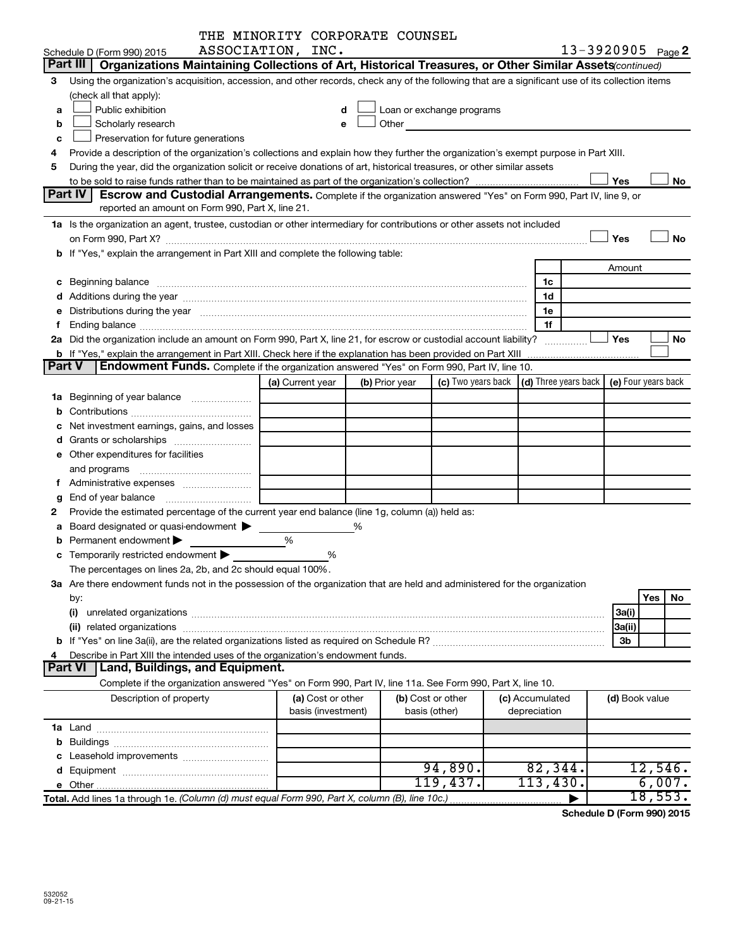|               |                                                                                                                                                                                                                                | THE MINORITY CORPORATE COUNSEL |   |                |                                                                                                                                                                                                                               |                           |                     |    |
|---------------|--------------------------------------------------------------------------------------------------------------------------------------------------------------------------------------------------------------------------------|--------------------------------|---|----------------|-------------------------------------------------------------------------------------------------------------------------------------------------------------------------------------------------------------------------------|---------------------------|---------------------|----|
|               | Schedule D (Form 990) 2015                                                                                                                                                                                                     | ASSOCIATION, INC.              |   |                |                                                                                                                                                                                                                               |                           | 13-3920905 Page 2   |    |
|               | Part III<br>Organizations Maintaining Collections of Art, Historical Treasures, or Other Similar Assets (continued)                                                                                                            |                                |   |                |                                                                                                                                                                                                                               |                           |                     |    |
| 3             | Using the organization's acquisition, accession, and other records, check any of the following that are a significant use of its collection items                                                                              |                                |   |                |                                                                                                                                                                                                                               |                           |                     |    |
|               | (check all that apply):                                                                                                                                                                                                        |                                |   |                |                                                                                                                                                                                                                               |                           |                     |    |
| a             | Public exhibition                                                                                                                                                                                                              | d                              |   |                | Loan or exchange programs                                                                                                                                                                                                     |                           |                     |    |
| b             | Scholarly research                                                                                                                                                                                                             | e                              |   |                | Other and the contract of the contract of the contract of the contract of the contract of the contract of the contract of the contract of the contract of the contract of the contract of the contract of the contract of the |                           |                     |    |
| с             | Preservation for future generations                                                                                                                                                                                            |                                |   |                |                                                                                                                                                                                                                               |                           |                     |    |
| 4             | Provide a description of the organization's collections and explain how they further the organization's exempt purpose in Part XIII.                                                                                           |                                |   |                |                                                                                                                                                                                                                               |                           |                     |    |
| 5             | During the year, did the organization solicit or receive donations of art, historical treasures, or other similar assets                                                                                                       |                                |   |                |                                                                                                                                                                                                                               |                           |                     |    |
|               |                                                                                                                                                                                                                                |                                |   |                |                                                                                                                                                                                                                               |                           | Yes                 | No |
|               | Part IV<br>Escrow and Custodial Arrangements. Complete if the organization answered "Yes" on Form 990, Part IV, line 9, or                                                                                                     |                                |   |                |                                                                                                                                                                                                                               |                           |                     |    |
|               | reported an amount on Form 990, Part X, line 21.                                                                                                                                                                               |                                |   |                |                                                                                                                                                                                                                               |                           |                     |    |
|               | 1a Is the organization an agent, trustee, custodian or other intermediary for contributions or other assets not included                                                                                                       |                                |   |                |                                                                                                                                                                                                                               |                           |                     |    |
|               |                                                                                                                                                                                                                                |                                |   |                |                                                                                                                                                                                                                               |                           | Yes                 | No |
|               | b If "Yes," explain the arrangement in Part XIII and complete the following table:                                                                                                                                             |                                |   |                |                                                                                                                                                                                                                               |                           |                     |    |
|               |                                                                                                                                                                                                                                |                                |   |                |                                                                                                                                                                                                                               |                           | Amount              |    |
|               |                                                                                                                                                                                                                                |                                |   |                |                                                                                                                                                                                                                               | 1c                        |                     |    |
|               |                                                                                                                                                                                                                                |                                |   |                |                                                                                                                                                                                                                               | 1d                        |                     |    |
| е             | Distributions during the year manufactured and an account of the year manufactured and the year manufactured and the year manufactured and the year manufactured and the year manufactured and the year manufactured and the y |                                |   |                |                                                                                                                                                                                                                               | 1e                        |                     |    |
| f             |                                                                                                                                                                                                                                |                                |   |                |                                                                                                                                                                                                                               | 1f                        |                     |    |
|               | 2a Did the organization include an amount on Form 990, Part X, line 21, for escrow or custodial account liability?                                                                                                             |                                |   |                |                                                                                                                                                                                                                               | .                         | Yes                 | No |
|               | <b>b</b> If "Yes," explain the arrangement in Part XIII. Check here if the explanation has been provided on Part XIII                                                                                                          |                                |   |                |                                                                                                                                                                                                                               |                           |                     |    |
| <b>Part V</b> | <b>Endowment Funds.</b> Complete if the organization answered "Yes" on Form 990, Part IV, line 10.                                                                                                                             |                                |   |                |                                                                                                                                                                                                                               |                           |                     |    |
|               |                                                                                                                                                                                                                                | (a) Current year               |   | (b) Prior year | (c) Two years back                                                                                                                                                                                                            | (d) Three years back      | (e) Four years back |    |
|               | <b>1a</b> Beginning of year balance                                                                                                                                                                                            |                                |   |                |                                                                                                                                                                                                                               |                           |                     |    |
| b             |                                                                                                                                                                                                                                |                                |   |                |                                                                                                                                                                                                                               |                           |                     |    |
| с             | Net investment earnings, gains, and losses                                                                                                                                                                                     |                                |   |                |                                                                                                                                                                                                                               |                           |                     |    |
| d             |                                                                                                                                                                                                                                |                                |   |                |                                                                                                                                                                                                                               |                           |                     |    |
|               | e Other expenditures for facilities                                                                                                                                                                                            |                                |   |                |                                                                                                                                                                                                                               |                           |                     |    |
|               | and programs                                                                                                                                                                                                                   |                                |   |                |                                                                                                                                                                                                                               |                           |                     |    |
| f.            | Administrative expenses                                                                                                                                                                                                        |                                |   |                |                                                                                                                                                                                                                               |                           |                     |    |
| g             |                                                                                                                                                                                                                                |                                |   |                |                                                                                                                                                                                                                               |                           |                     |    |
| 2             | Provide the estimated percentage of the current year end balance (line 1g, column (a)) held as:                                                                                                                                |                                |   |                |                                                                                                                                                                                                                               |                           |                     |    |
| a             | Board designated or quasi-endowment                                                                                                                                                                                            |                                | % |                |                                                                                                                                                                                                                               |                           |                     |    |
|               | Permanent endowment                                                                                                                                                                                                            | %                              |   |                |                                                                                                                                                                                                                               |                           |                     |    |
|               | c Temporarily restricted endowment $\blacktriangleright$                                                                                                                                                                       | %                              |   |                |                                                                                                                                                                                                                               |                           |                     |    |
|               | The percentages on lines 2a, 2b, and 2c should equal 100%.                                                                                                                                                                     |                                |   |                |                                                                                                                                                                                                                               |                           |                     |    |
|               | 3a Are there endowment funds not in the possession of the organization that are held and administered for the organization                                                                                                     |                                |   |                |                                                                                                                                                                                                                               |                           |                     |    |
|               | by:                                                                                                                                                                                                                            |                                |   |                |                                                                                                                                                                                                                               |                           | Yes                 | No |
|               | (i)                                                                                                                                                                                                                            |                                |   |                |                                                                                                                                                                                                                               |                           | 3a(i)               |    |
|               |                                                                                                                                                                                                                                |                                |   |                |                                                                                                                                                                                                                               |                           | 3a(ii)              |    |
|               |                                                                                                                                                                                                                                |                                |   |                |                                                                                                                                                                                                                               |                           | 3b                  |    |
| 4             | Describe in Part XIII the intended uses of the organization's endowment funds.                                                                                                                                                 |                                |   |                |                                                                                                                                                                                                                               |                           |                     |    |
|               | Land, Buildings, and Equipment.<br><b>Part VI</b>                                                                                                                                                                              |                                |   |                |                                                                                                                                                                                                                               |                           |                     |    |
|               | Complete if the organization answered "Yes" on Form 990, Part IV, line 11a. See Form 990, Part X, line 10.                                                                                                                     |                                |   |                |                                                                                                                                                                                                                               |                           |                     |    |
|               | Description of property                                                                                                                                                                                                        | (a) Cost or other              |   |                | (b) Cost or other                                                                                                                                                                                                             | (c) Accumulated           | (d) Book value      |    |
|               |                                                                                                                                                                                                                                | basis (investment)             |   |                | basis (other)                                                                                                                                                                                                                 | depreciation              |                     |    |
|               |                                                                                                                                                                                                                                |                                |   |                |                                                                                                                                                                                                                               |                           |                     |    |
|               |                                                                                                                                                                                                                                |                                |   |                |                                                                                                                                                                                                                               |                           |                     |    |
|               |                                                                                                                                                                                                                                |                                |   |                |                                                                                                                                                                                                                               |                           |                     |    |
|               |                                                                                                                                                                                                                                |                                |   |                | 94,890.                                                                                                                                                                                                                       | $8\overline{2}$ , $344$ . | 12,546.             |    |
|               |                                                                                                                                                                                                                                |                                |   |                | 119,437.                                                                                                                                                                                                                      | 113,430.                  | 6,007.              |    |
|               | Total. Add lines 1a through 1e. (Column (d) must equal Form 990, Part X, column (B), line 10c.)                                                                                                                                |                                |   |                |                                                                                                                                                                                                                               |                           | 18,553.             |    |
|               |                                                                                                                                                                                                                                |                                |   |                |                                                                                                                                                                                                                               |                           |                     |    |

**Schedule D (Form 990) 2015**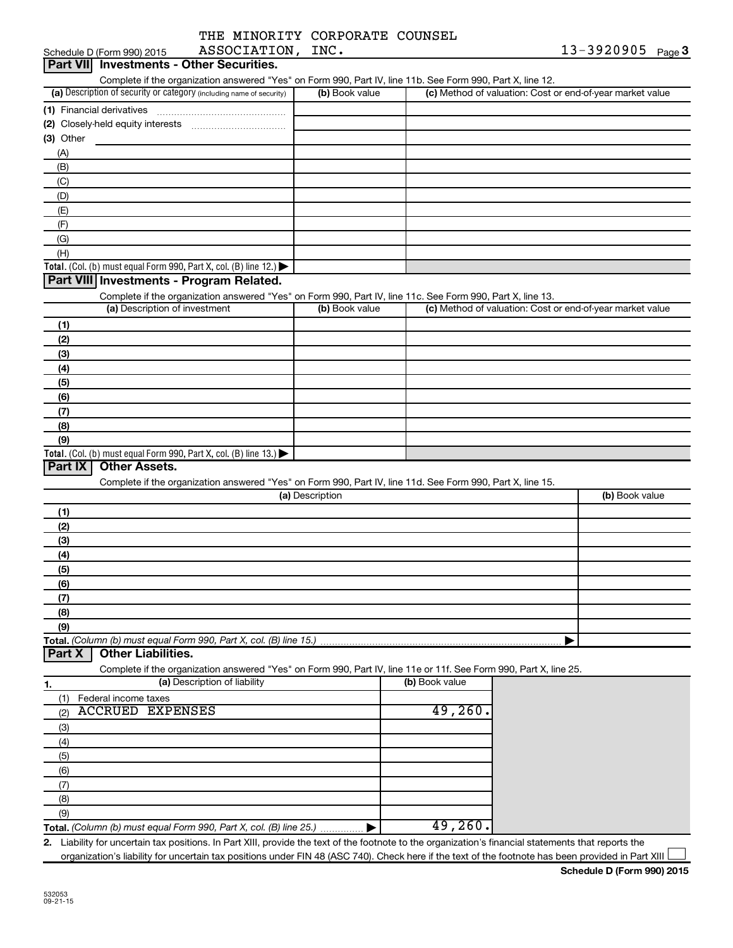| THE MINORITY CORPORATE COUNSEL |  |
|--------------------------------|--|
| ASSOCIATION, INC.              |  |

| Schedule D (Form 990) 2015                                                                                                                                                                        | ASSOCIATION, INC. |                | $13 - 3920905$ Page 3                                     |
|---------------------------------------------------------------------------------------------------------------------------------------------------------------------------------------------------|-------------------|----------------|-----------------------------------------------------------|
| Part VII Investments - Other Securities.                                                                                                                                                          |                   |                |                                                           |
| Complete if the organization answered "Yes" on Form 990, Part IV, line 11b. See Form 990, Part X, line 12.                                                                                        |                   |                |                                                           |
| (a) Description of security or category (including name of security)                                                                                                                              | (b) Book value    |                | (c) Method of valuation: Cost or end-of-year market value |
|                                                                                                                                                                                                   |                   |                |                                                           |
|                                                                                                                                                                                                   |                   |                |                                                           |
| $(3)$ Other                                                                                                                                                                                       |                   |                |                                                           |
| (A)                                                                                                                                                                                               |                   |                |                                                           |
| (B)                                                                                                                                                                                               |                   |                |                                                           |
| (C)                                                                                                                                                                                               |                   |                |                                                           |
| (D)                                                                                                                                                                                               |                   |                |                                                           |
| (E)                                                                                                                                                                                               |                   |                |                                                           |
| (F)                                                                                                                                                                                               |                   |                |                                                           |
| (G)                                                                                                                                                                                               |                   |                |                                                           |
| (H)                                                                                                                                                                                               |                   |                |                                                           |
| Total. (Col. (b) must equal Form 990, Part X, col. (B) line 12.) $\blacktriangleright$                                                                                                            |                   |                |                                                           |
| Part VIII Investments - Program Related.                                                                                                                                                          |                   |                |                                                           |
| Complete if the organization answered "Yes" on Form 990, Part IV, line 11c. See Form 990, Part X, line 13.                                                                                        |                   |                |                                                           |
| (a) Description of investment                                                                                                                                                                     | (b) Book value    |                | (c) Method of valuation: Cost or end-of-year market value |
| (1)                                                                                                                                                                                               |                   |                |                                                           |
| (2)                                                                                                                                                                                               |                   |                |                                                           |
| (3)                                                                                                                                                                                               |                   |                |                                                           |
|                                                                                                                                                                                                   |                   |                |                                                           |
| (4)                                                                                                                                                                                               |                   |                |                                                           |
| (5)                                                                                                                                                                                               |                   |                |                                                           |
| (6)                                                                                                                                                                                               |                   |                |                                                           |
| (7)                                                                                                                                                                                               |                   |                |                                                           |
| (8)                                                                                                                                                                                               |                   |                |                                                           |
|                                                                                                                                                                                                   |                   |                |                                                           |
| (9)                                                                                                                                                                                               |                   |                |                                                           |
| Total. (Col. (b) must equal Form 990, Part X, col. (B) line 13.) $\blacktriangleright$                                                                                                            |                   |                |                                                           |
| Part IX<br>Other Assets.                                                                                                                                                                          |                   |                |                                                           |
| Complete if the organization answered "Yes" on Form 990, Part IV, line 11d. See Form 990, Part X, line 15.                                                                                        |                   |                |                                                           |
|                                                                                                                                                                                                   | (a) Description   |                | (b) Book value                                            |
| (1)                                                                                                                                                                                               |                   |                |                                                           |
| (2)                                                                                                                                                                                               |                   |                |                                                           |
| (3)                                                                                                                                                                                               |                   |                |                                                           |
| (4)                                                                                                                                                                                               |                   |                |                                                           |
| (5)                                                                                                                                                                                               |                   |                |                                                           |
| (6)                                                                                                                                                                                               |                   |                |                                                           |
| (7)                                                                                                                                                                                               |                   |                |                                                           |
| (8)                                                                                                                                                                                               |                   |                |                                                           |
| (9)                                                                                                                                                                                               |                   |                |                                                           |
|                                                                                                                                                                                                   |                   |                |                                                           |
| <b>Other Liabilities.</b>                                                                                                                                                                         |                   |                |                                                           |
| Total. (Column (b) must equal Form 990, Part X, col. (B) line 15.)<br>Part X<br>Complete if the organization answered "Yes" on Form 990, Part IV, line 11e or 11f. See Form 990, Part X, line 25. |                   |                |                                                           |
| (a) Description of liability<br>1.                                                                                                                                                                |                   | (b) Book value |                                                           |
| (1)<br>Federal income taxes                                                                                                                                                                       |                   |                |                                                           |
| <b>ACCRUED EXPENSES</b><br>(2)                                                                                                                                                                    |                   | 49,260.        |                                                           |
| (3)                                                                                                                                                                                               |                   |                |                                                           |
|                                                                                                                                                                                                   |                   |                |                                                           |
| (4)                                                                                                                                                                                               |                   |                |                                                           |
| (5)                                                                                                                                                                                               |                   |                |                                                           |
| (6)                                                                                                                                                                                               |                   |                |                                                           |
| (7)                                                                                                                                                                                               |                   |                |                                                           |
| (8)                                                                                                                                                                                               |                   |                |                                                           |
| (9)                                                                                                                                                                                               |                   | 49,260.        |                                                           |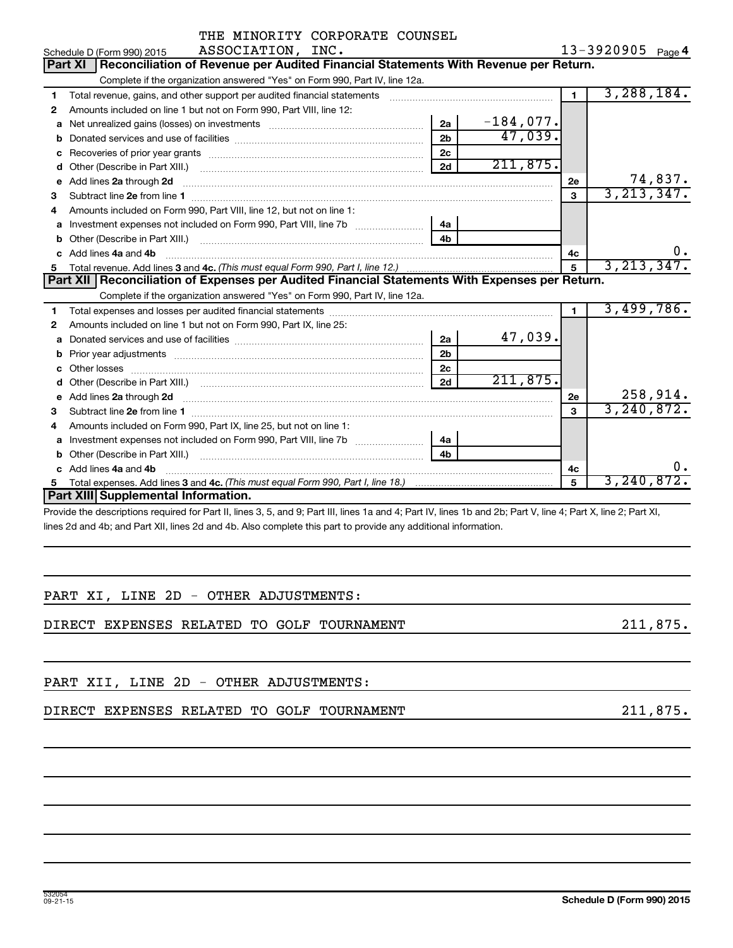|    | THE MINORITY CORPORATE COUNSEL                                                                                                                                                                                                      |                |             |                |                   |
|----|-------------------------------------------------------------------------------------------------------------------------------------------------------------------------------------------------------------------------------------|----------------|-------------|----------------|-------------------|
|    | ASSOCIATION, INC.<br>Schedule D (Form 990) 2015                                                                                                                                                                                     |                |             |                | 13-3920905 Page 4 |
|    | Reconciliation of Revenue per Audited Financial Statements With Revenue per Return.<br>Part XI                                                                                                                                      |                |             |                |                   |
|    | Complete if the organization answered "Yes" on Form 990, Part IV, line 12a.                                                                                                                                                         |                |             |                |                   |
| 1  |                                                                                                                                                                                                                                     |                |             | $\mathbf 1$    | 3,288,184.        |
| 2  | Amounts included on line 1 but not on Form 990, Part VIII, line 12:                                                                                                                                                                 |                |             |                |                   |
| a  |                                                                                                                                                                                                                                     | 2a             | $-184,077.$ |                |                   |
| b  |                                                                                                                                                                                                                                     | 2 <sub>b</sub> | 47,039.     |                |                   |
|    |                                                                                                                                                                                                                                     | 2c             |             |                |                   |
| d  |                                                                                                                                                                                                                                     | 2d             | 211,875.    |                |                   |
| е  | Add lines 2a through 2d                                                                                                                                                                                                             |                |             | <b>2e</b>      | 74,837.           |
| 3  | Subtract line 2e from line 1 <b>manufacture in the contract of the 2e</b> from line 1                                                                                                                                               |                |             | 3              | 3, 213, 347.      |
| 4  | Amounts included on Form 990, Part VIII, line 12, but not on line 1:                                                                                                                                                                |                |             |                |                   |
| а  | Investment expenses not included on Form 990, Part VIII, line 7b [ <i>[[[[[[[[[[[[[]]]]</i>                                                                                                                                         | 4a             |             |                |                   |
| b  |                                                                                                                                                                                                                                     | 4 <sub>h</sub> |             |                |                   |
| c  | Add lines 4a and 4b                                                                                                                                                                                                                 |                |             | 4c             |                   |
| 5. |                                                                                                                                                                                                                                     |                |             | 5              | 3, 213, 347.      |
|    | Part XII Reconciliation of Expenses per Audited Financial Statements With Expenses per Return.                                                                                                                                      |                |             |                |                   |
|    | Complete if the organization answered "Yes" on Form 990, Part IV, line 12a.                                                                                                                                                         |                |             |                |                   |
| 1  |                                                                                                                                                                                                                                     |                |             | $\blacksquare$ | 3,499,786.        |
| 2  | Amounts included on line 1 but not on Form 990, Part IX, line 25:                                                                                                                                                                   |                |             |                |                   |
| а  |                                                                                                                                                                                                                                     | 2a             | 47,039.     |                |                   |
| b  | Prior year adjustments [111] Prior year adjustments [11] Prior year adjustments [11] Prior year adjustments [1                                                                                                                      | 2 <sub>b</sub> |             |                |                   |
| с  |                                                                                                                                                                                                                                     | 2c             |             |                |                   |
| d  |                                                                                                                                                                                                                                     | 2d             | 211,875.    |                |                   |
| е  | Add lines 2a through 2d <b>contained a contained a contained a contained a</b> contained a contact the set of the set of the set of the set of the set of the set of the set of the set of the set of the set of the set of the set |                |             | 2e             | 258, 914.         |
| 3  |                                                                                                                                                                                                                                     |                |             | 3              | 3, 240, 872.      |
| 4  | Amounts included on Form 990, Part IX, line 25, but not on line 1:                                                                                                                                                                  |                |             |                |                   |
| a  |                                                                                                                                                                                                                                     | 4a             |             |                |                   |
| b  |                                                                                                                                                                                                                                     | 4 <sub>b</sub> |             |                |                   |
| c  | Add lines 4a and 4b                                                                                                                                                                                                                 |                |             | 4с             | 0.                |
| 5. |                                                                                                                                                                                                                                     |                |             | 5              | 3, 240, 872.      |
|    | Part XIII Supplemental Information.                                                                                                                                                                                                 |                |             |                |                   |
|    | Drouble the descriptions required for Dart II, lines $9.5$ and $0.0$ Dart III, lines to and $4.0$ Dart IV, lines the and $9b$ . Dart V, line $4.0$ Dart V, line $9.0$ Dart VI                                                       |                |             |                |                   |

Provide the descriptions required for Part II, lines 3, 5, and 9; Part III, lines 1a and 4; Part IV, lines 1b and 2b; Part V, line 4; Part X, line 2; Part XI, lines 2d and 4b; and Part XII, lines 2d and 4b. Also complete this part to provide any additional information.

|  |  |  | PART XI, LINE 2D - OTHER ADJUSTMENTS: |
|--|--|--|---------------------------------------|
|  |  |  |                                       |

DIRECT EXPENSES RELATED TO GOLF TOURNAMENT 211,875.

PART XII, LINE 2D - OTHER ADJUSTMENTS:

DIRECT EXPENSES RELATED TO GOLF TOURNAMENT **1990** 211,875.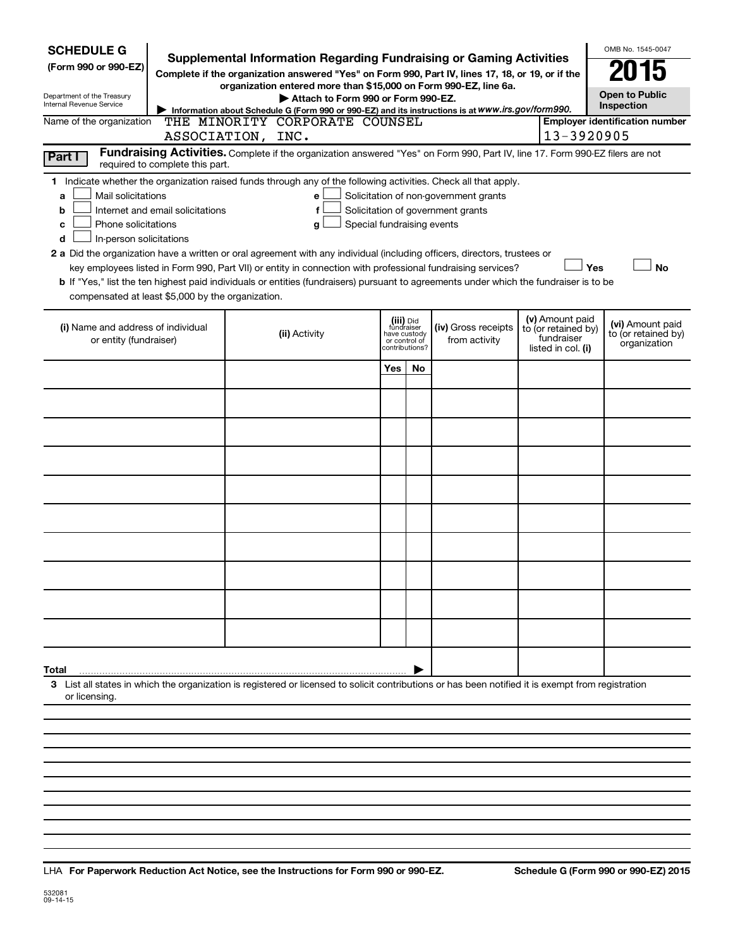| <b>SCHEDULE G</b><br>(Form 990 or 990-EZ)<br>Department of the Treasury<br>Internal Revenue Service<br>Name of the organization<br>Part I                                                                                                                                                                                                                                                                                                                                                                                                                                                                                                                                                                                                                                                                                                 | OMB No. 1545-0047<br><b>Supplemental Information Regarding Fundraising or Gaming Activities</b><br>015<br>Complete if the organization answered "Yes" on Form 990, Part IV, lines 17, 18, or 19, or if the<br>organization entered more than \$15,000 on Form 990-EZ, line 6a.<br><b>Open to Public</b><br>Attach to Form 990 or Form 990-EZ.<br>Inspection<br>Information about Schedule G (Form 990 or 990-EZ) and its instructions is at WWW.irs.gov/form990.<br>THE MINORITY CORPORATE COUNSEL<br><b>Employer identification number</b><br>13-3920905<br>ASSOCIATION, INC.<br>Fundraising Activities. Complete if the organization answered "Yes" on Form 990, Part IV, line 17. Form 990-EZ filers are not<br>required to complete this part. |  |               |              |                                                            |                                      |                                                                            |                                                         |  |  |  |  |  |
|-------------------------------------------------------------------------------------------------------------------------------------------------------------------------------------------------------------------------------------------------------------------------------------------------------------------------------------------------------------------------------------------------------------------------------------------------------------------------------------------------------------------------------------------------------------------------------------------------------------------------------------------------------------------------------------------------------------------------------------------------------------------------------------------------------------------------------------------|----------------------------------------------------------------------------------------------------------------------------------------------------------------------------------------------------------------------------------------------------------------------------------------------------------------------------------------------------------------------------------------------------------------------------------------------------------------------------------------------------------------------------------------------------------------------------------------------------------------------------------------------------------------------------------------------------------------------------------------------------|--|---------------|--------------|------------------------------------------------------------|--------------------------------------|----------------------------------------------------------------------------|---------------------------------------------------------|--|--|--|--|--|
| 1 Indicate whether the organization raised funds through any of the following activities. Check all that apply.<br>Mail solicitations<br>Solicitation of non-government grants<br>a<br>e<br>Solicitation of government grants<br>Internet and email solicitations<br>b<br>f<br>Phone solicitations<br>Special fundraising events<br>с<br>g<br>In-person solicitations<br>d<br>2 a Did the organization have a written or oral agreement with any individual (including officers, directors, trustees or<br>Yes<br>key employees listed in Form 990, Part VII) or entity in connection with professional fundraising services?<br><b>No</b><br>b If "Yes," list the ten highest paid individuals or entities (fundraisers) pursuant to agreements under which the fundraiser is to be<br>compensated at least \$5,000 by the organization. |                                                                                                                                                                                                                                                                                                                                                                                                                                                                                                                                                                                                                                                                                                                                                    |  |               |              |                                                            |                                      |                                                                            |                                                         |  |  |  |  |  |
| (i) Name and address of individual<br>or entity (fundraiser)                                                                                                                                                                                                                                                                                                                                                                                                                                                                                                                                                                                                                                                                                                                                                                              |                                                                                                                                                                                                                                                                                                                                                                                                                                                                                                                                                                                                                                                                                                                                                    |  | (ii) Activity | have custody | (iii) Did<br>fundraiser<br>or control of<br>?contributions | (iv) Gross receipts<br>from activity | (v) Amount paid<br>to (or retained by)<br>fundraiser<br>listed in col. (i) | (vi) Amount paid<br>to (or retained by)<br>organization |  |  |  |  |  |
|                                                                                                                                                                                                                                                                                                                                                                                                                                                                                                                                                                                                                                                                                                                                                                                                                                           |                                                                                                                                                                                                                                                                                                                                                                                                                                                                                                                                                                                                                                                                                                                                                    |  |               | <b>Yes</b>   | No                                                         |                                      |                                                                            |                                                         |  |  |  |  |  |
|                                                                                                                                                                                                                                                                                                                                                                                                                                                                                                                                                                                                                                                                                                                                                                                                                                           |                                                                                                                                                                                                                                                                                                                                                                                                                                                                                                                                                                                                                                                                                                                                                    |  |               |              |                                                            |                                      |                                                                            |                                                         |  |  |  |  |  |
|                                                                                                                                                                                                                                                                                                                                                                                                                                                                                                                                                                                                                                                                                                                                                                                                                                           |                                                                                                                                                                                                                                                                                                                                                                                                                                                                                                                                                                                                                                                                                                                                                    |  |               |              |                                                            |                                      |                                                                            |                                                         |  |  |  |  |  |
|                                                                                                                                                                                                                                                                                                                                                                                                                                                                                                                                                                                                                                                                                                                                                                                                                                           |                                                                                                                                                                                                                                                                                                                                                                                                                                                                                                                                                                                                                                                                                                                                                    |  |               |              |                                                            |                                      |                                                                            |                                                         |  |  |  |  |  |
|                                                                                                                                                                                                                                                                                                                                                                                                                                                                                                                                                                                                                                                                                                                                                                                                                                           |                                                                                                                                                                                                                                                                                                                                                                                                                                                                                                                                                                                                                                                                                                                                                    |  |               |              |                                                            |                                      |                                                                            |                                                         |  |  |  |  |  |
|                                                                                                                                                                                                                                                                                                                                                                                                                                                                                                                                                                                                                                                                                                                                                                                                                                           |                                                                                                                                                                                                                                                                                                                                                                                                                                                                                                                                                                                                                                                                                                                                                    |  |               |              |                                                            |                                      |                                                                            |                                                         |  |  |  |  |  |
|                                                                                                                                                                                                                                                                                                                                                                                                                                                                                                                                                                                                                                                                                                                                                                                                                                           |                                                                                                                                                                                                                                                                                                                                                                                                                                                                                                                                                                                                                                                                                                                                                    |  |               |              |                                                            |                                      |                                                                            |                                                         |  |  |  |  |  |
|                                                                                                                                                                                                                                                                                                                                                                                                                                                                                                                                                                                                                                                                                                                                                                                                                                           |                                                                                                                                                                                                                                                                                                                                                                                                                                                                                                                                                                                                                                                                                                                                                    |  |               |              |                                                            |                                      |                                                                            |                                                         |  |  |  |  |  |
|                                                                                                                                                                                                                                                                                                                                                                                                                                                                                                                                                                                                                                                                                                                                                                                                                                           |                                                                                                                                                                                                                                                                                                                                                                                                                                                                                                                                                                                                                                                                                                                                                    |  |               |              |                                                            |                                      |                                                                            |                                                         |  |  |  |  |  |
|                                                                                                                                                                                                                                                                                                                                                                                                                                                                                                                                                                                                                                                                                                                                                                                                                                           |                                                                                                                                                                                                                                                                                                                                                                                                                                                                                                                                                                                                                                                                                                                                                    |  |               |              |                                                            |                                      |                                                                            |                                                         |  |  |  |  |  |
| Total                                                                                                                                                                                                                                                                                                                                                                                                                                                                                                                                                                                                                                                                                                                                                                                                                                     |                                                                                                                                                                                                                                                                                                                                                                                                                                                                                                                                                                                                                                                                                                                                                    |  |               |              |                                                            |                                      |                                                                            |                                                         |  |  |  |  |  |
| 3 List all states in which the organization is registered or licensed to solicit contributions or has been notified it is exempt from registration<br>or licensing.                                                                                                                                                                                                                                                                                                                                                                                                                                                                                                                                                                                                                                                                       |                                                                                                                                                                                                                                                                                                                                                                                                                                                                                                                                                                                                                                                                                                                                                    |  |               |              |                                                            |                                      |                                                                            |                                                         |  |  |  |  |  |
|                                                                                                                                                                                                                                                                                                                                                                                                                                                                                                                                                                                                                                                                                                                                                                                                                                           |                                                                                                                                                                                                                                                                                                                                                                                                                                                                                                                                                                                                                                                                                                                                                    |  |               |              |                                                            |                                      |                                                                            |                                                         |  |  |  |  |  |
|                                                                                                                                                                                                                                                                                                                                                                                                                                                                                                                                                                                                                                                                                                                                                                                                                                           |                                                                                                                                                                                                                                                                                                                                                                                                                                                                                                                                                                                                                                                                                                                                                    |  |               |              |                                                            |                                      |                                                                            |                                                         |  |  |  |  |  |
|                                                                                                                                                                                                                                                                                                                                                                                                                                                                                                                                                                                                                                                                                                                                                                                                                                           |                                                                                                                                                                                                                                                                                                                                                                                                                                                                                                                                                                                                                                                                                                                                                    |  |               |              |                                                            |                                      |                                                                            |                                                         |  |  |  |  |  |

**For Paperwork Reduction Act Notice, see the Instructions for Form 990 or 990-EZ. Schedule G (Form 990 or 990-EZ) 2015** LHA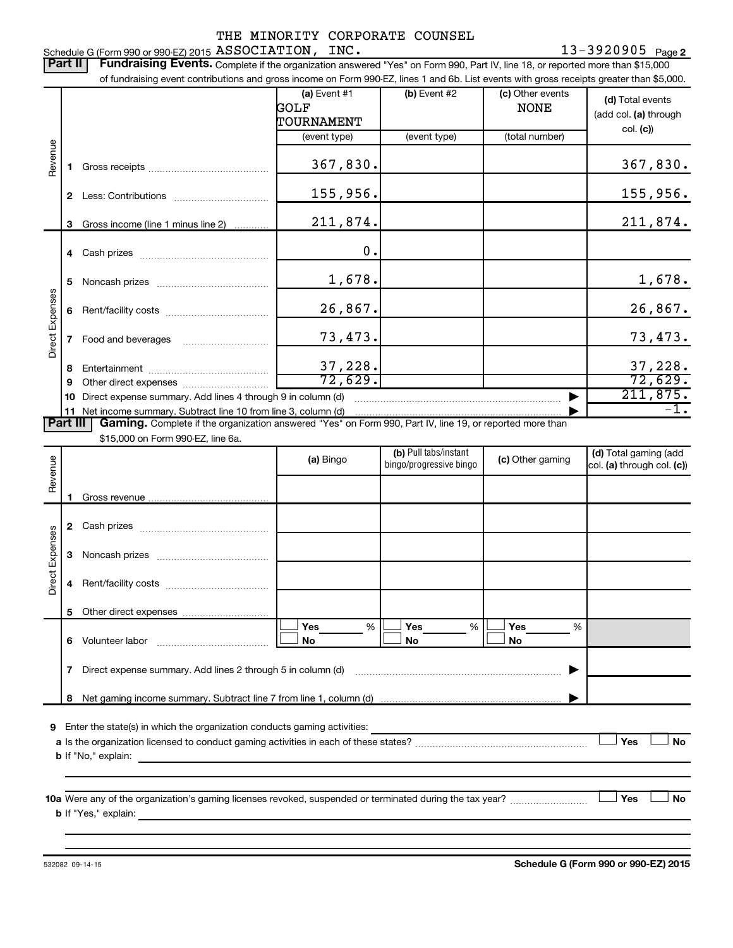13-3920905 <sub>Page 2</sub> Schedule G (Form 990 or 990-EZ) 2015 Page ASSOCIATION, INC. 13-3920905

Part II | Fundraising Events. Complete if the organization answered "Yes" on Form 990, Part IV, line 18, or reported more than \$15,000 of fundraising event contributions and gross income on Form 990-EZ, lines 1 and 6b. List events with gross receipts greater than \$5,000. **(a)** Event #1  $\vert$  **(b)** Event #2 (c) Other events **(d)**  Total events GOLF NONE (add col. (a) through TOURNAMENT col. **(c)**) (event type) (event type) (total number) Revenue 367,830. **1** Gross receipts ~~~~~~~~~~~~~~ 155,956. **2** Less: Contributions ~~~~~~~~~~~ 211,874. **3** Gross income (line 1 minus line 2) . . . . . . . . . . . . 0. **4** Cash prizes ~~~~~~~~~~~~~~~ 1,678. 1,678. **5** Noncash prizes ~~~~~~~~~~~~~ Direct Expenses Direct Expenses 26,867. 26,867. **6** Rent/facility costs ~~~~~~~~~~~~ 73,473. 73,473. **7** Food and beverages **with the Strateger 7** 37,228. 37,228. **8** Entertainment ~~~~~~~~~~~~~~ 72,629. 72,629. **9** Other direct expenses  $\ldots$  **............................** 211,875. **10** Direct expense summary. Add lines 4 through 9 in column (d) ~~~~~~~~~~~~~~~~~~~~~~~~ | **11** Net income summary. Subtract line 10 from line 3, column (d) -1. | Part III | Gaming. Complete if the organization answered "Yes" on Form 990, Part IV, line 19, or reported more than \$15,000 on Form 990-EZ, line 6a. (b) Pull tabs/instant (d) Total gaming (add Revenue **(a)** Bingo **a b**ingo/progressive bingo **(c)** Other gaming bingo/progressive bingo col. (a) through col. (c)) Gross revenue .. **1 2** Cash prizes ~~~~~~~~~~~~~~~ Direct Expenses Direct Expenses **3** Noncash prizes ~~~~~~~~~~~~~ **4** Rent/facility costs ~~~~~~~~~~~~ **5** Other direct expenses  $|\Box$  Yes  $\qquad \%$   $|\Box$  Yes  $\qquad \%$   $|\Box$ **Yes Yes Yes** % % %  $|\Box$  No  $|\Box$  No  $|\Box$ **6** Volunteer labor ~~~~~~~~~~~~~ **No No No 7** Direct expense summary. Add lines 2 through 5 in column (d) ~~~~~~~~~~~~~~~~~~~~~~~~ | **8** Net gaming income summary. Subtract line 7 from line 1, column (d) | **9** Enter the state(s) in which the organization conducts gaming activities:  $|$  Yes **Yes No a** Is the organization licensed to conduct gaming activities in each of these states? ~~~~~~~~~~~~~~~~~~~~ **b** If "No," explain: **10 a Yes No** Were any of the organization's gaming licenses revoked, suspended or terminated during the tax year? ~~~~~~~~~ † † **b** If "Yes," explain:

532082 09-14-15

**Schedule G (Form 990 or 990-EZ) 2015**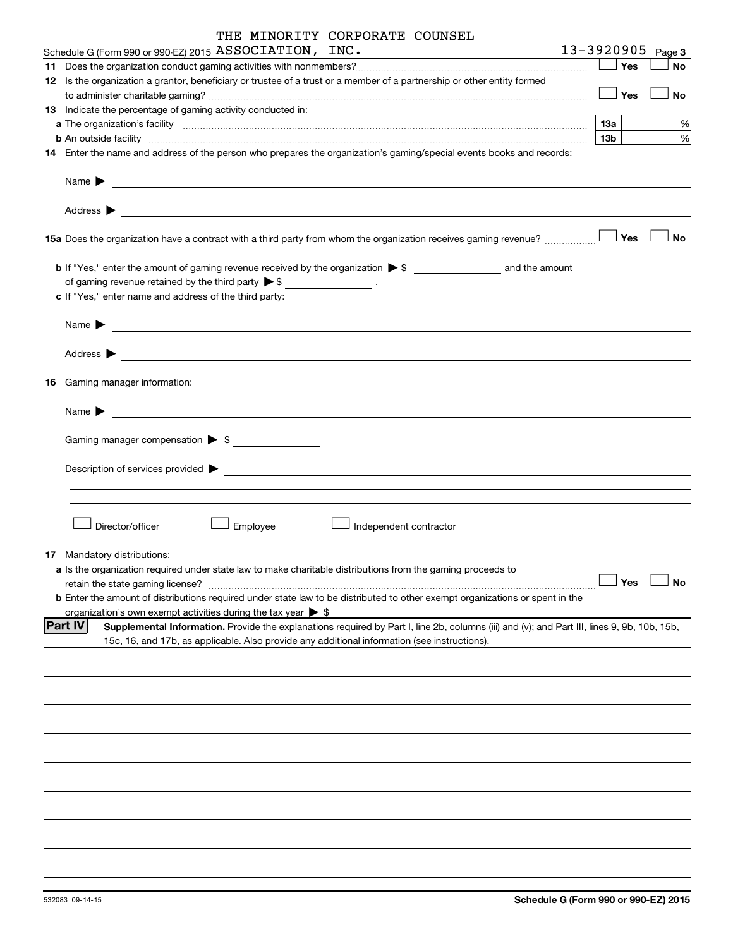| THE MINORITY CORPORATE COUNSEL |  |  |
|--------------------------------|--|--|
|--------------------------------|--|--|

| Schedule G (Form 990 or 990-EZ) 2015 $\,\mathrm{ASSOCIATION}$ , $\,\mathrm{INC}$ .                                                                                                                                                                            |         |             | $13 - 3920905$ Page 3 |
|---------------------------------------------------------------------------------------------------------------------------------------------------------------------------------------------------------------------------------------------------------------|---------|-------------|-----------------------|
|                                                                                                                                                                                                                                                               |         | Yes         | No                    |
| 12 Is the organization a grantor, beneficiary or trustee of a trust or a member of a partnership or other entity formed                                                                                                                                       |         |             |                       |
|                                                                                                                                                                                                                                                               | — │ Yes |             | No                    |
| 13 Indicate the percentage of gaming activity conducted in:                                                                                                                                                                                                   |         |             |                       |
|                                                                                                                                                                                                                                                               | 1За     |             | %                     |
| <b>b</b> An outside facility <i>www.communicality www.communicality.communicality www.communicality www.communicality.communicality www.communicality.com</i>                                                                                                 | 13b     |             | %                     |
| 14 Enter the name and address of the person who prepares the organization's gaming/special events books and records:                                                                                                                                          |         |             |                       |
| Name $\blacktriangleright$<br><u> 1989 - Johann Barn, fransk politik (d. 1989)</u>                                                                                                                                                                            |         |             |                       |
| Address $\blacktriangleright$                                                                                                                                                                                                                                 |         |             |                       |
| 15a Does the organization have a contract with a third party from whom the organization receives gaming revenue?                                                                                                                                              |         | Yes         | <b>No</b>             |
|                                                                                                                                                                                                                                                               |         |             |                       |
| of gaming revenue retained by the third party $\triangleright$ \$ ___________________.                                                                                                                                                                        |         |             |                       |
| c If "Yes," enter name and address of the third party:                                                                                                                                                                                                        |         |             |                       |
| Name $\blacktriangleright$                                                                                                                                                                                                                                    |         |             |                       |
| Address $\blacktriangleright$                                                                                                                                                                                                                                 |         |             |                       |
|                                                                                                                                                                                                                                                               |         |             |                       |
| <b>16</b> Gaming manager information:                                                                                                                                                                                                                         |         |             |                       |
| Name $\blacktriangleright$                                                                                                                                                                                                                                    |         |             |                       |
| Gaming manager compensation > \$                                                                                                                                                                                                                              |         |             |                       |
|                                                                                                                                                                                                                                                               |         |             |                       |
|                                                                                                                                                                                                                                                               |         |             |                       |
|                                                                                                                                                                                                                                                               |         |             |                       |
|                                                                                                                                                                                                                                                               |         |             |                       |
| Employee<br>Director/officer<br>Independent contractor                                                                                                                                                                                                        |         |             |                       |
| 17 Mandatory distributions:                                                                                                                                                                                                                                   |         |             |                       |
| a Is the organization required under state law to make charitable distributions from the gaming proceeds to                                                                                                                                                   |         |             |                       |
| retain the state gaming license?                                                                                                                                                                                                                              |         | <b>」Yes</b> | $\Box$ No             |
| <b>b</b> Enter the amount of distributions required under state law to be distributed to other exempt organizations or spent in the                                                                                                                           |         |             |                       |
| organization's own exempt activities during the tax year $\triangleright$ \$                                                                                                                                                                                  |         |             |                       |
| <b>Part IV</b><br>Supplemental Information. Provide the explanations required by Part I, line 2b, columns (iii) and (v); and Part III, lines 9, 9b, 10b, 15b,<br>15c, 16, and 17b, as applicable. Also provide any additional information (see instructions). |         |             |                       |
|                                                                                                                                                                                                                                                               |         |             |                       |
|                                                                                                                                                                                                                                                               |         |             |                       |
|                                                                                                                                                                                                                                                               |         |             |                       |
|                                                                                                                                                                                                                                                               |         |             |                       |
|                                                                                                                                                                                                                                                               |         |             |                       |
|                                                                                                                                                                                                                                                               |         |             |                       |
|                                                                                                                                                                                                                                                               |         |             |                       |
|                                                                                                                                                                                                                                                               |         |             |                       |
|                                                                                                                                                                                                                                                               |         |             |                       |
|                                                                                                                                                                                                                                                               |         |             |                       |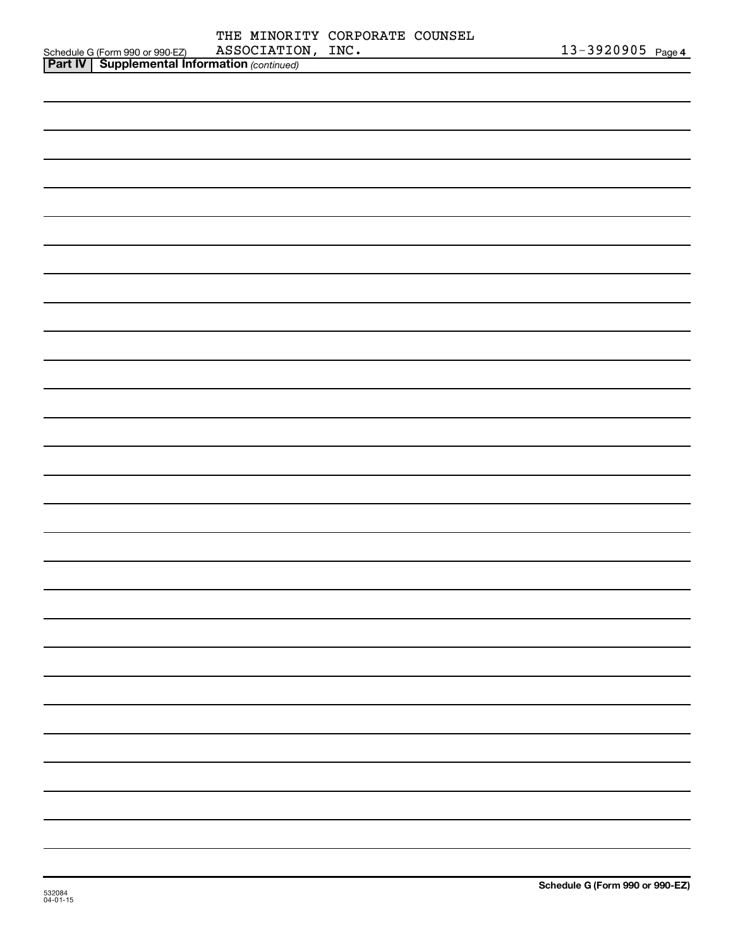|                                                                                                     |                   | THE MINORITY CORPORATE COUNSEL |                   |  |
|-----------------------------------------------------------------------------------------------------|-------------------|--------------------------------|-------------------|--|
| Schedule G (Form 990 or 990-EZ) ASSOCIATIO<br><b>Part IV   Supplemental Information</b> (continued) | ASSOCIATION, INC. |                                | 13-3920905 Page 4 |  |
|                                                                                                     |                   |                                |                   |  |
|                                                                                                     |                   |                                |                   |  |
|                                                                                                     |                   |                                |                   |  |
|                                                                                                     |                   |                                |                   |  |
|                                                                                                     |                   |                                |                   |  |
|                                                                                                     |                   |                                |                   |  |
|                                                                                                     |                   |                                |                   |  |
|                                                                                                     |                   |                                |                   |  |
|                                                                                                     |                   |                                |                   |  |
|                                                                                                     |                   |                                |                   |  |
|                                                                                                     |                   |                                |                   |  |
|                                                                                                     |                   |                                |                   |  |
|                                                                                                     |                   |                                |                   |  |
|                                                                                                     |                   |                                |                   |  |
|                                                                                                     |                   |                                |                   |  |
|                                                                                                     |                   |                                |                   |  |
|                                                                                                     |                   |                                |                   |  |
|                                                                                                     |                   |                                |                   |  |
|                                                                                                     |                   |                                |                   |  |
|                                                                                                     |                   |                                |                   |  |
|                                                                                                     |                   |                                |                   |  |
|                                                                                                     |                   |                                |                   |  |
|                                                                                                     |                   |                                |                   |  |
|                                                                                                     |                   |                                |                   |  |
|                                                                                                     |                   |                                |                   |  |
|                                                                                                     |                   |                                |                   |  |
|                                                                                                     |                   |                                |                   |  |
|                                                                                                     |                   |                                |                   |  |
|                                                                                                     |                   |                                |                   |  |
|                                                                                                     |                   |                                |                   |  |
|                                                                                                     |                   |                                |                   |  |
|                                                                                                     |                   |                                |                   |  |
|                                                                                                     |                   |                                |                   |  |
|                                                                                                     |                   |                                |                   |  |
|                                                                                                     |                   |                                |                   |  |
|                                                                                                     |                   |                                |                   |  |
|                                                                                                     |                   |                                |                   |  |
|                                                                                                     |                   |                                |                   |  |
|                                                                                                     |                   |                                |                   |  |
|                                                                                                     |                   |                                |                   |  |
|                                                                                                     |                   |                                |                   |  |
|                                                                                                     |                   |                                |                   |  |
|                                                                                                     |                   |                                |                   |  |
|                                                                                                     |                   |                                |                   |  |
|                                                                                                     |                   |                                |                   |  |
|                                                                                                     |                   |                                |                   |  |
|                                                                                                     |                   |                                |                   |  |
|                                                                                                     |                   |                                |                   |  |
|                                                                                                     |                   |                                |                   |  |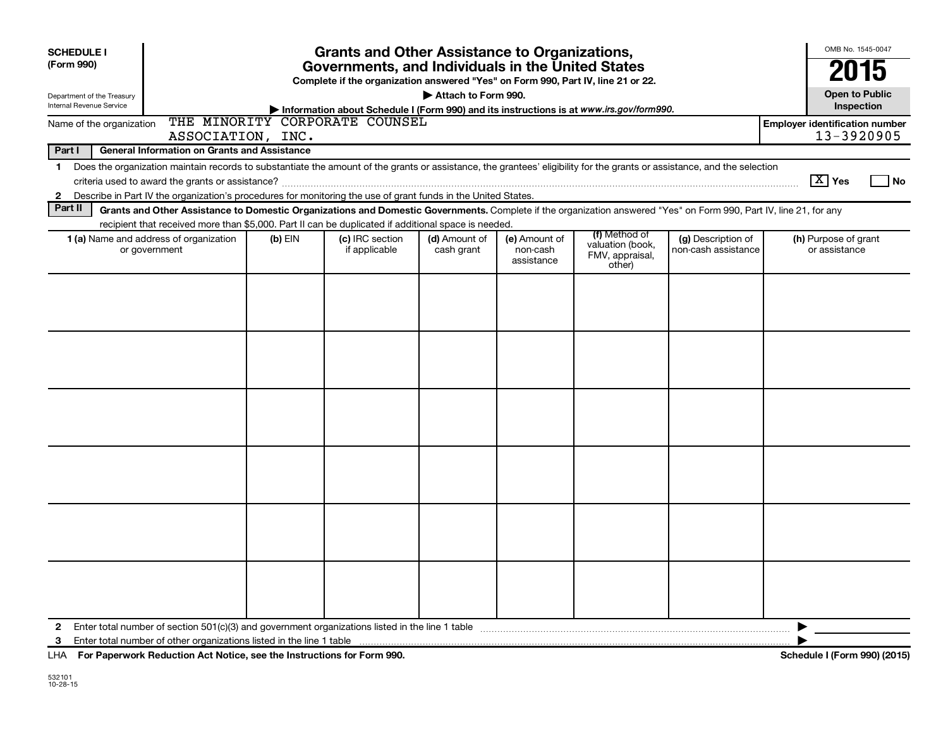| <b>SCHEDULE I</b><br>(Form 990)<br>Department of the Treasury                                                                                                                                                                                                                                                                                                                                                                                     | <b>Grants and Other Assistance to Organizations,</b><br>Governments, and Individuals in the United States<br>Complete if the organization answered "Yes" on Form 990, Part IV, line 21 or 22.<br>Attach to Form 990. |  |  |  |  |  |  |   |  |  |  |  |
|---------------------------------------------------------------------------------------------------------------------------------------------------------------------------------------------------------------------------------------------------------------------------------------------------------------------------------------------------------------------------------------------------------------------------------------------------|----------------------------------------------------------------------------------------------------------------------------------------------------------------------------------------------------------------------|--|--|--|--|--|--|---|--|--|--|--|
| Internal Revenue Service                                                                                                                                                                                                                                                                                                                                                                                                                          | Information about Schedule I (Form 990) and its instructions is at www.irs.gov/form990.                                                                                                                              |  |  |  |  |  |  |   |  |  |  |  |
| THE MINORITY CORPORATE COUNSEL<br><b>Employer identification number</b><br>Name of the organization<br>13-3920905<br>ASSOCIATION, INC.                                                                                                                                                                                                                                                                                                            |                                                                                                                                                                                                                      |  |  |  |  |  |  |   |  |  |  |  |
| Part I<br><b>General Information on Grants and Assistance</b>                                                                                                                                                                                                                                                                                                                                                                                     |                                                                                                                                                                                                                      |  |  |  |  |  |  |   |  |  |  |  |
| Does the organization maintain records to substantiate the amount of the grants or assistance, the grantees' eligibility for the grants or assistance, and the selection<br>1<br>$\boxed{\text{X}}$ Yes<br>l No<br>Describe in Part IV the organization's procedures for monitoring the use of grant funds in the United States.<br>$\mathbf{2}$                                                                                                  |                                                                                                                                                                                                                      |  |  |  |  |  |  |   |  |  |  |  |
| Part II                                                                                                                                                                                                                                                                                                                                                                                                                                           | Grants and Other Assistance to Domestic Organizations and Domestic Governments. Complete if the organization answered "Yes" on Form 990, Part IV, line 21, for any                                                   |  |  |  |  |  |  |   |  |  |  |  |
| recipient that received more than \$5,000. Part II can be duplicated if additional space is needed.<br>(f) Method of<br>1 (a) Name and address of organization<br>(c) IRC section<br>(d) Amount of<br>(e) Amount of<br>(g) Description of<br>(h) Purpose of grant<br>$(b)$ EIN<br>valuation (book,<br>or government<br>if applicable<br>cash grant<br>non-cash assistance<br>or assistance<br>non-cash<br>FMV, appraisal,<br>assistance<br>other) |                                                                                                                                                                                                                      |  |  |  |  |  |  |   |  |  |  |  |
|                                                                                                                                                                                                                                                                                                                                                                                                                                                   |                                                                                                                                                                                                                      |  |  |  |  |  |  |   |  |  |  |  |
| $\mathbf{2}$                                                                                                                                                                                                                                                                                                                                                                                                                                      |                                                                                                                                                                                                                      |  |  |  |  |  |  | ▶ |  |  |  |  |
| 3                                                                                                                                                                                                                                                                                                                                                                                                                                                 |                                                                                                                                                                                                                      |  |  |  |  |  |  |   |  |  |  |  |

**For Paperwork Reduction Act Notice, see the Instructions for Form 990. Schedule I (Form 990) (2015)** LHA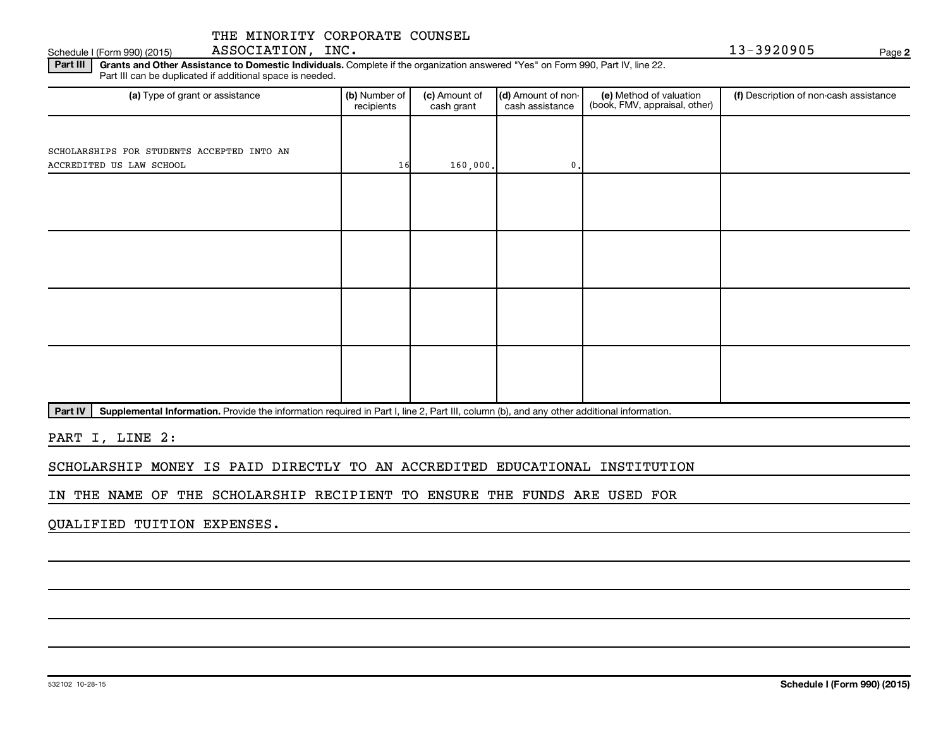Part III | Grants and Other Assistance to Domestic Individuals. Complete if the organization answered "Yes" on Form 990, Part IV, line 22. Schedule I (Form 990) (2015) ASSOCIATION, INC. The contract of the contract of the contract of the contract of the contract of the contract of the contract of the contract of the contract of the contract of the contract of

Part III can be duplicated if additional space is needed.

| (a) Type of grant or assistance            | (b) Number of<br>recipients | (c) Amount of<br>cash grant | (d) Amount of non-<br>cash assistance | (e) Method of valuation<br>(book, FMV, appraisal, other) | (f) Description of non-cash assistance |  |  |
|--------------------------------------------|-----------------------------|-----------------------------|---------------------------------------|----------------------------------------------------------|----------------------------------------|--|--|
|                                            |                             |                             |                                       |                                                          |                                        |  |  |
| SCHOLARSHIPS FOR STUDENTS ACCEPTED INTO AN |                             |                             |                                       |                                                          |                                        |  |  |
| ACCREDITED US LAW SCHOOL                   | 16                          | 160,000.                    | $\mathfrak o$ .                       |                                                          |                                        |  |  |
|                                            |                             |                             |                                       |                                                          |                                        |  |  |
|                                            |                             |                             |                                       |                                                          |                                        |  |  |
|                                            |                             |                             |                                       |                                                          |                                        |  |  |
|                                            |                             |                             |                                       |                                                          |                                        |  |  |
|                                            |                             |                             |                                       |                                                          |                                        |  |  |
|                                            |                             |                             |                                       |                                                          |                                        |  |  |
|                                            |                             |                             |                                       |                                                          |                                        |  |  |
|                                            |                             |                             |                                       |                                                          |                                        |  |  |
|                                            |                             |                             |                                       |                                                          |                                        |  |  |
|                                            |                             |                             |                                       |                                                          |                                        |  |  |
|                                            |                             |                             |                                       |                                                          |                                        |  |  |
|                                            |                             |                             |                                       |                                                          |                                        |  |  |
|                                            |                             |                             |                                       |                                                          |                                        |  |  |
|                                            |                             |                             |                                       |                                                          |                                        |  |  |

Part IV | Supplemental Information. Provide the information required in Part I, line 2, Part III, column (b), and any other additional information.

PART I, LINE 2:

SCHOLARSHIP MONEY IS PAID DIRECTLY TO AN ACCREDITED EDUCATIONAL INSTITUTION

IN THE NAME OF THE SCHOLARSHIP RECIPIENT TO ENSURE THE FUNDS ARE USED FOR

QUALIFIED TUITION EXPENSES.

**2**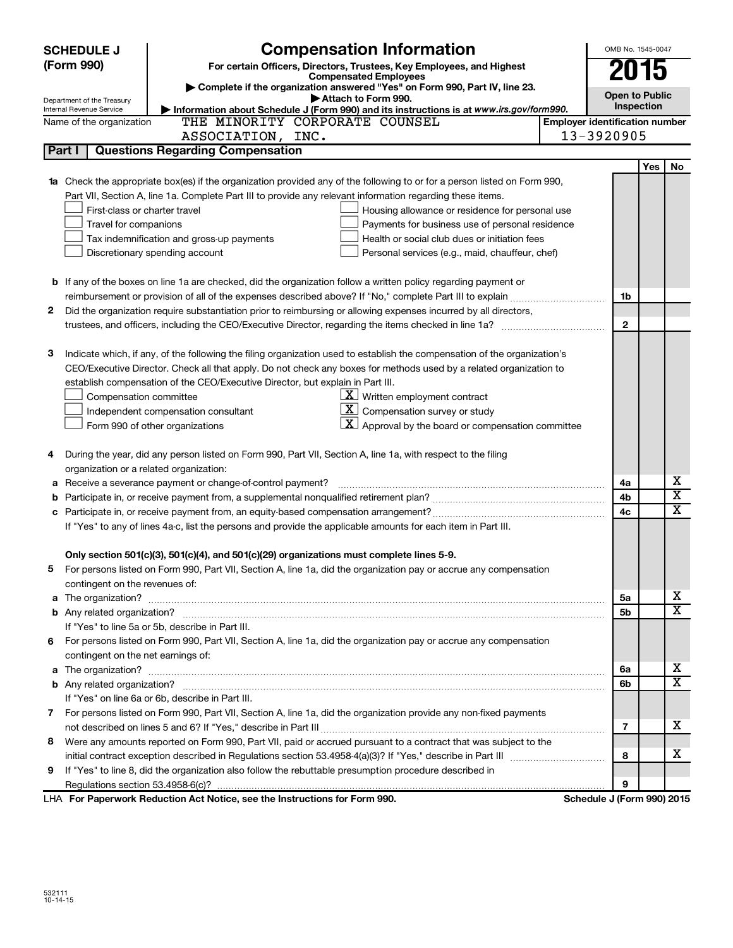|   | <b>Compensation Information</b><br><b>SCHEDULE J</b>   |                                                                                                                                  |                                       |                            |            |                              |  |  |
|---|--------------------------------------------------------|----------------------------------------------------------------------------------------------------------------------------------|---------------------------------------|----------------------------|------------|------------------------------|--|--|
|   | (Form 990)                                             | For certain Officers, Directors, Trustees, Key Employees, and Highest                                                            |                                       |                            |            |                              |  |  |
|   |                                                        | <b>Compensated Employees</b>                                                                                                     |                                       | 2015                       |            |                              |  |  |
|   |                                                        | Complete if the organization answered "Yes" on Form 990, Part IV, line 23.<br>Attach to Form 990.                                |                                       | <b>Open to Public</b>      |            |                              |  |  |
|   | Department of the Treasury<br>Internal Revenue Service | Information about Schedule J (Form 990) and its instructions is at www.irs.gov/form990.                                          |                                       |                            | Inspection |                              |  |  |
|   | Name of the organization                               | THE MINORITY CORPORATE COUNSEL                                                                                                   | <b>Employer identification number</b> |                            |            |                              |  |  |
|   |                                                        | ASSOCIATION, INC.                                                                                                                |                                       | 13-3920905                 |            |                              |  |  |
|   | Part I                                                 | <b>Questions Regarding Compensation</b>                                                                                          |                                       |                            |            |                              |  |  |
|   |                                                        |                                                                                                                                  |                                       |                            | Yes        | No                           |  |  |
|   |                                                        | <b>1a</b> Check the appropriate box(es) if the organization provided any of the following to or for a person listed on Form 990, |                                       |                            |            |                              |  |  |
|   |                                                        | Part VII, Section A, line 1a. Complete Part III to provide any relevant information regarding these items.                       |                                       |                            |            |                              |  |  |
|   | First-class or charter travel                          | Housing allowance or residence for personal use                                                                                  |                                       |                            |            |                              |  |  |
|   | Travel for companions                                  | Payments for business use of personal residence                                                                                  |                                       |                            |            |                              |  |  |
|   |                                                        | Tax indemnification and gross-up payments<br>Health or social club dues or initiation fees                                       |                                       |                            |            |                              |  |  |
|   |                                                        | Discretionary spending account<br>Personal services (e.g., maid, chauffeur, chef)                                                |                                       |                            |            |                              |  |  |
|   |                                                        |                                                                                                                                  |                                       |                            |            |                              |  |  |
|   |                                                        | <b>b</b> If any of the boxes on line 1a are checked, did the organization follow a written policy regarding payment or           |                                       |                            |            |                              |  |  |
|   |                                                        | reimbursement or provision of all of the expenses described above? If "No," complete Part III to explain                         |                                       | 1b                         |            |                              |  |  |
| 2 |                                                        | Did the organization require substantiation prior to reimbursing or allowing expenses incurred by all directors,                 |                                       |                            |            |                              |  |  |
|   |                                                        | trustees, and officers, including the CEO/Executive Director, regarding the items checked in line 1a?                            |                                       | $\mathbf{2}$               |            |                              |  |  |
|   |                                                        |                                                                                                                                  |                                       |                            |            |                              |  |  |
| з |                                                        | Indicate which, if any, of the following the filing organization used to establish the compensation of the organization's        |                                       |                            |            |                              |  |  |
|   |                                                        | CEO/Executive Director. Check all that apply. Do not check any boxes for methods used by a related organization to               |                                       |                            |            |                              |  |  |
|   |                                                        | establish compensation of the CEO/Executive Director, but explain in Part III.                                                   |                                       |                            |            |                              |  |  |
|   | Compensation committee                                 | $X$ Written employment contract                                                                                                  |                                       |                            |            |                              |  |  |
|   |                                                        | $\lfloor x \rfloor$ Compensation survey or study<br>Independent compensation consultant                                          |                                       |                            |            |                              |  |  |
|   |                                                        | $\lfloor x \rfloor$ Approval by the board or compensation committee<br>Form 990 of other organizations                           |                                       |                            |            |                              |  |  |
|   |                                                        |                                                                                                                                  |                                       |                            |            |                              |  |  |
| 4 |                                                        | During the year, did any person listed on Form 990, Part VII, Section A, line 1a, with respect to the filing                     |                                       |                            |            |                              |  |  |
|   | organization or a related organization:                |                                                                                                                                  |                                       |                            |            |                              |  |  |
| а |                                                        | Receive a severance payment or change-of-control payment?                                                                        |                                       | 4a                         |            | х<br>$\overline{\textbf{X}}$ |  |  |
| b |                                                        |                                                                                                                                  |                                       | 4b                         |            | $\overline{\texttt{x}}$      |  |  |
| c |                                                        |                                                                                                                                  |                                       | 4 <sub>c</sub>             |            |                              |  |  |
|   |                                                        | If "Yes" to any of lines 4a-c, list the persons and provide the applicable amounts for each item in Part III.                    |                                       |                            |            |                              |  |  |
|   |                                                        |                                                                                                                                  |                                       |                            |            |                              |  |  |
|   |                                                        | Only section 501(c)(3), 501(c)(4), and 501(c)(29) organizations must complete lines 5-9.                                         |                                       |                            |            |                              |  |  |
|   |                                                        | For persons listed on Form 990, Part VII, Section A, line 1a, did the organization pay or accrue any compensation                |                                       |                            |            |                              |  |  |
|   | contingent on the revenues of:                         |                                                                                                                                  |                                       |                            |            | X                            |  |  |
|   |                                                        |                                                                                                                                  |                                       | 5a<br>5b                   |            | $\overline{\texttt{x}}$      |  |  |
|   |                                                        | If "Yes" to line 5a or 5b, describe in Part III.                                                                                 |                                       |                            |            |                              |  |  |
|   |                                                        | 6 For persons listed on Form 990, Part VII, Section A, line 1a, did the organization pay or accrue any compensation              |                                       |                            |            |                              |  |  |
|   | contingent on the net earnings of:                     |                                                                                                                                  |                                       |                            |            |                              |  |  |
|   |                                                        |                                                                                                                                  |                                       | 6a                         |            | X                            |  |  |
|   |                                                        |                                                                                                                                  |                                       | 6b                         |            | $\overline{\texttt{x}}$      |  |  |
|   |                                                        | If "Yes" on line 6a or 6b, describe in Part III.                                                                                 |                                       |                            |            |                              |  |  |
|   |                                                        | 7 For persons listed on Form 990, Part VII, Section A, line 1a, did the organization provide any non-fixed payments              |                                       |                            |            |                              |  |  |
|   |                                                        |                                                                                                                                  |                                       | $\overline{7}$             |            | x                            |  |  |
| 8 |                                                        | Were any amounts reported on Form 990, Part VII, paid or accrued pursuant to a contract that was subject to the                  |                                       |                            |            |                              |  |  |
|   |                                                        |                                                                                                                                  |                                       | 8                          |            | x                            |  |  |
| 9 |                                                        | If "Yes" to line 8, did the organization also follow the rebuttable presumption procedure described in                           |                                       |                            |            |                              |  |  |
|   |                                                        |                                                                                                                                  |                                       | 9                          |            |                              |  |  |
|   |                                                        | LHA For Paperwork Reduction Act Notice, see the Instructions for Form 990.                                                       |                                       | Schedule J (Form 990) 2015 |            |                              |  |  |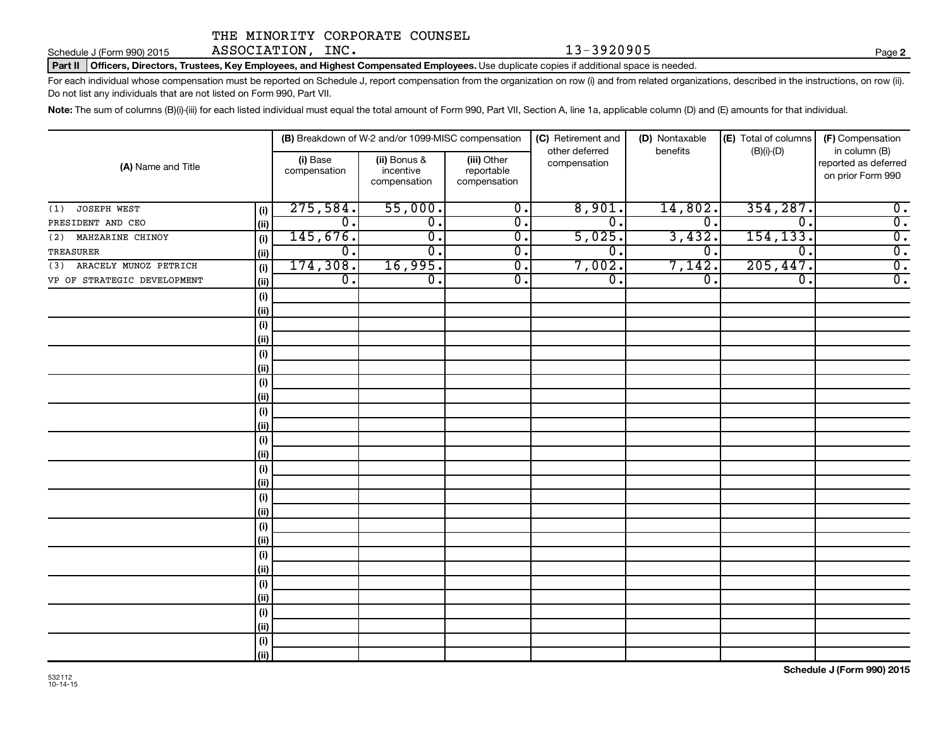Schedule J (Form 990) 2015 ASSOCIATION, INC.  $13-3920905$  Page

**2**

Part II | Officers, Directors, Trustees, Key Employees, and Highest Compensated Employees. Use duplicate copies if additional space is needed.

For each individual whose compensation must be reported on Schedule J, report compensation from the organization on row (i) and from related organizations, described in the instructions, on row (ii). Do not list any individuals that are not listed on Form 990, Part VII.

Note: The sum of columns (B)(i)-(iii) for each listed individual must equal the total amount of Form 990, Part VII, Section A, line 1a, applicable column (D) and (E) amounts for that individual.

|                              |            |                          | (B) Breakdown of W-2 and/or 1099-MISC compensation |                                           | (C) Retirement and<br>other deferred | (D) Nontaxable<br>benefits  | (E) Total of columns<br>$(B)(i)-(D)$ | (F) Compensation<br>in column (B)         |  |
|------------------------------|------------|--------------------------|----------------------------------------------------|-------------------------------------------|--------------------------------------|-----------------------------|--------------------------------------|-------------------------------------------|--|
| (A) Name and Title           |            | (i) Base<br>compensation | (ii) Bonus &<br>incentive<br>compensation          | (iii) Other<br>reportable<br>compensation | compensation                         |                             |                                      | reported as deferred<br>on prior Form 990 |  |
| JOSEPH WEST<br>(1)           | (i)        | 275,584.                 | 55,000.                                            | $\overline{0}$ .                          | 8,901.                               | 14,802.                     | 354, 287.                            | $\overline{0}$ .                          |  |
| PRESIDENT AND CEO            | (ii)       | $\overline{0}$ .         | $\overline{0}$ .                                   | $\overline{0}$ .                          | σ.                                   | $\overline{0}$ .            | 0.                                   | $\overline{0}$ .                          |  |
| MAHZARINE CHINOY<br>(2)      | (i)        | 145,676.                 | $\overline{0}$ .                                   | $\overline{0}$ .                          | 5,025.                               | 3,432.                      | 154, 133.                            | $\overline{0}$ .                          |  |
| TREASURER                    | (ii)       | $\overline{0}$ .         | σ.                                                 | $\overline{0}$ .                          | σ.                                   | $\overline{0}$ .            | 0.                                   | $\overline{0}$ .                          |  |
| ARACELY MUNOZ PETRICH<br>(3) | (i)        | 174,308.                 | 16,995.                                            | $\overline{0}$ .                          | 7,002.                               | 7,142                       | 205,447.                             | $\overline{0}$ .                          |  |
| VP OF STRATEGIC DEVELOPMENT  | (ii)       | $\overline{0}$ .         | $\overline{0}$ .                                   | $\overline{0}$ .                          | σ.                                   | $\overline{\mathfrak{o}}$ . | $\overline{\mathbf{0}}$ .            | $\overline{0}$ .                          |  |
|                              | (i)        |                          |                                                    |                                           |                                      |                             |                                      |                                           |  |
|                              | (ii)       |                          |                                                    |                                           |                                      |                             |                                      |                                           |  |
|                              | (i)        |                          |                                                    |                                           |                                      |                             |                                      |                                           |  |
|                              | (ii)       |                          |                                                    |                                           |                                      |                             |                                      |                                           |  |
|                              | (i)        |                          |                                                    |                                           |                                      |                             |                                      |                                           |  |
|                              | (ii)       |                          |                                                    |                                           |                                      |                             |                                      |                                           |  |
|                              | $(\sf{i})$ |                          |                                                    |                                           |                                      |                             |                                      |                                           |  |
|                              | (ii)       |                          |                                                    |                                           |                                      |                             |                                      |                                           |  |
|                              | (i)        |                          |                                                    |                                           |                                      |                             |                                      |                                           |  |
|                              | (ii)       |                          |                                                    |                                           |                                      |                             |                                      |                                           |  |
|                              | (i)        |                          |                                                    |                                           |                                      |                             |                                      |                                           |  |
|                              | (ii)       |                          |                                                    |                                           |                                      |                             |                                      |                                           |  |
|                              | (i)        |                          |                                                    |                                           |                                      |                             |                                      |                                           |  |
|                              | (ii)       |                          |                                                    |                                           |                                      |                             |                                      |                                           |  |
|                              | (i)        |                          |                                                    |                                           |                                      |                             |                                      |                                           |  |
|                              | (ii)       |                          |                                                    |                                           |                                      |                             |                                      |                                           |  |
|                              | (i)        |                          |                                                    |                                           |                                      |                             |                                      |                                           |  |
|                              | (ii)       |                          |                                                    |                                           |                                      |                             |                                      |                                           |  |
|                              | $(\sf{i})$ |                          |                                                    |                                           |                                      |                             |                                      |                                           |  |
|                              | (ii)       |                          |                                                    |                                           |                                      |                             |                                      |                                           |  |
|                              | (i)        |                          |                                                    |                                           |                                      |                             |                                      |                                           |  |
|                              | (ii)       |                          |                                                    |                                           |                                      |                             |                                      |                                           |  |
|                              | (i)        |                          |                                                    |                                           |                                      |                             |                                      |                                           |  |
|                              | (ii)       |                          |                                                    |                                           |                                      |                             |                                      |                                           |  |
|                              | (i)        |                          |                                                    |                                           |                                      |                             |                                      |                                           |  |
|                              | (ii)       |                          |                                                    |                                           |                                      |                             |                                      |                                           |  |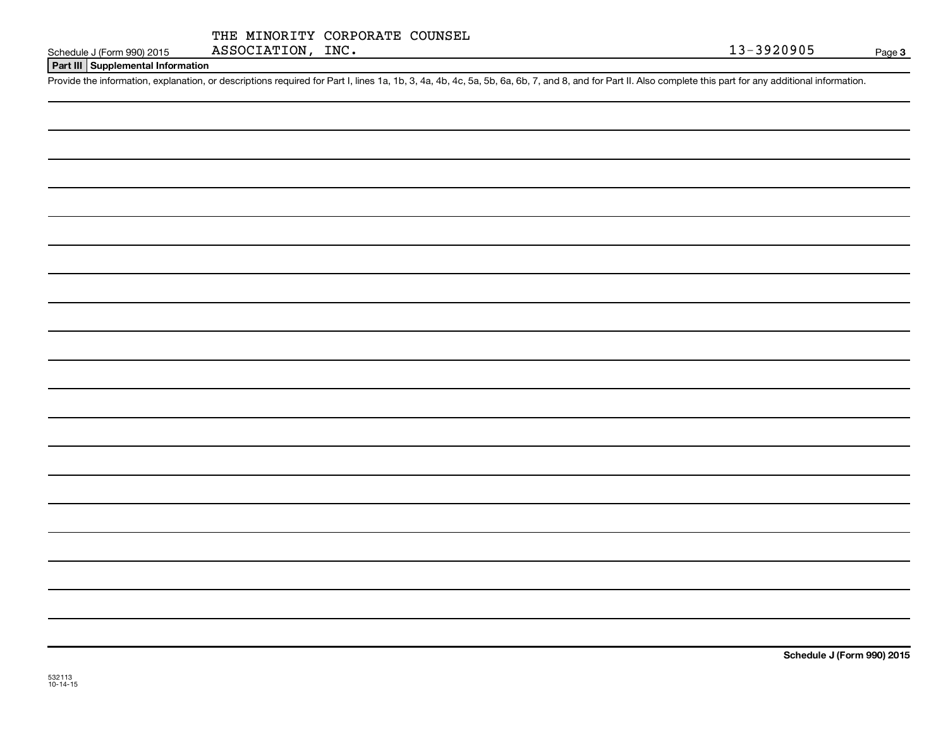|  | THE MINORITY CORPORATE COUNSEL |  |
|--|--------------------------------|--|
|  |                                |  |

#### **Part III Supplemental Information**

Provide the information, explanation, or descriptions required for Part I, lines 1a, 1b, 3, 4a, 4b, 4c, 5a, 5b, 6a, 6b, 7, and 8, and for Part II. Also complete this part for any additional information.

**Schedule J (Form 990) 2015**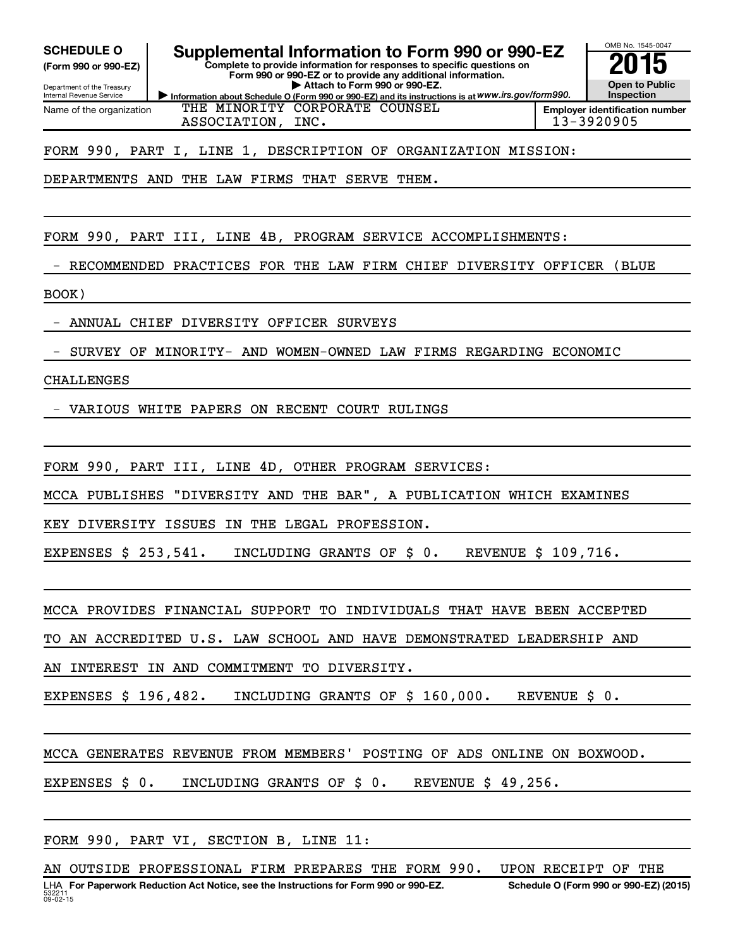**(Form 990 or 990-EZ)**

Department of the Treasury Internal Revenue Service Name of the organization

**Information about Schedule O (Form 990 or 990-EZ) and its instructions is at WWW.irs.gov/form990. Complete to provide information for responses to specific questions on Form 990 or 990-EZ or to provide any additional information. | Attach to Form 990 or 990-EZ.** SCHEDULE O **Supplemental Information to Form 990 or 990-EZ** 2015<br>(Form 990 or 990-EZ) Complete to provide information for responses to specific questions on



**Employer identification number** THE MINORITY CORPORATE COUNSEL ASSOCIATION, INC. 13-3920905

FORM 990, PART I, LINE 1, DESCRIPTION OF ORGANIZATION MISSION:

DEPARTMENTS AND THE LAW FIRMS THAT SERVE THEM.

FORM 990, PART III, LINE 4B, PROGRAM SERVICE ACCOMPLISHMENTS:

RECOMMENDED PRACTICES FOR THE LAW FIRM CHIEF DIVERSITY OFFICER (BLUE

BOOK)

- ANNUAL CHIEF DIVERSITY OFFICER SURVEYS

- SURVEY OF MINORITY- AND WOMEN-OWNED LAW FIRMS REGARDING ECONOMIC

#### CHALLENGES

- VARIOUS WHITE PAPERS ON RECENT COURT RULINGS

FORM 990, PART III, LINE 4D, OTHER PROGRAM SERVICES:

MCCA PUBLISHES "DIVERSITY AND THE BAR", A PUBLICATION WHICH EXAMINES

KEY DIVERSITY ISSUES IN THE LEGAL PROFESSION.

EXPENSES \$ 253,541. INCLUDING GRANTS OF \$ 0. REVENUE \$ 109,716.

MCCA PROVIDES FINANCIAL SUPPORT TO INDIVIDUALS THAT HAVE BEEN ACCEPTED

TO AN ACCREDITED U.S. LAW SCHOOL AND HAVE DEMONSTRATED LEADERSHIP AND

AN INTEREST IN AND COMMITMENT TO DIVERSITY.

EXPENSES \$ 196,482. INCLUDING GRANTS OF \$ 160,000. REVENUE \$ 0.

MCCA GENERATES REVENUE FROM MEMBERS' POSTING OF ADS ONLINE ON BOXWOOD.

EXPENSES \$ 0. INCLUDING GRANTS OF \$ 0. REVENUE \$ 49,256.

FORM 990, PART VI, SECTION B, LINE 11: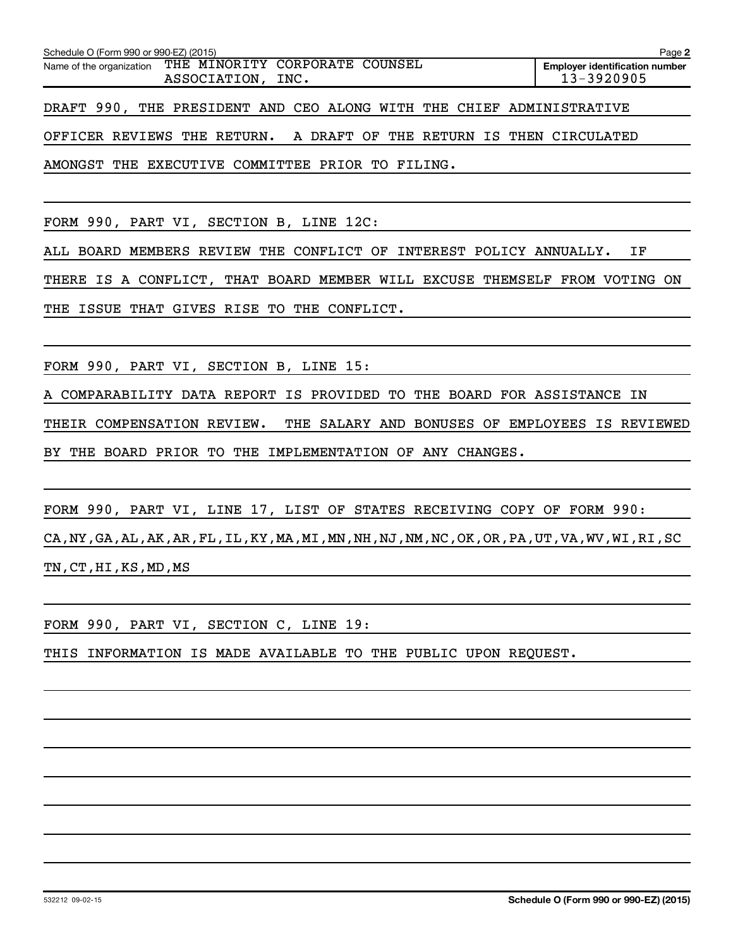| Schedule O (Form 990 or 990-EZ) (2015)                                       |  |  |  |  |  |  |                                                     |  |  |  | Page 2 |  |
|------------------------------------------------------------------------------|--|--|--|--|--|--|-----------------------------------------------------|--|--|--|--------|--|
| Name of the organization THE MINORITY CORPORATE COUNSEL<br>ASSOCIATION, INC. |  |  |  |  |  |  | <b>Employer identification number</b><br>13-3920905 |  |  |  |        |  |
| DRAFT 990, THE PRESIDENT AND CEO ALONG WITH THE CHIEF ADMINISTRATIVE         |  |  |  |  |  |  |                                                     |  |  |  |        |  |

OFFICER REVIEWS THE RETURN. A DRAFT OF THE RETURN IS THEN CIRCULATED

AMONGST THE EXECUTIVE COMMITTEE PRIOR TO FILING.

FORM 990, PART VI, SECTION B, LINE 12C:

ALL BOARD MEMBERS REVIEW THE CONFLICT OF INTEREST POLICY ANNUALLY. IF

THERE IS A CONFLICT, THAT BOARD MEMBER WILL EXCUSE THEMSELF FROM VOTING ON THE ISSUE THAT GIVES RISE TO THE CONFLICT.

FORM 990, PART VI, SECTION B, LINE 15:

A COMPARABILITY DATA REPORT IS PROVIDED TO THE BOARD FOR ASSISTANCE IN

THEIR COMPENSATION REVIEW. THE SALARY AND BONUSES OF EMPLOYEES IS REVIEWED BY THE BOARD PRIOR TO THE IMPLEMENTATION OF ANY CHANGES.

FORM 990, PART VI, LINE 17, LIST OF STATES RECEIVING COPY OF FORM 990:

CA,NY,GA,AL,AK,AR,FL,IL,KY,MA,MI,MN,NH,NJ,NM,NC,OK,OR,PA,UT,VA,WV,WI,RI,SC TN,CT,HI,KS,MD,MS

FORM 990, PART VI, SECTION C, LINE 19:

THIS INFORMATION IS MADE AVAILABLE TO THE PUBLIC UPON REQUEST.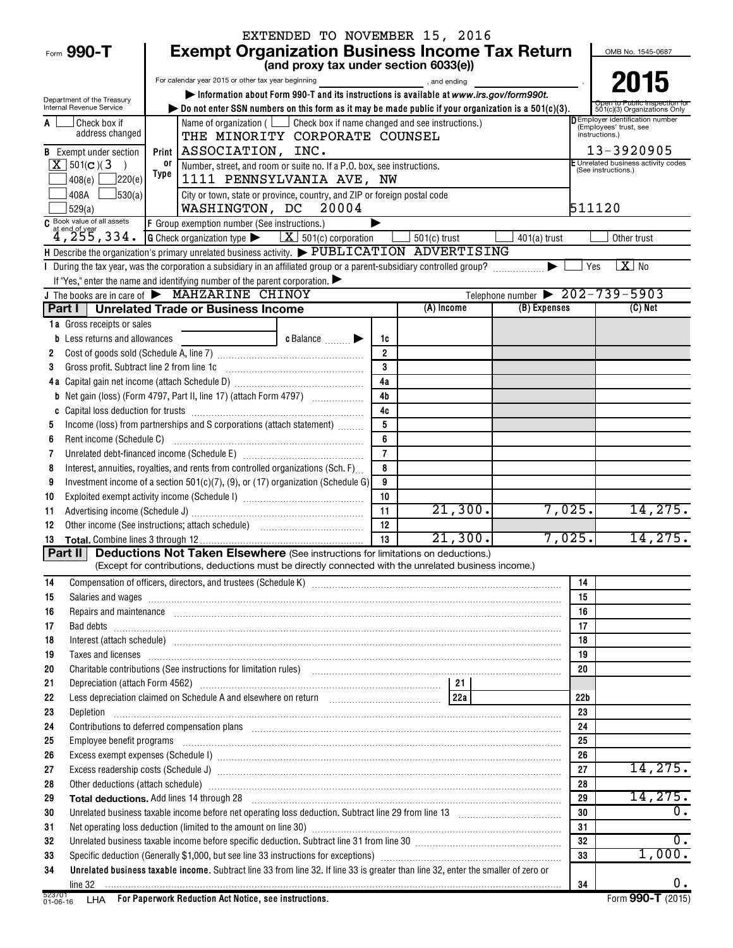|                                                        |                                                                                                                                                                                                                                                                                                                                                                                                                                                                       | EXTENDED TO NOVEMBER 15, 2016         |                     |                       |                                                |                                                                  |  |  |  |  |  |
|--------------------------------------------------------|-----------------------------------------------------------------------------------------------------------------------------------------------------------------------------------------------------------------------------------------------------------------------------------------------------------------------------------------------------------------------------------------------------------------------------------------------------------------------|---------------------------------------|---------------------|-----------------------|------------------------------------------------|------------------------------------------------------------------|--|--|--|--|--|
| Form 990-T                                             | <b>Exempt Organization Business Income Tax Return</b>                                                                                                                                                                                                                                                                                                                                                                                                                 |                                       |                     |                       |                                                | OMB No. 1545-0687                                                |  |  |  |  |  |
|                                                        |                                                                                                                                                                                                                                                                                                                                                                                                                                                                       | (and proxy tax under section 6033(e)) |                     |                       |                                                |                                                                  |  |  |  |  |  |
|                                                        | For calendar year 2015 or other tax year beginning                                                                                                                                                                                                                                                                                                                                                                                                                    |                                       |                     | and ending and ending |                                                | 2015                                                             |  |  |  |  |  |
| Department of the Treasury<br>Internal Revenue Service | Information about Form 990-T and its instructions is available at www.irs.gov/form990t.                                                                                                                                                                                                                                                                                                                                                                               |                                       |                     |                       |                                                |                                                                  |  |  |  |  |  |
|                                                        | $\triangleright$ Do not enter SSN numbers on this form as it may be made public if your organization is a 501(c)(3).                                                                                                                                                                                                                                                                                                                                                  |                                       |                     |                       |                                                | 501(c)(3) Organizations Only<br>D Employer identification number |  |  |  |  |  |
| Check box if<br>address changed                        | Name of organization ( $\Box$ Check box if name changed and see instructions.)<br>THE MINORITY CORPORATE COUNSEL                                                                                                                                                                                                                                                                                                                                                      |                                       |                     |                       |                                                | (Employees' trust, see<br>instructions.)                         |  |  |  |  |  |
| <b>B</b> Exempt under section                          | ASSOCIATION, INC.<br>Print                                                                                                                                                                                                                                                                                                                                                                                                                                            |                                       |                     |                       |                                                | 13-3920905                                                       |  |  |  |  |  |
| $X$ 501(c)(3)<br>$\rightarrow$                         | or<br>Number, street, and room or suite no. If a P.O. box, see instructions.                                                                                                                                                                                                                                                                                                                                                                                          |                                       |                     |                       |                                                | E Unrelated business activity codes<br>(See instructions.)       |  |  |  |  |  |
| 7220(e)<br>408(e)                                      | Type                                                                                                                                                                                                                                                                                                                                                                                                                                                                  | 1111 PENNSYLVANIA AVE, NW             |                     |                       |                                                |                                                                  |  |  |  |  |  |
| $\frac{1}{30(a)}$<br>408A                              | City or town, state or province, country, and ZIP or foreign postal code                                                                                                                                                                                                                                                                                                                                                                                              |                                       | 511120              |                       |                                                |                                                                  |  |  |  |  |  |
| 529(a)                                                 | WASHINGTON, DC<br>20004                                                                                                                                                                                                                                                                                                                                                                                                                                               |                                       |                     |                       |                                                |                                                                  |  |  |  |  |  |
| $\frac{c}{4}$ Book value of all assets<br>4, 255, 334. | F Group exemption number (See instructions.)                                                                                                                                                                                                                                                                                                                                                                                                                          |                                       |                     |                       |                                                |                                                                  |  |  |  |  |  |
|                                                        | <b>G</b> Check organization type $\blacktriangleright$ $\boxed{\mathbf{X}}$ 501(c) corporation                                                                                                                                                                                                                                                                                                                                                                        |                                       |                     | $501(c)$ trust        | $401(a)$ trust                                 | Other trust                                                      |  |  |  |  |  |
|                                                        | H Describe the organization's primary unrelated business activity. $\blacktriangleright$ PUBLICATION ADVERTISING                                                                                                                                                                                                                                                                                                                                                      |                                       |                     |                       |                                                |                                                                  |  |  |  |  |  |
|                                                        | I During the tax year, was the corporation a subsidiary in an affiliated group or a parent-subsidiary controlled group?                                                                                                                                                                                                                                                                                                                                               |                                       |                     |                       |                                                | $X$ No<br>Yes                                                    |  |  |  |  |  |
|                                                        | If "Yes," enter the name and identifying number of the parent corporation. $\blacktriangleright$<br>J The books are in care of MAHZARINE CHINOY                                                                                                                                                                                                                                                                                                                       |                                       |                     |                       | Telephone number $\triangleright$ 202-739-5903 |                                                                  |  |  |  |  |  |
|                                                        | Part I   Unrelated Trade or Business Income                                                                                                                                                                                                                                                                                                                                                                                                                           |                                       |                     | (A) Income            | (B) Expenses                                   | $(C)$ Net                                                        |  |  |  |  |  |
| <b>1a</b> Gross receipts or sales                      |                                                                                                                                                                                                                                                                                                                                                                                                                                                                       |                                       |                     |                       |                                                |                                                                  |  |  |  |  |  |
| <b>b</b> Less returns and allowances                   |                                                                                                                                                                                                                                                                                                                                                                                                                                                                       | c Balance                             | 1c                  |                       |                                                |                                                                  |  |  |  |  |  |
| 2                                                      |                                                                                                                                                                                                                                                                                                                                                                                                                                                                       |                                       | $\overline{2}$      |                       |                                                |                                                                  |  |  |  |  |  |
| Gross profit. Subtract line 2 from line 1c<br>3        |                                                                                                                                                                                                                                                                                                                                                                                                                                                                       |                                       | $\mathbf{3}$        |                       |                                                |                                                                  |  |  |  |  |  |
|                                                        |                                                                                                                                                                                                                                                                                                                                                                                                                                                                       |                                       | 4a                  |                       |                                                |                                                                  |  |  |  |  |  |
| b                                                      |                                                                                                                                                                                                                                                                                                                                                                                                                                                                       |                                       | 4 <sub>b</sub>      |                       |                                                |                                                                  |  |  |  |  |  |
|                                                        |                                                                                                                                                                                                                                                                                                                                                                                                                                                                       |                                       | 4c                  |                       |                                                |                                                                  |  |  |  |  |  |
| 5                                                      | Income (loss) from partnerships and S corporations (attach statement)                                                                                                                                                                                                                                                                                                                                                                                                 |                                       | 5                   |                       |                                                |                                                                  |  |  |  |  |  |
| Rent income (Schedule C)<br>6                          |                                                                                                                                                                                                                                                                                                                                                                                                                                                                       |                                       | 6<br>$\overline{7}$ |                       |                                                |                                                                  |  |  |  |  |  |
| 7<br>8                                                 | Interest, annuities, royalties, and rents from controlled organizations (Sch. F)                                                                                                                                                                                                                                                                                                                                                                                      |                                       | 8                   |                       |                                                |                                                                  |  |  |  |  |  |
| 9                                                      | Investment income of a section 501(c)(7), (9), or (17) organization (Schedule G)                                                                                                                                                                                                                                                                                                                                                                                      |                                       | 9                   |                       |                                                |                                                                  |  |  |  |  |  |
| 10                                                     |                                                                                                                                                                                                                                                                                                                                                                                                                                                                       |                                       | 10                  |                       |                                                |                                                                  |  |  |  |  |  |
| 11                                                     |                                                                                                                                                                                                                                                                                                                                                                                                                                                                       |                                       | 11                  | 21,300.               | 7,025.                                         | 14,275.                                                          |  |  |  |  |  |
| 12                                                     |                                                                                                                                                                                                                                                                                                                                                                                                                                                                       |                                       | 12                  |                       |                                                |                                                                  |  |  |  |  |  |
| 13                                                     |                                                                                                                                                                                                                                                                                                                                                                                                                                                                       |                                       | 13                  | 21,300.               | 7,025.                                         | 14, 275.                                                         |  |  |  |  |  |
|                                                        | <b>Part II</b> Deductions Not Taken Elsewhere (See instructions for limitations on deductions.)                                                                                                                                                                                                                                                                                                                                                                       |                                       |                     |                       |                                                |                                                                  |  |  |  |  |  |
|                                                        | (Except for contributions, deductions must be directly connected with the unrelated business income.)                                                                                                                                                                                                                                                                                                                                                                 |                                       |                     |                       |                                                |                                                                  |  |  |  |  |  |
| 14                                                     |                                                                                                                                                                                                                                                                                                                                                                                                                                                                       |                                       |                     |                       | 14                                             |                                                                  |  |  |  |  |  |
| 15<br>16                                               | Salaries and wages information contains and contained a state of the state of the state of the state of the state of the state of the state of the state of the state of the state of the state of the state of the state of t<br>Repairs and maintenance <i>maintenance</i> and contained and contained and contained and maintenance and maintenance and contained and contained and contained and contained and contained and contained and contained and containe |                                       |                     |                       | 15<br>16                                       |                                                                  |  |  |  |  |  |
| 17                                                     |                                                                                                                                                                                                                                                                                                                                                                                                                                                                       |                                       |                     |                       | 17                                             |                                                                  |  |  |  |  |  |
| 18                                                     |                                                                                                                                                                                                                                                                                                                                                                                                                                                                       |                                       |                     |                       | 18                                             |                                                                  |  |  |  |  |  |
| 19                                                     | Taxes and licenses <b>constructed and construction</b> and construction of the construction of the construction of the construction of the construction of the construction of the construction of the construction of the construc                                                                                                                                                                                                                                   |                                       |                     |                       | 19                                             |                                                                  |  |  |  |  |  |
| 20                                                     | Charitable contributions (See instructions for limitation rules) [11] manufacture in the contributions (See instructions for limitation rules) [11] manufacture in the contributions (See instructions for limitation rules) [                                                                                                                                                                                                                                        |                                       |                     |                       | 20                                             |                                                                  |  |  |  |  |  |
| 21                                                     |                                                                                                                                                                                                                                                                                                                                                                                                                                                                       |                                       |                     |                       |                                                |                                                                  |  |  |  |  |  |
| 22                                                     | Less depreciation claimed on Schedule A and elsewhere on return [10] [10] [228]                                                                                                                                                                                                                                                                                                                                                                                       |                                       |                     |                       | 22 <sub>b</sub>                                |                                                                  |  |  |  |  |  |
| 23                                                     |                                                                                                                                                                                                                                                                                                                                                                                                                                                                       |                                       |                     |                       | 23                                             |                                                                  |  |  |  |  |  |
| 24                                                     | Contributions to deferred compensation plans [11] manufactured and manufactured contributions to deferred compensation plans                                                                                                                                                                                                                                                                                                                                          |                                       |                     |                       | 24                                             |                                                                  |  |  |  |  |  |
| 25<br>26                                               | Employee benefit programs in the continuum contract of the contract of the contract of the contract of the contract of the contract of the contract of the contract of the contract of the contract of the contract of the con                                                                                                                                                                                                                                        |                                       |                     |                       | 25<br>26                                       |                                                                  |  |  |  |  |  |
| 27                                                     |                                                                                                                                                                                                                                                                                                                                                                                                                                                                       |                                       |                     |                       | 27                                             | 14,275.                                                          |  |  |  |  |  |
| 28                                                     | Other deductions (attach schedule) manufactured and contract and according of the deductions (attach schedule)                                                                                                                                                                                                                                                                                                                                                        |                                       |                     |                       | 28                                             |                                                                  |  |  |  |  |  |
| 29                                                     | Total deductions. Add lines 14 through 28 [11] manufactures are controlled to the final deductions. Add lines 14 through 28                                                                                                                                                                                                                                                                                                                                           |                                       |                     |                       | 29                                             | 14, 275.                                                         |  |  |  |  |  |
| 30                                                     |                                                                                                                                                                                                                                                                                                                                                                                                                                                                       |                                       |                     |                       | 30                                             | $\mathbf 0$ .                                                    |  |  |  |  |  |
| 31                                                     |                                                                                                                                                                                                                                                                                                                                                                                                                                                                       |                                       |                     |                       | 31                                             |                                                                  |  |  |  |  |  |
| 32                                                     | Unrelated business taxable income before specific deduction. Subtract line 31 from line 30 [11] manuscripts taxable income before specific deduction. Subtract line 31 from line 30 [11] manuscripts taxable income states in                                                                                                                                                                                                                                         |                                       |                     |                       | 32                                             | 0.                                                               |  |  |  |  |  |
| 33                                                     |                                                                                                                                                                                                                                                                                                                                                                                                                                                                       |                                       |                     |                       | 33                                             | 1,000.                                                           |  |  |  |  |  |
| 34                                                     | Unrelated business taxable income. Subtract line 33 from line 32. If line 33 is greater than line 32, enter the smaller of zero or                                                                                                                                                                                                                                                                                                                                    |                                       |                     |                       |                                                |                                                                  |  |  |  |  |  |
|                                                        |                                                                                                                                                                                                                                                                                                                                                                                                                                                                       |                                       |                     |                       | 34                                             | 0.                                                               |  |  |  |  |  |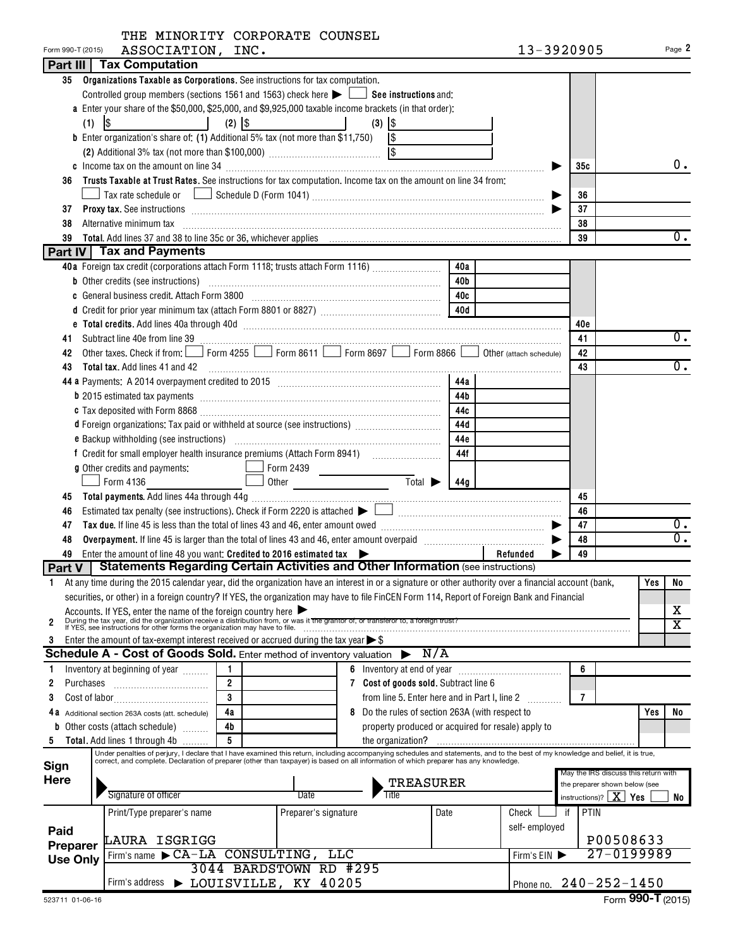| Form 990-T (2015) | ASSOCIATION, INC.                                                                                                                                                                                                                   |                |                                                                                                               |                                                    |            | 13-3920905                   |                |                                                                       |     | Page 2                |
|-------------------|-------------------------------------------------------------------------------------------------------------------------------------------------------------------------------------------------------------------------------------|----------------|---------------------------------------------------------------------------------------------------------------|----------------------------------------------------|------------|------------------------------|----------------|-----------------------------------------------------------------------|-----|-----------------------|
|                   | <b>Part III   Tax Computation</b>                                                                                                                                                                                                   |                |                                                                                                               |                                                    |            |                              |                |                                                                       |     |                       |
| 35                | Organizations Taxable as Corporations. See instructions for tax computation.                                                                                                                                                        |                |                                                                                                               |                                                    |            |                              |                |                                                                       |     |                       |
|                   | Controlled group members (sections 1561 and 1563) check here $\blacktriangleright$ $\Box$ See instructions and:                                                                                                                     |                |                                                                                                               |                                                    |            |                              |                |                                                                       |     |                       |
|                   | a Enter your share of the \$50,000, \$25,000, and \$9,925,000 taxable income brackets (in that order):                                                                                                                              |                |                                                                                                               |                                                    |            |                              |                |                                                                       |     |                       |
| (1)               | $\lvert \mathcal{S} \rvert$                                                                                                                                                                                                         | $(2)$ $ $ \$   |                                                                                                               | $(3)$ $ $ \$                                       |            |                              |                |                                                                       |     |                       |
|                   | <b>b</b> Enter organization's share of: (1) Additional 5% tax (not more than \$11,750) $\left \$$                                                                                                                                   |                |                                                                                                               |                                                    |            |                              |                |                                                                       |     |                       |
|                   |                                                                                                                                                                                                                                     |                |                                                                                                               |                                                    |            |                              |                |                                                                       |     |                       |
|                   |                                                                                                                                                                                                                                     |                |                                                                                                               |                                                    |            |                              | 35c            |                                                                       |     | 0.                    |
| 36                | Trusts Taxable at Trust Rates. See instructions for tax computation. Income tax on the amount on line 34 from:                                                                                                                      |                |                                                                                                               |                                                    |            |                              |                |                                                                       |     |                       |
|                   | $\Box$ Tax rate schedule or $\hfill\Box$ Schedule D (Form 1041) …………………………………………………………………………                                                                                                                                        |                |                                                                                                               |                                                    |            |                              | 36             |                                                                       |     |                       |
| 37                | <b>Proxy tax.</b> See instructions <b>constructions Proxy tax.</b> See instructions <b>Proxy tax.</b> See instructions <b>Proxy tax.</b>                                                                                            |                |                                                                                                               |                                                    |            |                              | 37             |                                                                       |     |                       |
| 38                |                                                                                                                                                                                                                                     |                |                                                                                                               |                                                    |            |                              | 38             |                                                                       |     |                       |
| 39                | Total. Add lines 37 and 38 to line 35c or 36, whichever applies [11] matter than the state of the state of the state of the state of the state of the state of the state of the state of the state of the state of the state o      |                |                                                                                                               |                                                    |            |                              | 39             |                                                                       |     | $\overline{0}$ .      |
|                   | <b>Part IV Tax and Payments</b>                                                                                                                                                                                                     |                |                                                                                                               |                                                    | 40a        |                              |                |                                                                       |     |                       |
|                   | 40a Foreign tax credit (corporations attach Form 1118; trusts attach Form 1116) [                                                                                                                                                   |                |                                                                                                               |                                                    | 40b        |                              |                |                                                                       |     |                       |
|                   | b Other credits (see instructions) with an interestingly contained and other credits (see instructions)                                                                                                                             |                |                                                                                                               |                                                    |            |                              |                |                                                                       |     |                       |
|                   | c General business credit. Attach Form 3800 [11] [11] Contract Contract Den Facture Property Contract Den Facture Property Contract Den Facture Property Contract Den Facture Property Contract Den Facture Property Contract       |                |                                                                                                               |                                                    | 40c<br>40d |                              |                |                                                                       |     |                       |
|                   |                                                                                                                                                                                                                                     |                |                                                                                                               |                                                    |            |                              | 40e            |                                                                       |     |                       |
| 41                |                                                                                                                                                                                                                                     |                |                                                                                                               |                                                    |            |                              | 41             |                                                                       |     | 0.                    |
| 42                | Subtract line 40e from line 39 <u>www.communications.communications.communications.com</u><br>Other taxes. Check if from: $\Box$ Form 4255 $\Box$ Form 8611 $\Box$ Form 8697 $\Box$ Form 8866 $\Box$ Other (attach schedule)        |                |                                                                                                               |                                                    |            |                              | 42             |                                                                       |     |                       |
| 43                | <b>Total tax.</b> Add lines 41 and 42                                                                                                                                                                                               |                |                                                                                                               |                                                    |            |                              | 43             |                                                                       |     | $\overline{0}$ .      |
|                   |                                                                                                                                                                                                                                     |                |                                                                                                               |                                                    | 44a        |                              |                |                                                                       |     |                       |
|                   |                                                                                                                                                                                                                                     |                |                                                                                                               |                                                    | 44b        |                              |                |                                                                       |     |                       |
|                   |                                                                                                                                                                                                                                     |                |                                                                                                               |                                                    | 44c        |                              |                |                                                                       |     |                       |
|                   | d Foreign organizations: Tax paid or withheld at source (see instructions) [                                                                                                                                                        |                |                                                                                                               |                                                    | 44d        |                              |                |                                                                       |     |                       |
|                   |                                                                                                                                                                                                                                     |                |                                                                                                               |                                                    | 44e        |                              |                |                                                                       |     |                       |
|                   |                                                                                                                                                                                                                                     |                |                                                                                                               |                                                    | 44f        |                              |                |                                                                       |     |                       |
|                   | <b>g</b> Other credits and payments:                                                                                                                                                                                                |                | Form 2439                                                                                                     | <u> Albanya (Albanya)</u>                          |            |                              |                |                                                                       |     |                       |
|                   | $\sqrt{\phantom{0}}$ Form 4136<br>the contract of the contract of                                                                                                                                                                   |                | Other and the contract of the contract of the contract of the contract of the contract of the contract of the | $\overline{\mathrm{Total}}$                        | 44g        |                              |                |                                                                       |     |                       |
| 45                |                                                                                                                                                                                                                                     |                |                                                                                                               |                                                    |            |                              | 45             |                                                                       |     |                       |
| 46                | Estimated tax penalty (see instructions). Check if Form 2220 is attached $\blacktriangleright \Box$                                                                                                                                 |                |                                                                                                               |                                                    |            |                              | 46             |                                                                       |     |                       |
| 47                |                                                                                                                                                                                                                                     |                |                                                                                                               |                                                    |            |                              | 47             |                                                                       |     | 0.                    |
| 48                |                                                                                                                                                                                                                                     |                |                                                                                                               |                                                    |            |                              | 48             |                                                                       |     | $\overline{0}$ .      |
| 49                | Enter the amount of line 48 you want: Credited to 2016 estimated tax $\triangleright$                                                                                                                                               |                |                                                                                                               |                                                    |            | Refunded                     | 49             |                                                                       |     |                       |
| Part V            | <b>Statements Regarding Certain Activities and Other Information (see instructions)</b>                                                                                                                                             |                |                                                                                                               |                                                    |            |                              |                |                                                                       |     |                       |
|                   | At any time during the 2015 calendar year, did the organization have an interest in or a signature or other authority over a financial account (bank,                                                                               |                |                                                                                                               |                                                    |            |                              |                |                                                                       | Yes | No                    |
|                   | securities, or other) in a foreign country? If YES, the organization may have to file FinCEN Form 114, Report of Foreign Bank and Financial                                                                                         |                |                                                                                                               |                                                    |            |                              |                |                                                                       |     |                       |
| 2                 | Accounts. If YES, enter the name of the foreign country here<br>During the tax year, did the organization receive a distribution from, or was it the grantor of, or transferor to, a foreign trust?<br>If YES, see instructions for |                |                                                                                                               |                                                    |            |                              |                |                                                                       |     | х                     |
|                   |                                                                                                                                                                                                                                     |                |                                                                                                               |                                                    |            |                              |                |                                                                       |     | $\overline{\text{x}}$ |
| 3                 | Enter the amount of tax-exempt interest received or accrued during the tax year $\triangleright$ \$                                                                                                                                 |                |                                                                                                               |                                                    | N/A        |                              |                |                                                                       |     |                       |
|                   | Schedule A - Cost of Goods Sold. Enter method of inventory valuation                                                                                                                                                                |                |                                                                                                               |                                                    |            |                              | 6              |                                                                       |     |                       |
|                   | Inventory at beginning of year <i>www.</i>                                                                                                                                                                                          | $\overline{2}$ |                                                                                                               | Cost of goods sold. Subtract line 6                |            |                              |                |                                                                       |     |                       |
| 2<br>Purchases    |                                                                                                                                                                                                                                     | $\overline{3}$ |                                                                                                               | from line 5. Enter here and in Part I, line 2      |            |                              | $\overline{7}$ |                                                                       |     |                       |
|                   |                                                                                                                                                                                                                                     | 4a             |                                                                                                               | Do the rules of section 263A (with respect to      |            |                              |                |                                                                       | Yes | No                    |
| b                 | Additional section 263A costs (att. schedule)<br>Other costs (attach schedule)                                                                                                                                                      | 4b             |                                                                                                               | property produced or acquired for resale) apply to |            |                              |                |                                                                       |     |                       |
|                   | Total. Add lines 1 through 4b                                                                                                                                                                                                       | 5              |                                                                                                               |                                                    |            |                              |                |                                                                       |     |                       |
|                   | Under penalties of perjury, I declare that I have examined this return, including accompanying schedules and statements, and to the best of my knowledge and belief, it is true,<br>correct, and complete. Declaration of prepare   |                |                                                                                                               |                                                    |            |                              |                |                                                                       |     |                       |
| Sign              |                                                                                                                                                                                                                                     |                |                                                                                                               |                                                    |            |                              |                |                                                                       |     |                       |
| Here              |                                                                                                                                                                                                                                     |                |                                                                                                               | <b>TREASURER</b>                                   |            |                              |                | May the IRS discuss this return with<br>the preparer shown below (see |     |                       |
|                   | Signature of officer                                                                                                                                                                                                                |                | Date                                                                                                          | Title                                              |            |                              |                | instructions)? $\boxed{\mathbf{X}}$ Yes                               |     | No                    |
|                   | Print/Type preparer's name                                                                                                                                                                                                          |                | Preparer's signature                                                                                          |                                                    | Date       | Check                        | PTIN<br>if     |                                                                       |     |                       |
| Paid              |                                                                                                                                                                                                                                     |                |                                                                                                               |                                                    |            | self-employed                |                |                                                                       |     |                       |
| Preparer          | LAURA ISGRIGG                                                                                                                                                                                                                       |                |                                                                                                               |                                                    |            |                              |                | P00508633                                                             |     |                       |
| <b>Use Only</b>   | Firm's name CA-LA CONSULTING, LLC                                                                                                                                                                                                   |                |                                                                                                               |                                                    |            | Firm's EIN                   |                | 27-0199989                                                            |     |                       |
|                   |                                                                                                                                                                                                                                     |                | 3044 BARDSTOWN RD #295                                                                                        |                                                    |            |                              |                |                                                                       |     |                       |
|                   | Firm's address > LOUISVILLE, KY 40205                                                                                                                                                                                               |                |                                                                                                               |                                                    |            | Phone no. $240 - 252 - 1450$ |                |                                                                       |     |                       |
|                   |                                                                                                                                                                                                                                     |                |                                                                                                               |                                                    |            |                              |                |                                                                       |     |                       |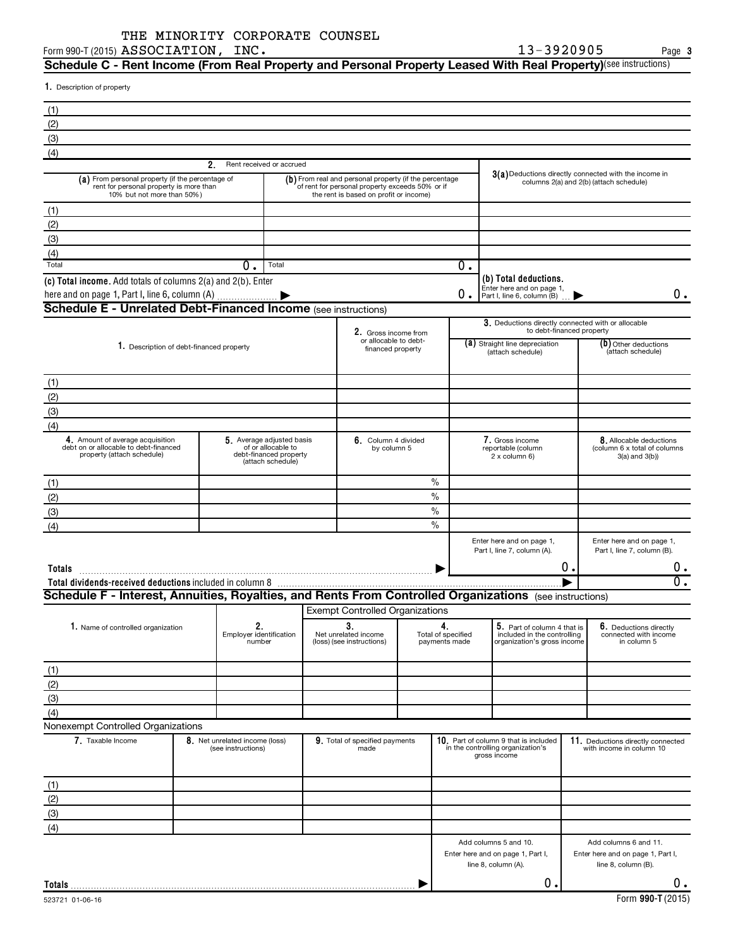Form 990-T (2015)  ${\bf ASSOCIATION}$  ,  ${\bf INC.}$  and the contract of the contract of the contract of the contract of the contract of the contract of the contract of the contract of the contract of the contract of the contract of the

**3**

 ${\bf S}$ chedule C - Rent Income (From Real Property and Personal Property Leased With Real Property)<sup>(see instructions)</sup>

1. Description of property

| (1)                                                                                                                                                                 |                                                      |                                                                                                |                                                                                                                                                     |               |                                     |                                                                                                    |    |                                                                                   |  |
|---------------------------------------------------------------------------------------------------------------------------------------------------------------------|------------------------------------------------------|------------------------------------------------------------------------------------------------|-----------------------------------------------------------------------------------------------------------------------------------------------------|---------------|-------------------------------------|----------------------------------------------------------------------------------------------------|----|-----------------------------------------------------------------------------------|--|
| (2)                                                                                                                                                                 |                                                      |                                                                                                |                                                                                                                                                     |               |                                     |                                                                                                    |    |                                                                                   |  |
| (3)                                                                                                                                                                 |                                                      |                                                                                                |                                                                                                                                                     |               |                                     |                                                                                                    |    |                                                                                   |  |
| (4)                                                                                                                                                                 |                                                      |                                                                                                |                                                                                                                                                     |               |                                     |                                                                                                    |    |                                                                                   |  |
|                                                                                                                                                                     | 2.                                                   | Rent received or accrued                                                                       |                                                                                                                                                     |               |                                     |                                                                                                    |    |                                                                                   |  |
| (a) From personal property (if the percentage of<br>rent for personal property is more than<br>10% but not more than 50%)                                           |                                                      |                                                                                                | (b) From real and personal property (if the percentage<br>of rent for personal property exceeds 50% or if<br>the rent is based on profit or income) |               |                                     | $3(a)$ Deductions directly connected with the income in<br>columns 2(a) and 2(b) (attach schedule) |    |                                                                                   |  |
| (1)                                                                                                                                                                 |                                                      |                                                                                                |                                                                                                                                                     |               |                                     |                                                                                                    |    |                                                                                   |  |
| (2)                                                                                                                                                                 |                                                      |                                                                                                |                                                                                                                                                     |               |                                     |                                                                                                    |    |                                                                                   |  |
| (3)                                                                                                                                                                 |                                                      |                                                                                                |                                                                                                                                                     |               |                                     |                                                                                                    |    |                                                                                   |  |
| (4)                                                                                                                                                                 |                                                      |                                                                                                |                                                                                                                                                     |               |                                     |                                                                                                    |    |                                                                                   |  |
| Total                                                                                                                                                               | 0.                                                   | Total                                                                                          |                                                                                                                                                     |               | О.                                  |                                                                                                    |    |                                                                                   |  |
| (c) Total income. Add totals of columns 2(a) and 2(b). Enter<br>here and on page 1, Part I, line 6, column (A)                                                      |                                                      |                                                                                                |                                                                                                                                                     |               | 0.                                  | (b) Total deductions.<br>Enter here and on page 1,<br>Part I, line 6, column (B)                   |    | 0.                                                                                |  |
| Schedule E - Unrelated Debt-Financed Income (see instructions)                                                                                                      |                                                      |                                                                                                |                                                                                                                                                     |               |                                     |                                                                                                    |    |                                                                                   |  |
|                                                                                                                                                                     |                                                      |                                                                                                |                                                                                                                                                     |               |                                     | 3. Deductions directly connected with or allocable<br>to debt-financed property                    |    |                                                                                   |  |
|                                                                                                                                                                     |                                                      |                                                                                                | 2. Gross income from<br>or allocable to debt-                                                                                                       |               |                                     | (a) Straight line depreciation                                                                     |    | (b) Other deductions                                                              |  |
| 1. Description of debt-financed property                                                                                                                            |                                                      |                                                                                                | financed property                                                                                                                                   |               |                                     | (attach schedule)                                                                                  |    | (attach schedule)                                                                 |  |
| (1)                                                                                                                                                                 |                                                      |                                                                                                |                                                                                                                                                     |               |                                     |                                                                                                    |    |                                                                                   |  |
| (2)                                                                                                                                                                 |                                                      |                                                                                                |                                                                                                                                                     |               |                                     |                                                                                                    |    |                                                                                   |  |
| (3)                                                                                                                                                                 |                                                      |                                                                                                |                                                                                                                                                     |               |                                     |                                                                                                    |    |                                                                                   |  |
| (4)                                                                                                                                                                 |                                                      |                                                                                                |                                                                                                                                                     |               |                                     |                                                                                                    |    |                                                                                   |  |
| 4. Amount of average acquisition<br>debt on or allocable to debt-financed<br>property (attach schedule)                                                             |                                                      | 5. Average adjusted basis<br>of or allocable to<br>debt-financed property<br>(attach schedule) | 6. Column 4 divided<br>by column 5                                                                                                                  |               |                                     | 7. Gross income<br>reportable (column<br>2 x column 6)                                             |    | 8. Allocable deductions<br>(column 6 x total of columns<br>$3(a)$ and $3(b)$ )    |  |
| (1)                                                                                                                                                                 |                                                      |                                                                                                |                                                                                                                                                     | $\frac{0}{0}$ |                                     |                                                                                                    |    |                                                                                   |  |
| (2)                                                                                                                                                                 |                                                      |                                                                                                |                                                                                                                                                     | $\%$          |                                     |                                                                                                    |    |                                                                                   |  |
| (3)                                                                                                                                                                 |                                                      |                                                                                                |                                                                                                                                                     | $\frac{0}{0}$ |                                     |                                                                                                    |    |                                                                                   |  |
| (4)                                                                                                                                                                 |                                                      |                                                                                                |                                                                                                                                                     | $\frac{0}{0}$ |                                     |                                                                                                    |    |                                                                                   |  |
|                                                                                                                                                                     |                                                      |                                                                                                |                                                                                                                                                     |               |                                     | Enter here and on page 1,                                                                          |    | Enter here and on page 1,                                                         |  |
|                                                                                                                                                                     |                                                      |                                                                                                |                                                                                                                                                     |               |                                     | Part I, line 7, column (A).                                                                        | Ο. | Part I, line 7, column (B).                                                       |  |
| Totals                                                                                                                                                              |                                                      |                                                                                                |                                                                                                                                                     |               |                                     |                                                                                                    |    | υ.<br>σ.                                                                          |  |
| Total dividends-received deductions included in column 8<br>Schedule F - Interest, Annuities, Royalties, and Rents From Controlled Organizations (see instructions) |                                                      |                                                                                                |                                                                                                                                                     |               |                                     |                                                                                                    |    |                                                                                   |  |
|                                                                                                                                                                     |                                                      |                                                                                                | <b>Exempt Controlled Organizations</b>                                                                                                              |               |                                     |                                                                                                    |    |                                                                                   |  |
|                                                                                                                                                                     | 2.                                                   |                                                                                                | 3.                                                                                                                                                  |               | 4.                                  |                                                                                                    |    |                                                                                   |  |
| 1. Name of controlled organization                                                                                                                                  | Employer identification<br>number                    |                                                                                                | Net unrelated income<br>(loss) (see instructions)                                                                                                   |               | Total of specified<br>payments made | 5. Part of column 4 that is<br>included in the controlling<br>organization's gross income          |    | 6. Deductions directly<br>connected with income<br>in column 5                    |  |
| (1)                                                                                                                                                                 |                                                      |                                                                                                |                                                                                                                                                     |               |                                     |                                                                                                    |    |                                                                                   |  |
| (2)                                                                                                                                                                 |                                                      |                                                                                                |                                                                                                                                                     |               |                                     |                                                                                                    |    |                                                                                   |  |
| (3)                                                                                                                                                                 |                                                      |                                                                                                |                                                                                                                                                     |               |                                     |                                                                                                    |    |                                                                                   |  |
| (4)                                                                                                                                                                 |                                                      |                                                                                                |                                                                                                                                                     |               |                                     |                                                                                                    |    |                                                                                   |  |
| Nonexempt Controlled Organizations                                                                                                                                  |                                                      |                                                                                                |                                                                                                                                                     |               |                                     |                                                                                                    |    |                                                                                   |  |
| 7. Taxable Income                                                                                                                                                   | 8. Net unrelated income (loss)<br>(see instructions) |                                                                                                | 9. Total of specified payments<br>made                                                                                                              |               |                                     | 10. Part of column 9 that is included<br>in the controlling organization's<br>gross income         |    | 11. Deductions directly connected<br>with income in column 10                     |  |
| (1)                                                                                                                                                                 |                                                      |                                                                                                |                                                                                                                                                     |               |                                     |                                                                                                    |    |                                                                                   |  |
| (2)                                                                                                                                                                 |                                                      |                                                                                                |                                                                                                                                                     |               |                                     |                                                                                                    |    |                                                                                   |  |
| (3)                                                                                                                                                                 |                                                      |                                                                                                |                                                                                                                                                     |               |                                     |                                                                                                    |    |                                                                                   |  |
| (4)                                                                                                                                                                 |                                                      |                                                                                                |                                                                                                                                                     |               |                                     |                                                                                                    |    |                                                                                   |  |
|                                                                                                                                                                     |                                                      |                                                                                                |                                                                                                                                                     |               |                                     | Add columns 5 and 10.<br>Enter here and on page 1, Part I,<br>line 8, column (A).                  |    | Add columns 6 and 11.<br>Enter here and on page 1, Part I,<br>line 8, column (B). |  |
| Totals                                                                                                                                                              |                                                      |                                                                                                |                                                                                                                                                     |               |                                     | 0.                                                                                                 |    | 0.                                                                                |  |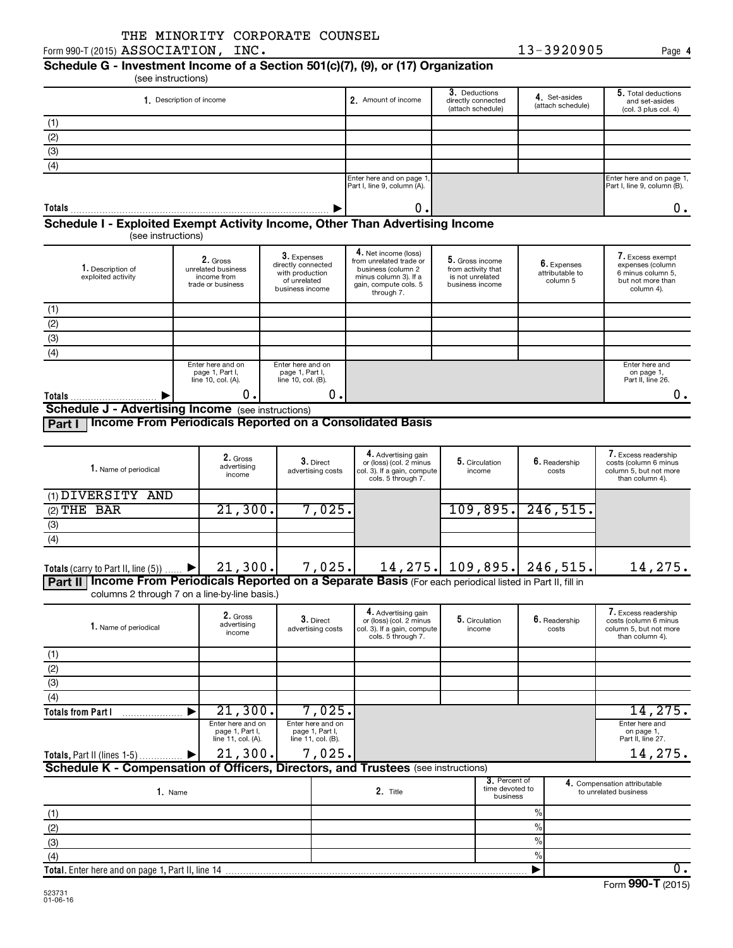#### (see instructions) **Schedule G - Investment Income of a Section 501(c)(7), (9), or (17) Organization**

3. Deductions directly connected (attach schedule) **5.** Total deductions and set-asides (col. 3 plus col. 4) 4. Set-asides<br>(attach schedule) 1. Description of income **Amount of income Amount of income** Amount of income Enter here and on page 1, Part I, line 9, column (A). Enter here and on page 1, Part I, line 9, column (B). **1.** Description of income  $\begin{vmatrix} 1 & 0 & 0 \\ 0 & 1 & 1 \end{vmatrix}$  **3.** Deductions **1.** Set-asides **5. 1. 4.** Set-asides **5. Totals** (1) (2) (3)  $\overline{(4)}$ **Schedule I - Exploited Exempt Activity Income, Other Than Advertising Income** 9  $\begin{array}{ccc} 0 \end{array}$ .

(see instructions)

| 1. Description of<br>exploited activity            | 2. Gross<br>unrelated business<br>income from<br>trade or business | 3. Expenses<br>directly connected<br>with production<br>of unrelated<br>business income | 4. Net income (loss)<br>from unrelated trade or<br>business (column 2<br>minus column 3). If a<br>gain, compute cols. 5<br>through 7. | 5. Gross income<br>from activity that<br>is not unrelated<br>business income | 6. Expenses<br>attributable to<br>column 5 | 7. Excess exempt<br>expenses (column<br>6 minus column 5.<br>but not more than<br>column 4). |  |  |
|----------------------------------------------------|--------------------------------------------------------------------|-----------------------------------------------------------------------------------------|---------------------------------------------------------------------------------------------------------------------------------------|------------------------------------------------------------------------------|--------------------------------------------|----------------------------------------------------------------------------------------------|--|--|
| (1)                                                |                                                                    |                                                                                         |                                                                                                                                       |                                                                              |                                            |                                                                                              |  |  |
| (2)                                                |                                                                    |                                                                                         |                                                                                                                                       |                                                                              |                                            |                                                                                              |  |  |
| (3)                                                |                                                                    |                                                                                         |                                                                                                                                       |                                                                              |                                            |                                                                                              |  |  |
| (4)                                                |                                                                    |                                                                                         |                                                                                                                                       |                                                                              |                                            |                                                                                              |  |  |
|                                                    | Enter here and on<br>page 1, Part I,<br>line 10, col. (A).         | Enter here and on<br>page 1, Part I,<br>line 10, col. (B).                              |                                                                                                                                       |                                                                              |                                            | Enter here and<br>on page 1,<br>Part II, line 26.                                            |  |  |
| Totals                                             | υ.                                                                 | 0.I                                                                                     |                                                                                                                                       |                                                                              |                                            |                                                                                              |  |  |
| Schedule I - Advertising Income (see instructions) |                                                                    |                                                                                         |                                                                                                                                       |                                                                              |                                            |                                                                                              |  |  |

**Schedule J - Advertising Income** (see instructions)

**Part I Income From Periodicals Reported on a Consolidated Basis**

| 1. Name of periodical                                                                                           | 2. Gross<br>advertising<br>income | $3.$ Direct<br>advertising costs | 4. Advertising gain<br>or (loss) (col. 2 minus<br>col. 3). If a gain, compute<br>cols. 5 through 7. | 5. Circulation<br>income | $6.$ Readership<br>costs     | 7. Excess readership<br>costs (column 6 minus<br>column 5, but not more<br>than column 4). |  |  |
|-----------------------------------------------------------------------------------------------------------------|-----------------------------------|----------------------------------|-----------------------------------------------------------------------------------------------------|--------------------------|------------------------------|--------------------------------------------------------------------------------------------|--|--|
| (1) DIVERSITY AND                                                                                               |                                   |                                  |                                                                                                     |                          |                              |                                                                                            |  |  |
| $(2)$ THE BAR                                                                                                   | 21,300.                           | $7$ ,025.                        |                                                                                                     | 109,895.                 | 246, 515.                    |                                                                                            |  |  |
| (3)                                                                                                             |                                   |                                  |                                                                                                     |                          |                              |                                                                                            |  |  |
| (4)                                                                                                             |                                   |                                  |                                                                                                     |                          |                              |                                                                                            |  |  |
| Totals (carry to Part II, line $(5)$ )<br>$\blacktriangleright$                                                 | 21,300.                           | 7,025.                           |                                                                                                     |                          | 14, 275. 109, 895. 246, 515. | 14,275.                                                                                    |  |  |
| Income From Periodicals Reported on a Separate Basis (For each periodical listed in Part II, fill in<br>Part II |                                   |                                  |                                                                                                     |                          |                              |                                                                                            |  |  |

columns 2 through 7 on a line-by-line basis.)

| 1. Name of periodical                                                             | 2. Gross<br>advertising<br>income                          | $3.$ Direct<br>advertising costs                           |        | 4. Advertising gain<br>or (loss) (col. 2 minus<br>col. 3). If a gain, compute<br>cols. 5 through 7. | 5. Circulation<br>6. Readership<br>income<br>costs |                                              |               |                                                   | 7. Excess readership<br>costs (column 6 minus<br>column 5, but not more<br>than column 4). |
|-----------------------------------------------------------------------------------|------------------------------------------------------------|------------------------------------------------------------|--------|-----------------------------------------------------------------------------------------------------|----------------------------------------------------|----------------------------------------------|---------------|---------------------------------------------------|--------------------------------------------------------------------------------------------|
| (1)                                                                               |                                                            |                                                            |        |                                                                                                     |                                                    |                                              |               |                                                   |                                                                                            |
| (2)                                                                               |                                                            |                                                            |        |                                                                                                     |                                                    |                                              |               |                                                   |                                                                                            |
| (3)                                                                               |                                                            |                                                            |        |                                                                                                     |                                                    |                                              |               |                                                   |                                                                                            |
| (4)                                                                               |                                                            |                                                            |        |                                                                                                     |                                                    |                                              |               |                                                   |                                                                                            |
| <b>Totals from Part I</b>                                                         | 21,300.                                                    |                                                            | 7,025. |                                                                                                     |                                                    |                                              |               |                                                   | 14, 275.                                                                                   |
|                                                                                   | Enter here and on<br>page 1, Part I,<br>line 11, col. (A). | Enter here and on<br>page 1, Part I,<br>line 11, col. (B). |        |                                                                                                     |                                                    |                                              |               | Enter here and<br>on page 1,<br>Part II, line 27. |                                                                                            |
| Totals, Part II (lines 1-5)  ▶                                                    | 21,300.                                                    |                                                            | 7,025. |                                                                                                     |                                                    |                                              |               |                                                   | 14,275.                                                                                    |
| Schedule K - Compensation of Officers, Directors, and Trustees (see instructions) |                                                            |                                                            |        |                                                                                                     |                                                    |                                              |               |                                                   |                                                                                            |
| 1. Name                                                                           |                                                            |                                                            |        | 2. Title                                                                                            |                                                    | 3. Percent of<br>time devoted to<br>business |               |                                                   | 4. Compensation attributable<br>to unrelated business                                      |
| (1)                                                                               |                                                            |                                                            |        |                                                                                                     |                                                    |                                              | $\frac{9}{6}$ |                                                   |                                                                                            |
| (2)                                                                               |                                                            |                                                            |        |                                                                                                     |                                                    |                                              | $\%$          |                                                   |                                                                                            |
| (3)                                                                               |                                                            |                                                            |        |                                                                                                     |                                                    |                                              | $\%$          |                                                   |                                                                                            |
| (4)                                                                               |                                                            |                                                            |        |                                                                                                     |                                                    |                                              | $\%$          |                                                   |                                                                                            |

 $\overline{0}$ .

 $\blacktriangleright$ 

**4**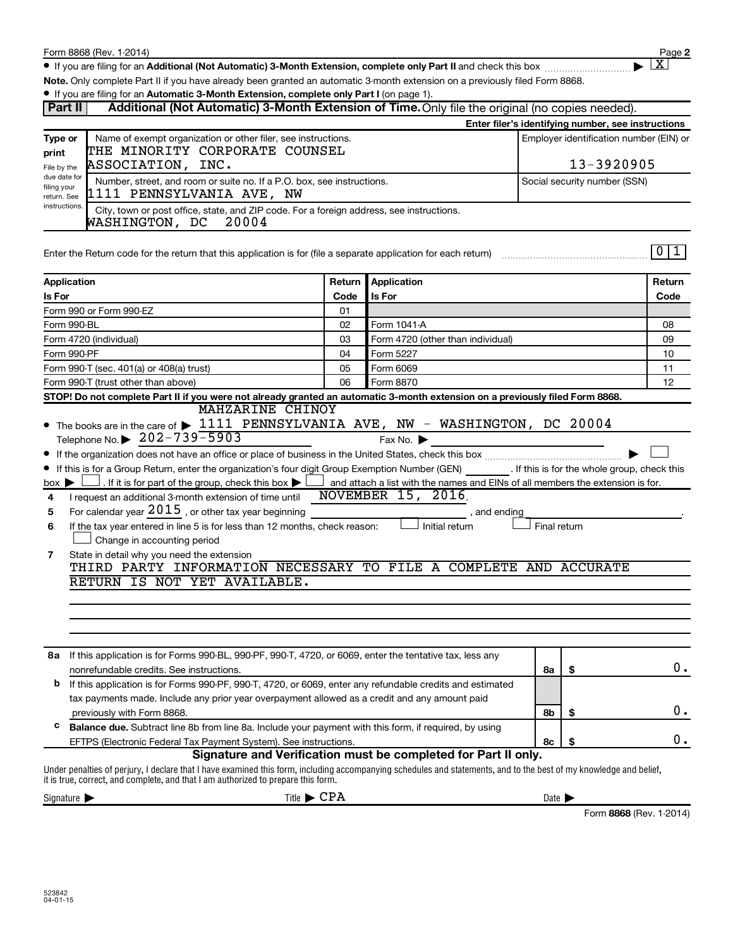Form 990-T (trust other than above)

 $\bullet$  If you are filing for an Additional (Not Automatic) 3-Month Extension, complete only Part II and check this box  $~~$ 

**Note.**  Only complete Part II if you have already been granted an automatic 3-month extension on a previously filed Form 8868.

#### **• If you are filing for an Automatic 3-Month Extension, complete only Part I (on page 1).**

| Part II<br>Additional (Not Automatic) 3-Month Extension of Time. Only file the original (no copies needed). |                                                                                                                                     |            |                                   |                                                    |        |  |  |  |
|-------------------------------------------------------------------------------------------------------------|-------------------------------------------------------------------------------------------------------------------------------------|------------|-----------------------------------|----------------------------------------------------|--------|--|--|--|
|                                                                                                             |                                                                                                                                     |            |                                   | Enter filer's identifying number, see instructions |        |  |  |  |
| Type or                                                                                                     | Name of exempt organization or other filer, see instructions.                                                                       |            |                                   | Employer identification number (EIN) or            |        |  |  |  |
| print                                                                                                       | THE MINORITY CORPORATE COUNSEL                                                                                                      |            |                                   |                                                    |        |  |  |  |
| File by the                                                                                                 | ASSOCIATION, INC.                                                                                                                   | 13-3920905 |                                   |                                                    |        |  |  |  |
| due date for<br>filing your<br>return. See                                                                  | Number, street, and room or suite no. If a P.O. box, see instructions.<br>Social security number (SSN)<br>1111 PENNSYLVANIA AVE, NW |            |                                   |                                                    |        |  |  |  |
| instructions.                                                                                               | City, town or post office, state, and ZIP code. For a foreign address, see instructions.<br>20004<br>WASHINGTON, DC                 |            |                                   |                                                    |        |  |  |  |
|                                                                                                             | Enter the Return code for the return that this application is for (file a separate application for each return)                     |            |                                   |                                                    |        |  |  |  |
| Application                                                                                                 |                                                                                                                                     | Return     | <b>Application</b>                |                                                    | Return |  |  |  |
| <b>Is For</b>                                                                                               |                                                                                                                                     | Code       | <b>Is For</b>                     |                                                    | Code   |  |  |  |
|                                                                                                             | Form 990 or Form 990-EZ                                                                                                             | 01         |                                   |                                                    |        |  |  |  |
| Form 990-BL                                                                                                 |                                                                                                                                     | 02         | Form 1041 A                       |                                                    | 08     |  |  |  |
| Form 4720 (individual)                                                                                      |                                                                                                                                     | 03         | Form 4720 (other than individual) |                                                    | 09     |  |  |  |
| Form 990-PF                                                                                                 |                                                                                                                                     |            | Form 5227                         |                                                    | 10     |  |  |  |
|                                                                                                             | Form 990-T (sec. 401(a) or 408(a) trust)                                                                                            | 05         | Form 6069                         |                                                    | 11     |  |  |  |

| STOP! Do not complete Part II if you were not already granted an automatic 3-month extension on a previously filed Form 8868. |  |         |  |  |  |  |  |  |
|-------------------------------------------------------------------------------------------------------------------------------|--|---------|--|--|--|--|--|--|
| MAHZARINE CHINOY                                                                                                              |  |         |  |  |  |  |  |  |
| • The books are in the care of > 1111 PENNSYLVANIA AVE, NW - WASHINGTON, DC 20004                                             |  |         |  |  |  |  |  |  |
| Telephone No. $\triangleright$ 202-739-5903                                                                                   |  | Fax No. |  |  |  |  |  |  |

06

Form 8870

|  | $\blacksquare$                                                                                          | , w∧ , ,v, , , |                                              |  |
|--|---------------------------------------------------------------------------------------------------------|----------------|----------------------------------------------|--|
|  | • If the organization does not have an office or place of business in the United States, check this box |                |                                              |  |
|  | • If this is for a Group Return, enter the organization's four digit Group Exemption Number (GEN)       |                | . If this is for the whole group, check this |  |

| $box \blacktriangleright$ |                                                           | $\Box$ . If it is for part of the group, check this box $\blacktriangleright$ and attach a list with the names and EINs of all members the extension is for. |
|---------------------------|-----------------------------------------------------------|--------------------------------------------------------------------------------------------------------------------------------------------------------------|
|                           | 4 I request an additional 3-month extension of time until | 2016<br>NOVEMBER 15                                                                                                                                          |

| 4 I request an additional 3-month extension of time until NOVEMBER L5, 2016. |  |            |  |
|------------------------------------------------------------------------------|--|------------|--|
| 5 For calendar year $2015$ , or other tax year beginning                     |  | and ending |  |

|                                                                             | . unu vuunu                    |  |
|-----------------------------------------------------------------------------|--------------------------------|--|
| If the tax year entered in line 5 is for less than 12 months, check reason: | Initial return<br>Final return |  |
| $\Box$ Change in accounting period                                          |                                |  |
| State in detail why you need the extension                                  |                                |  |

| <b>Otato in actair write you need the extension</b><br>THIRD PARTY INFORMATION NECESSARY TO FILE A COMPLETE AND ACCURATE |  |  |  |  |  |
|--------------------------------------------------------------------------------------------------------------------------|--|--|--|--|--|
| RETURN IS NOT YET AVAILABLE.                                                                                             |  |  |  |  |  |

| 8а | If this application is for Forms 990-BL, 990-PF, 990-T, 4720, or 6069, enter the tentative tax, less any      |    |  |    |  |  |  |  |
|----|---------------------------------------------------------------------------------------------------------------|----|--|----|--|--|--|--|
|    | nonrefundable credits. See instructions.                                                                      | 8a |  |    |  |  |  |  |
| b  | If this application is for Forms 990-PF, 990-T, 4720, or 6069, enter any refundable credits and estimated     |    |  |    |  |  |  |  |
|    | tax payments made. Include any prior year overpayment allowed as a credit and any amount paid                 |    |  |    |  |  |  |  |
|    | previously with Form 8868.                                                                                    | 8b |  | 0. |  |  |  |  |
| с  | <b>Balance due.</b> Subtract line 8b from line 8a. Include your payment with this form, if required, by using |    |  |    |  |  |  |  |
|    | EFTPS (Electronic Federal Tax Payment System). See instructions.                                              | 8c |  |    |  |  |  |  |
|    | Signature and Verification must be completed for Part II only.                                                |    |  |    |  |  |  |  |

Under penalties of perjury, I declare that I have examined this form, including accompanying schedules and statements, and to the best of my knowledge and belief, it is true, correct, and complete, and that I am authorized to prepare this form.

| $\sim$<br>Sidnatlin | Title | Date                  |
|---------------------|-------|-----------------------|
|                     |       | ----- 000<br>$\cdots$ |

**2**

† X

12